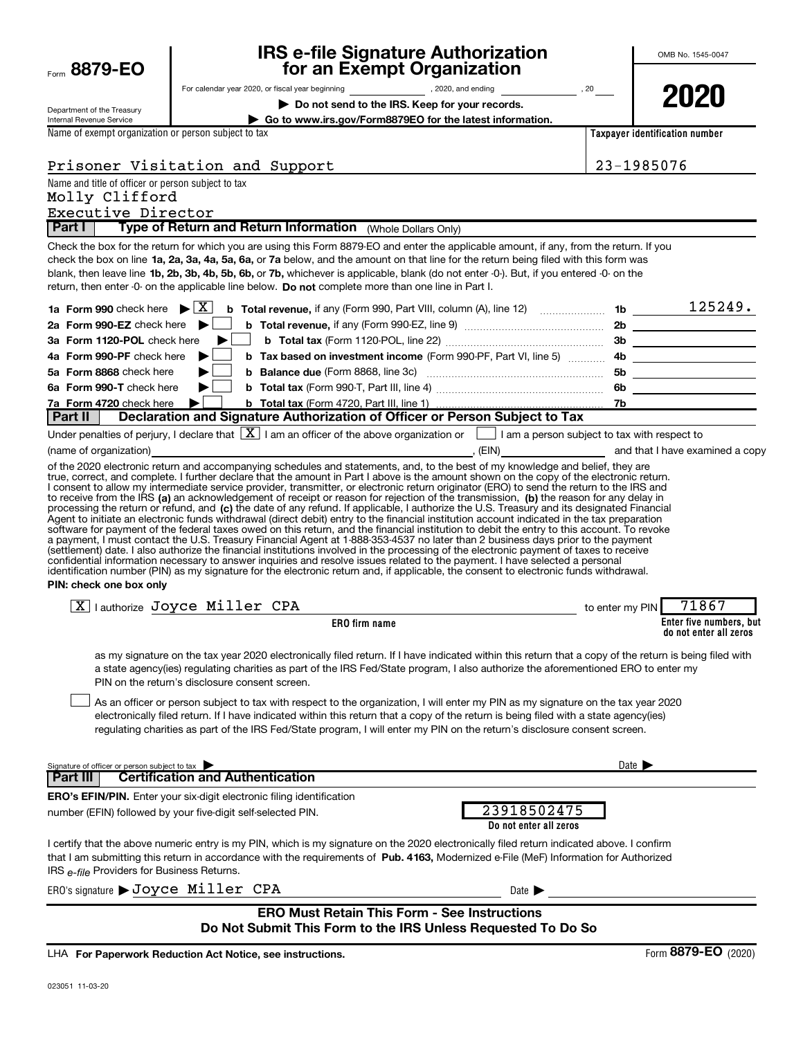| Form $8879 - EO$ |
|------------------|
|                  |

# **IRS e-file Signature Authorization 8879-EO for an Exempt Organization**

**2020**

| Department of the Treasury |
|----------------------------|
| Internal Revenue Service   |

# For calendar year 2020, or fiscal year beginning and the set of the set of the set of the set of the set of the set of the set of the set of the set of the set of the set of the set of the set of the set of the set of the

**| Do not send to the IRS. Keep for your records.**

**| Go to www.irs.gov/Form8879EO for the latest information.**

**Taxpayer identification number**

Name of exempt organization or person subject to tax

| 23-1985076 |  |
|------------|--|
|            |  |

Name and title of officer or person subject to tax Executive Director Molly Clifford

Prisoner Visitation and Support

**Part I | Type of Return and Return Information** (Whole Dollars Only)

check the box on line **1a, 2a, 3a, 4a, 5a, 6a, or 7a** below, and the amount on that line for the return being filed with this form was blank, then leave line 1b, 2b, 3b, 4b, 5b, 6b, or 7b, whichever is applicable, blank (do not enter -0-). But, if you entered -0- on the return, then enter -0- on the applicable line below. Do not complete more than one line in Part I. Check the box for the return for which you are using this Form 8879-EO and enter the applicable amount, if any, from the return. If you

|                          |                                                                                                                                                                                                                                                       | 1b  | 125249. |
|--------------------------|-------------------------------------------------------------------------------------------------------------------------------------------------------------------------------------------------------------------------------------------------------|-----|---------|
|                          | 2a Form 990-EZ check here $\blacktriangleright$   b Total revenue, if any (Form 990-EZ, line 9) $\ldots$                                                                                                                                              | 2b  |         |
|                          | 3a Form 1120-POL check here $\blacktriangleright$   b Total tax (Form 1120-POL, line 22) $\ldots$ $\ldots$ $\ldots$ $\ldots$ $\ldots$ $\ldots$ $\ldots$                                                                                               | 3b  |         |
|                          | 4b Tax based on investment income (Form 990-PF, Part VI, line 5) ______________ 4b                                                                                                                                                                    |     |         |
|                          | 5a Form 8868 check here $\blacktriangleright$ <b>b</b> Balance due (Form 8868, line 3c) <i>manument</i> extensive the set of the set of the set of the set of the set of the set of the set of the set of the set of the set of the set of the set of | 5b  |         |
| 6a Form 990-T check here | <b>b</b> $\Box$ <b>b</b> Total tax (Form 990-T, Part III, line 4) <b>Constrained A</b> 2.1 <b>b</b>                                                                                                                                                   | 6b. |         |
|                          |                                                                                                                                                                                                                                                       |     |         |
|                          | Dout II   Declaration and Cinnature Authorization of Officer or Derson Cubicat to Toy                                                                                                                                                                 |     |         |

**Part II Declaration and Signature Authorization of Officer or Person Subject to Tax**

|                        | Under penalties of perjury, I declare that $\boxed{\textbf{X}}$ I am an officer of the above organization or $\boxed{\ }$ |       | I am a person subject to tax with respect to |                                 |
|------------------------|---------------------------------------------------------------------------------------------------------------------------|-------|----------------------------------------------|---------------------------------|
| (name of organization) |                                                                                                                           | (EIN) |                                              | and that I have examined a copy |

to receive from the IRS (a) an acknowledgement of receipt or reason for rejection of the transmission, (b) the reason for any delay in processing the return or refund, and (c) the date of any refund. If applicable, I authorize the U.S. Treasury and its designated Financial of the 2020 electronic return and accompanying schedules and statements, and, to the best of my knowledge and belief, they are true, correct, and complete. I further declare that the amount in Part I above is the amount shown on the copy of the electronic return. I consent to allow my intermediate service provider, transmitter, or electronic return originator (ERO) to send the return to the IRS and Agent to initiate an electronic funds withdrawal (direct debit) entry to the financial institution account indicated in the tax preparation<br>software for payment of the federal taxes owed on this return, and the financial i a payment, I must contact the U.S. Treasury Financial Agent at 1-888-353-4537 no later than 2 business days prior to the payment (settlement) date. I also authorize the financial institutions involved in the processing of the electronic payment of taxes to receive<br>confidential information necessary to answer inquiries and resolve issues related to t identification number (PIN) as my signature for the electronic return and, if applicable, the consent to electronic funds withdrawal.

**PIN: check one box only**

| $\boxed{\text{X}}$ authorize Joyce Miller CPA                                                                                                          | to enter my PIN $71867$                           |
|--------------------------------------------------------------------------------------------------------------------------------------------------------|---------------------------------------------------|
| <b>ERO</b> firm name                                                                                                                                   | Enter five numbers, but<br>do not enter all zeros |
| on my pianoture on the tay year 0000 electronically filed rature. If I have indicated within this rature that a cony of the rature is being filed with |                                                   |

ny signature on the tax year 2020 electronically filed return. If I have indicated within this return that a copy of the return is being filed witl a state agency(ies) regulating charities as part of the IRS Fed/State program, I also authorize the aforementioned ERO to enter my PIN on the return's disclosure consent screen.

As an officer or person subject to tax with respect to the organization, I will enter my PIN as my signature on the tax year 2020 electronically filed return. If I have indicated within this return that a copy of the return is being filed with a state agency(ies) regulating charities as part of the IRS Fed/State program, I will enter my PIN on the return's disclosure consent screen.  $\begin{array}{c} \hline \end{array}$ 

| Signature of officer or person subject to tax<br><b>Certification and Authentication</b><br>l Part III I                                                                                                                                                                                                                          | Date $\blacktriangleright$            |  |  |  |
|-----------------------------------------------------------------------------------------------------------------------------------------------------------------------------------------------------------------------------------------------------------------------------------------------------------------------------------|---------------------------------------|--|--|--|
| <b>ERO's EFIN/PIN.</b> Enter your six-digit electronic filing identification<br>number (EFIN) followed by your five-digit self-selected PIN.                                                                                                                                                                                      | 23918502475<br>Do not enter all zeros |  |  |  |
| I certify that the above numeric entry is my PIN, which is my signature on the 2020 electronically filed return indicated above. I confirm<br>that I am submitting this return in accordance with the requirements of Pub. 4163. Modernized e-File (MeF) Information for Authorized<br>IRS e-file Providers for Business Returns. |                                       |  |  |  |
| ERO's signature > Joyce Miller CPA                                                                                                                                                                                                                                                                                                | Date $\blacktriangleright$            |  |  |  |
| <b>ERO Must Retain This Form - See Instructions</b>                                                                                                                                                                                                                                                                               |                                       |  |  |  |

#### **ERO Must Retain This Form - See Instructions Do Not Submit This Form to the IRS Unless Requested To Do So**

**For Paperwork Reduction Act Notice, see instructions.** LHA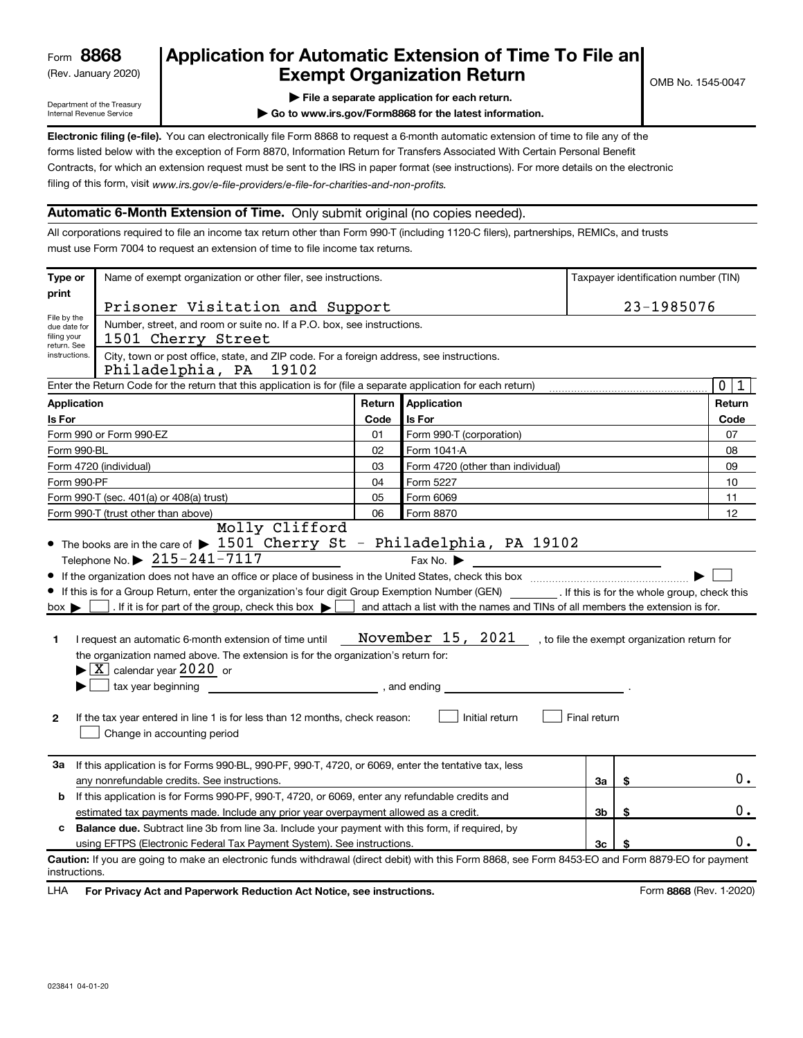# (Rev. January 2020) **Cxempt Organization Return** Manuary 2020) **Canadia Return 8868 Application for Automatic Extension of Time To File an**

Department of the Treasury Internal Revenue Service

- **| File a separate application for each return.**
- **| Go to www.irs.gov/Form8868 for the latest information.**

**Electronic filing (e-file).** You can electronically file Form 8868 to request a 6-month automatic extension of time to file any of the filing of this form, visit www.irs.gov/e-file-providers/e-file-for-charities-and-non-profits. forms listed below with the exception of Form 8870, Information Return for Transfers Associated With Certain Personal Benefit Contracts, for which an extension request must be sent to the IRS in paper format (see instructions). For more details on the electronic

#### **Automatic 6-Month Extension of Time.** Only submit original (no copies needed).

All corporations required to file an income tax return other than Form 990-T (including 1120-C filers), partnerships, REMICs, and trusts must use Form 7004 to request an extension of time to file income tax returns.

| Type or                                                                                              | Name of exempt organization or other filer, see instructions.                                                                                                                                                                                                                                                                                                                                                                                                                                                                                                                                                                                                         |            |                                                                                 |                |    | Taxpayer identification number (TIN) |
|------------------------------------------------------------------------------------------------------|-----------------------------------------------------------------------------------------------------------------------------------------------------------------------------------------------------------------------------------------------------------------------------------------------------------------------------------------------------------------------------------------------------------------------------------------------------------------------------------------------------------------------------------------------------------------------------------------------------------------------------------------------------------------------|------------|---------------------------------------------------------------------------------|----------------|----|--------------------------------------|
| print                                                                                                | Prisoner Visitation and Support                                                                                                                                                                                                                                                                                                                                                                                                                                                                                                                                                                                                                                       |            |                                                                                 |                |    | 23-1985076                           |
| filing your                                                                                          | File by the<br>Number, street, and room or suite no. If a P.O. box, see instructions.<br>due date for<br>1501 Cherry Street                                                                                                                                                                                                                                                                                                                                                                                                                                                                                                                                           |            |                                                                                 |                |    |                                      |
| return. See<br>instructions.                                                                         | City, town or post office, state, and ZIP code. For a foreign address, see instructions.<br>Philadelphia, PA 19102                                                                                                                                                                                                                                                                                                                                                                                                                                                                                                                                                    |            |                                                                                 |                |    |                                      |
|                                                                                                      | Enter the Return Code for the return that this application is for (file a separate application for each return)                                                                                                                                                                                                                                                                                                                                                                                                                                                                                                                                                       |            |                                                                                 |                |    | $\overline{0}$<br>1                  |
| <b>Application</b>                                                                                   |                                                                                                                                                                                                                                                                                                                                                                                                                                                                                                                                                                                                                                                                       | Return     | Application                                                                     |                |    | Return                               |
| Is For                                                                                               |                                                                                                                                                                                                                                                                                                                                                                                                                                                                                                                                                                                                                                                                       | Code       | Is For                                                                          |                |    | Code                                 |
|                                                                                                      | Form 990 or Form 990-EZ                                                                                                                                                                                                                                                                                                                                                                                                                                                                                                                                                                                                                                               | 01         | Form 990-T (corporation)                                                        |                |    | 07                                   |
| Form 990-BL                                                                                          |                                                                                                                                                                                                                                                                                                                                                                                                                                                                                                                                                                                                                                                                       | 02         | Form 1041-A                                                                     |                |    | 08                                   |
|                                                                                                      | Form 4720 (individual)                                                                                                                                                                                                                                                                                                                                                                                                                                                                                                                                                                                                                                                | 03         | Form 4720 (other than individual)                                               |                |    | 09                                   |
| Form 990-PF                                                                                          |                                                                                                                                                                                                                                                                                                                                                                                                                                                                                                                                                                                                                                                                       | 04         | Form 5227                                                                       |                |    | 10                                   |
|                                                                                                      | Form 990-T (sec. 401(a) or 408(a) trust)                                                                                                                                                                                                                                                                                                                                                                                                                                                                                                                                                                                                                              | 05         | Form 6069                                                                       |                |    | 11                                   |
|                                                                                                      | Form 990-T (trust other than above)<br>Molly Clifford                                                                                                                                                                                                                                                                                                                                                                                                                                                                                                                                                                                                                 | 06         | Form 8870                                                                       |                |    | 12                                   |
| $box \blacktriangleright$<br>1<br>$\mathbf{2}$                                                       | • If this is for a Group Return, enter the organization's four digit Group Exemption Number (GEN) _________. If this is for the whole group, check this<br>. If it is for part of the group, check this box $\blacktriangleright$ and attach a list with the names and TINs of all members the extension is for.<br>I request an automatic 6-month extension of time until<br>the organization named above. The extension is for the organization's return for:<br>$\blacktriangleright$ $\boxed{\text{X}}$ calendar year 2020 or<br>tax year beginning<br>If the tax year entered in line 1 is for less than 12 months, check reason:<br>Change in accounting period | and ending | November 15, 2021, to file the exempt organization return for<br>Initial return | Final return   |    |                                      |
| За                                                                                                   | If this application is for Forms 990-BL, 990-PF, 990-T, 4720, or 6069, enter the tentative tax, less<br>any nonrefundable credits. See instructions.                                                                                                                                                                                                                                                                                                                                                                                                                                                                                                                  |            |                                                                                 | За             | \$ | 0.                                   |
| If this application is for Forms 990-PF, 990-T, 4720, or 6069, enter any refundable credits and<br>b |                                                                                                                                                                                                                                                                                                                                                                                                                                                                                                                                                                                                                                                                       |            |                                                                                 |                |    |                                      |
|                                                                                                      | estimated tax payments made. Include any prior year overpayment allowed as a credit.                                                                                                                                                                                                                                                                                                                                                                                                                                                                                                                                                                                  |            |                                                                                 | 3 <sub>b</sub> | \$ | 0.                                   |
| c                                                                                                    | <b>Balance due.</b> Subtract line 3b from line 3a. Include your payment with this form, if required, by                                                                                                                                                                                                                                                                                                                                                                                                                                                                                                                                                               |            |                                                                                 |                |    |                                      |
|                                                                                                      | using EFTPS (Electronic Federal Tax Payment System). See instructions.<br>3c                                                                                                                                                                                                                                                                                                                                                                                                                                                                                                                                                                                          |            |                                                                                 |                |    | 0.                                   |
| instructions.                                                                                        | Caution: If you are going to make an electronic funds withdrawal (direct debit) with this Form 8868, see Form 8453-EO and Form 8879-EO for payment                                                                                                                                                                                                                                                                                                                                                                                                                                                                                                                    |            |                                                                                 |                |    |                                      |

LHA For Privacy Act and Paperwork Reduction Act Notice, see instructions. **8868** (Rev. 1-2020) Form 8868 (Rev. 1-2020)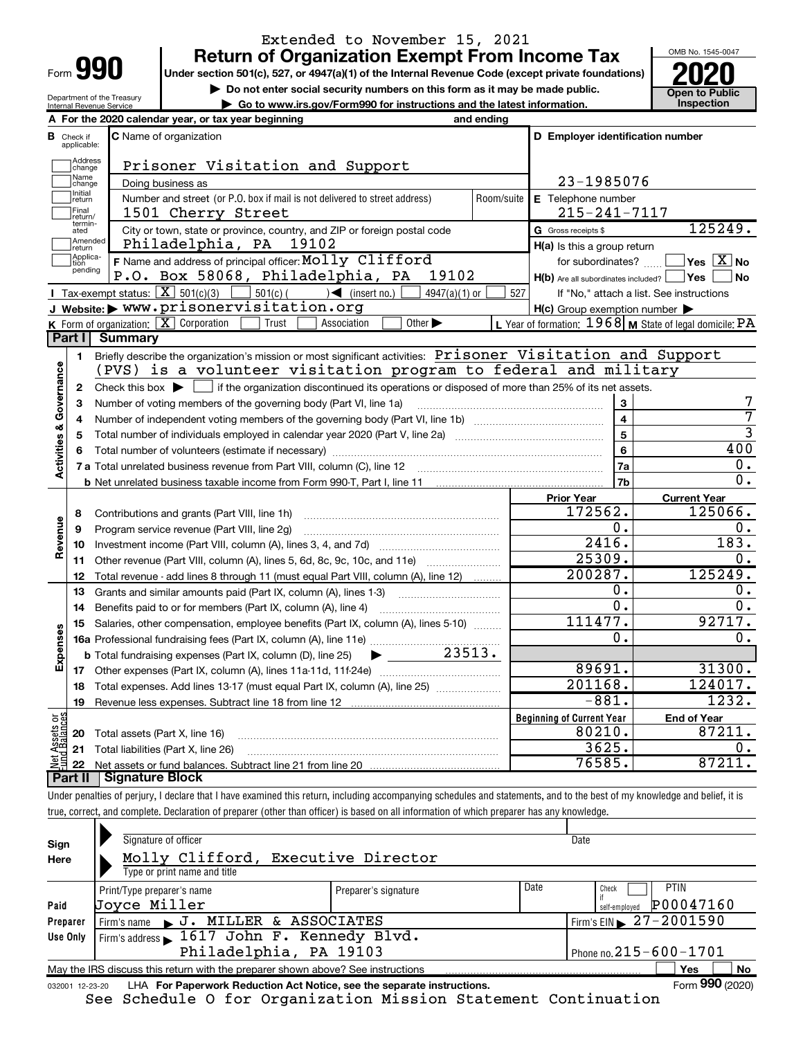| Form |  |
|------|--|

# **Return of Organization Exempt From Income Tax** Extended to November 15, 2021

**Under section 501(c), 527, or 4947(a)(1) of the Internal Revenue Code (except private foundations)**

**but the Do not enter social security numbers on this form as it may be made public. Open to Public**<br> **a** Go to www.irs.gov/Form990 for instructions and the latest information. Inspection

and ending

**| Go to www.irs.gov/Form990 for instructions and the latest information. Inspection**



**B C D Employer identification number**

| Department of the Treasury<br>Internal Revenue Service |                               |                   | $\triangleright$ Go to www.irs.go                   |                                                                     |  |
|--------------------------------------------------------|-------------------------------|-------------------|-----------------------------------------------------|---------------------------------------------------------------------|--|
|                                                        |                               |                   | A For the 2020 calendar year, or tax year beginning |                                                                     |  |
| R<br>Check if<br>applicable:                           | <b>C</b> Name of organization |                   |                                                     |                                                                     |  |
| Address<br>change                                      |                               |                   |                                                     | Prisoner Visitation a:                                              |  |
| Name<br>change                                         |                               | Doing business as |                                                     |                                                                     |  |
| Initial<br>return<br>Final<br>return.                  |                               |                   |                                                     | Number and street (or P.O. box if mail is not<br>1501 Cherry Street |  |
|                                                        |                               |                   |                                                     |                                                                     |  |

|                         | Address<br>change | Prisoner Visitation and Support                                                                                                                     |            |                                                     |                                                         |  |  |
|-------------------------|-------------------|-----------------------------------------------------------------------------------------------------------------------------------------------------|------------|-----------------------------------------------------|---------------------------------------------------------|--|--|
|                         | Name<br>change    | Doing business as                                                                                                                                   |            | 23-1985076                                          |                                                         |  |  |
|                         | Initial<br>return | Number and street (or P.O. box if mail is not delivered to street address)                                                                          | Room/suite | E Telephone number                                  |                                                         |  |  |
|                         | Final<br>return/  | 1501 Cherry Street                                                                                                                                  |            | $215 - 241 - 7117$                                  |                                                         |  |  |
|                         | termin-<br>ated   | City or town, state or province, country, and ZIP or foreign postal code                                                                            |            | G Gross receipts \$                                 | 125249.                                                 |  |  |
|                         | Amended<br>return | Philadelphia, PA<br>19102                                                                                                                           |            | H(a) Is this a group return                         |                                                         |  |  |
|                         | Applica-<br>tion  | F Name and address of principal officer: Molly Clifford                                                                                             |            | for subordinates?                                   | $\sqrt{}$ Yes $\sqrt{X}$ No                             |  |  |
|                         | pending           | P.O. Box 58068, Philadelphia, PA<br>19102                                                                                                           |            | $H(b)$ Are all subordinates included?               | ∣Yes<br><b>No</b>                                       |  |  |
|                         |                   | <b>I</b> Tax-exempt status: $\boxed{\mathbf{X}}$ 501(c)(3)<br>$501(c)$ $\left( \qquad \qquad \right)$ (insert no.)<br>$4947(a)(1)$ or               | 527        |                                                     | If "No," attach a list. See instructions                |  |  |
|                         |                   | J Website: > www.prisonervisitation.org                                                                                                             |            | $H(c)$ Group exemption number $\blacktriangleright$ |                                                         |  |  |
|                         |                   | <b>K</b> Form of organization: $\boxed{\mathbf{X}}$ Corporation<br>Other $\blacktriangleright$<br>Trust<br>Association                              |            |                                                     | L Year of formation: 1968 M State of legal domicile: PA |  |  |
|                         | Part I            | <b>Summary</b>                                                                                                                                      |            |                                                     |                                                         |  |  |
|                         | $\blacksquare$    | Briefly describe the organization's mission or most significant activities: Prisoner Visitation and Support                                         |            |                                                     |                                                         |  |  |
| Governance              |                   | (PVS) is a volunteer visitation program to federal and military                                                                                     |            |                                                     |                                                         |  |  |
|                         | $\mathbf{2}$      | Check this box $\blacktriangleright$ $\blacksquare$ if the organization discontinued its operations or disposed of more than 25% of its net assets. |            |                                                     |                                                         |  |  |
|                         | 3                 | Number of voting members of the governing body (Part VI, line 1a)                                                                                   |            | $\mathbf{3}$                                        |                                                         |  |  |
|                         | 4                 |                                                                                                                                                     |            | $\overline{\mathbf{4}}$                             | 7                                                       |  |  |
|                         | 5                 |                                                                                                                                                     |            | 5                                                   | 3<br>400                                                |  |  |
|                         | 6                 |                                                                                                                                                     |            |                                                     |                                                         |  |  |
| <b>Activities &amp;</b> |                   |                                                                                                                                                     |            | 7a                                                  | 0.                                                      |  |  |
|                         |                   |                                                                                                                                                     |            | 7b                                                  | $\overline{0}$ .                                        |  |  |
|                         |                   |                                                                                                                                                     |            | <b>Prior Year</b>                                   | <b>Current Year</b>                                     |  |  |
|                         | 8                 | Contributions and grants (Part VIII, line 1h)                                                                                                       |            | 172562.                                             | 125066.                                                 |  |  |
|                         | 9                 | Program service revenue (Part VIII, line 2g)                                                                                                        |            | 0.                                                  | $\mathfrak{o}$ .                                        |  |  |
| Revenue                 | 10                |                                                                                                                                                     |            | 2416.                                               | 183.                                                    |  |  |
|                         | 11                |                                                                                                                                                     |            | 25309.                                              | 0.                                                      |  |  |
|                         | 12                | Total revenue - add lines 8 through 11 (must equal Part VIII, column (A), line 12)                                                                  |            | 200287.                                             | 125249.                                                 |  |  |
|                         | 13                | Grants and similar amounts paid (Part IX, column (A), lines 1-3)                                                                                    |            | 0.                                                  | 0.                                                      |  |  |
|                         | 14                | Benefits paid to or for members (Part IX, column (A), line 4)                                                                                       |            | $\overline{0}$ .                                    | 0.                                                      |  |  |
|                         | 15                | Salaries, other compensation, employee benefits (Part IX, column (A), lines 5-10)                                                                   |            | 111477.                                             | 92717.                                                  |  |  |
| Expenses                |                   |                                                                                                                                                     |            | $\mathbf 0$ .                                       | 0.                                                      |  |  |
|                         |                   | 23513.<br><b>b</b> Total fundraising expenses (Part IX, column (D), line 25)<br>$\blacktriangleright$ and $\blacktriangleright$                     |            |                                                     |                                                         |  |  |
|                         |                   |                                                                                                                                                     |            | 89691.                                              | 31300.                                                  |  |  |
|                         | 18                | Total expenses. Add lines 13-17 (must equal Part IX, column (A), line 25) [Conception: Total expenses.                                              |            | 201168.                                             | 124017.                                                 |  |  |
|                         | 19                |                                                                                                                                                     |            | $-881.$                                             | 1232.                                                   |  |  |
| äğ                      |                   |                                                                                                                                                     |            | <b>Beginning of Current Year</b>                    | <b>End of Year</b>                                      |  |  |
| Assets<br>1 Balanc      | 20                | Total assets (Part X, line 16)                                                                                                                      |            | 80210.                                              | 87211.                                                  |  |  |
|                         |                   | 21 Total liabilities (Part X, line 26)                                                                                                              |            | 3625.                                               | Ω.                                                      |  |  |
| 호트<br>기                 |                   |                                                                                                                                                     |            | 76585.                                              | 87211.                                                  |  |  |

**Part II Signature Block**

Under penalties of perjury, I declare that I have examined this return, including accompanying schedules and statements, and to the best of my knowledge and belief, it is true, correct, and complete. Declaration of preparer (other than officer) is based on all information of which preparer has any knowledge.

| Sign            | Signature of officer                                                            |                      |      | Date                                   |
|-----------------|---------------------------------------------------------------------------------|----------------------|------|----------------------------------------|
| Here            | Molly Clifford, Executive Director                                              |                      |      |                                        |
|                 | Type or print name and title                                                    |                      |      |                                        |
|                 | Print/Type preparer's name                                                      | Preparer's signature | Date | <b>PTIN</b><br>Check                   |
| Paid            | Joyce Miller                                                                    |                      |      | P00047160<br>self-emploved             |
| Preparer        | Firm's name J. MILLER & ASSOCIATES                                              |                      |      | Firm's EIN $\triangleright$ 27-2001590 |
| Use Only        | Firm's address 1617 John F. Kennedy Blvd.                                       |                      |      |                                        |
|                 | Philadelphia, PA 19103                                                          |                      |      | Phone no. $215 - 600 - 1701$           |
|                 | May the IRS discuss this return with the preparer shown above? See instructions |                      |      | No<br><b>Yes</b>                       |
| 032001 12-23-20 | LHA For Paperwork Reduction Act Notice, see the separate instructions.          |                      |      | Form 990 (2020)                        |

See Schedule O for Organization Mission Statement Continuation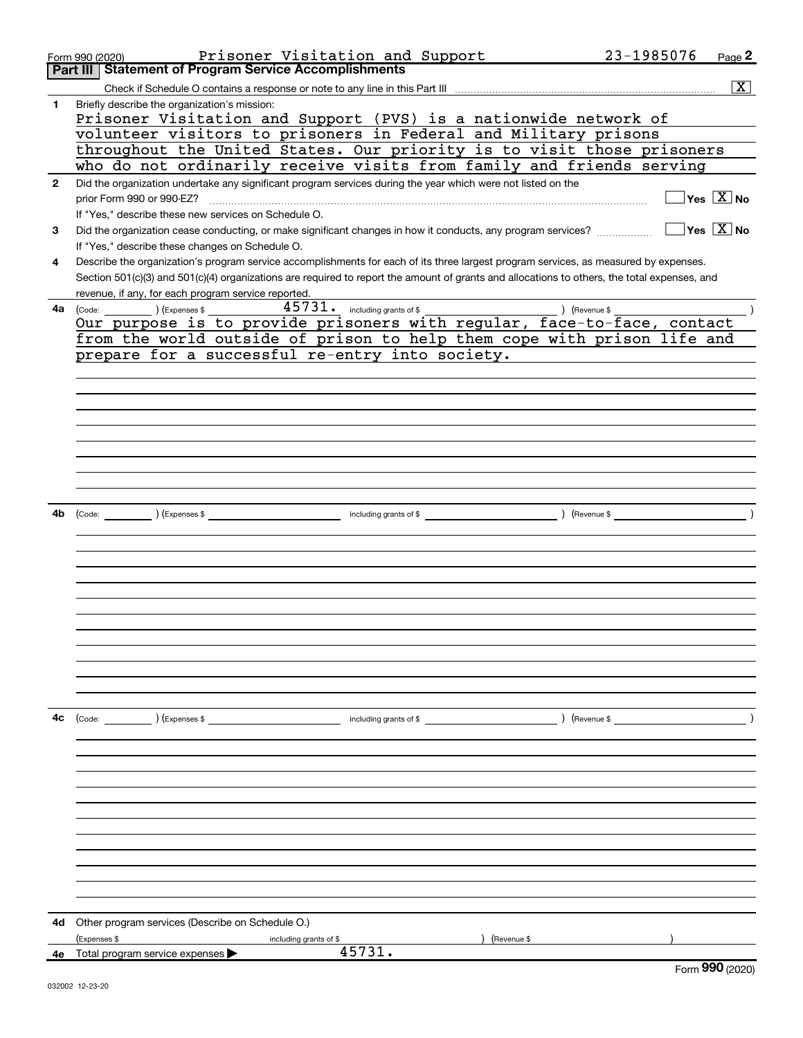|              | Prisoner Visitation and Support<br>Form 990 (2020)                                                                                           | 23-1985076    | Page $2$                                             |
|--------------|----------------------------------------------------------------------------------------------------------------------------------------------|---------------|------------------------------------------------------|
|              | <b>Part III   Statement of Program Service Accomplishments</b>                                                                               |               |                                                      |
|              |                                                                                                                                              |               | x                                                    |
| 1            | Briefly describe the organization's mission:<br>Prisoner Visitation and Support (PVS) is a nationwide network of                             |               |                                                      |
|              | volunteer visitors to prisoners in Federal and Military prisons                                                                              |               |                                                      |
|              | throughout the United States. Our priority is to visit those prisoners                                                                       |               |                                                      |
|              | who do not ordinarily receive visits from family and friends serving                                                                         |               |                                                      |
| $\mathbf{2}$ | Did the organization undertake any significant program services during the year which were not listed on the                                 |               |                                                      |
|              | prior Form 990 or 990-EZ?                                                                                                                    |               | $\sqrt{}$ Yes $\sqrt{}$ X $\sqrt{}$ No               |
|              | If "Yes," describe these new services on Schedule O.                                                                                         |               |                                                      |
| 3            | Did the organization cease conducting, or make significant changes in how it conducts, any program services?                                 |               | $\overline{\mathsf{Yes}}$ $\overline{\mathsf{X}}$ No |
|              | If "Yes," describe these changes on Schedule O.                                                                                              |               |                                                      |
| 4            | Describe the organization's program service accomplishments for each of its three largest program services, as measured by expenses.         |               |                                                      |
|              | Section 501(c)(3) and 501(c)(4) organizations are required to report the amount of grants and allocations to others, the total expenses, and |               |                                                      |
|              |                                                                                                                                              |               |                                                      |
|              | revenue, if any, for each program service reported.<br>$45731$ $\cdot$ including grants of \$                                                |               |                                                      |
| 4a l         |                                                                                                                                              |               |                                                      |
|              | from the world outside of prison to help them cope with prison life and                                                                      |               |                                                      |
|              | prepare for a successful re-entry into society.                                                                                              |               |                                                      |
|              |                                                                                                                                              |               |                                                      |
|              |                                                                                                                                              |               |                                                      |
|              |                                                                                                                                              |               |                                                      |
|              |                                                                                                                                              |               |                                                      |
|              |                                                                                                                                              |               |                                                      |
|              |                                                                                                                                              |               |                                                      |
|              |                                                                                                                                              |               |                                                      |
|              |                                                                                                                                              |               |                                                      |
|              |                                                                                                                                              |               |                                                      |
| 4b           | (Code: ) (Expenses \$ (a) and the contract of \$ (Revenue \$ ) (Revenue \$                                                                   |               |                                                      |
|              |                                                                                                                                              |               |                                                      |
|              |                                                                                                                                              |               |                                                      |
|              |                                                                                                                                              |               |                                                      |
|              |                                                                                                                                              |               |                                                      |
|              |                                                                                                                                              |               |                                                      |
|              |                                                                                                                                              |               |                                                      |
|              |                                                                                                                                              |               |                                                      |
|              |                                                                                                                                              |               |                                                      |
|              |                                                                                                                                              |               |                                                      |
|              |                                                                                                                                              |               |                                                      |
|              |                                                                                                                                              |               |                                                      |
|              |                                                                                                                                              |               |                                                      |
| 4с           | (Code: ) (Expenses \$<br>including grants of \$                                                                                              | ) (Revenue \$ |                                                      |
|              |                                                                                                                                              |               |                                                      |
|              |                                                                                                                                              |               |                                                      |
|              |                                                                                                                                              |               |                                                      |
|              |                                                                                                                                              |               |                                                      |
|              |                                                                                                                                              |               |                                                      |
|              |                                                                                                                                              |               |                                                      |
|              |                                                                                                                                              |               |                                                      |
|              |                                                                                                                                              |               |                                                      |
|              |                                                                                                                                              |               |                                                      |
|              |                                                                                                                                              |               |                                                      |
|              |                                                                                                                                              |               |                                                      |
|              |                                                                                                                                              |               |                                                      |
| 4d           | Other program services (Describe on Schedule O.)                                                                                             |               |                                                      |
| 4e           | (Expenses \$<br>(Revenue \$<br>including grants of \$<br>45731.                                                                              |               |                                                      |
|              | Total program service expenses                                                                                                               |               | Form 990 (2020)                                      |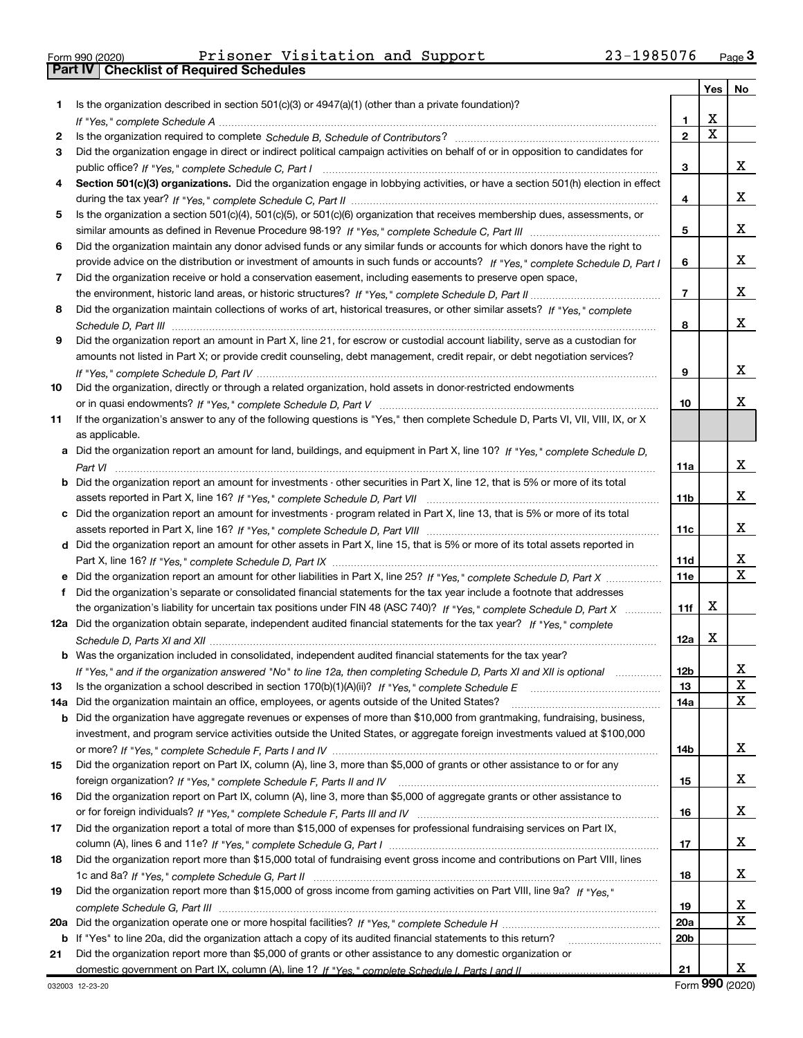|  | Form 990 (2020) |  |
|--|-----------------|--|

Part IV | Checklist of Required Schedules

Form 990 (2020) Page Prisoner Visitation and Support 23-1985076

|     |                                                                                                                                                                                                                                |                 | Yes | No      |
|-----|--------------------------------------------------------------------------------------------------------------------------------------------------------------------------------------------------------------------------------|-----------------|-----|---------|
| 1   | Is the organization described in section $501(c)(3)$ or $4947(a)(1)$ (other than a private foundation)?                                                                                                                        |                 |     |         |
|     | If "Yes," complete Schedule A measured and the complete schedule A measured and the complete Schedule A measured and the complete schedule A measured and the control of the control of the control of the control of the cont | 1               | х   |         |
| 2   |                                                                                                                                                                                                                                | $\overline{2}$  | X   |         |
| 3   | Did the organization engage in direct or indirect political campaign activities on behalf of or in opposition to candidates for                                                                                                |                 |     |         |
|     |                                                                                                                                                                                                                                | 3               |     | x       |
| 4   | Section 501(c)(3) organizations. Did the organization engage in lobbying activities, or have a section 501(h) election in effect                                                                                               |                 |     |         |
|     |                                                                                                                                                                                                                                | 4               |     | x       |
| 5   | Is the organization a section 501(c)(4), 501(c)(5), or 501(c)(6) organization that receives membership dues, assessments, or                                                                                                   |                 |     |         |
|     |                                                                                                                                                                                                                                | 5               |     | x       |
| 6   | Did the organization maintain any donor advised funds or any similar funds or accounts for which donors have the right to                                                                                                      |                 |     |         |
|     | provide advice on the distribution or investment of amounts in such funds or accounts? If "Yes," complete Schedule D, Part I                                                                                                   | 6               |     | x       |
| 7   | Did the organization receive or hold a conservation easement, including easements to preserve open space,                                                                                                                      |                 |     |         |
|     |                                                                                                                                                                                                                                | $\overline{7}$  |     | х       |
| 8   | Did the organization maintain collections of works of art, historical treasures, or other similar assets? If "Yes," complete                                                                                                   |                 |     |         |
|     |                                                                                                                                                                                                                                | 8               |     | х       |
| 9   | Did the organization report an amount in Part X, line 21, for escrow or custodial account liability, serve as a custodian for                                                                                                  |                 |     |         |
|     | amounts not listed in Part X; or provide credit counseling, debt management, credit repair, or debt negotiation services?                                                                                                      |                 |     |         |
|     |                                                                                                                                                                                                                                | 9               |     | х       |
| 10  | Did the organization, directly or through a related organization, hold assets in donor-restricted endowments                                                                                                                   |                 |     |         |
|     |                                                                                                                                                                                                                                | 10              |     | х       |
| 11  | If the organization's answer to any of the following questions is "Yes," then complete Schedule D, Parts VI, VII, VIII, IX, or X                                                                                               |                 |     |         |
|     | as applicable.                                                                                                                                                                                                                 |                 |     |         |
|     | a Did the organization report an amount for land, buildings, and equipment in Part X, line 10? If "Yes," complete Schedule D.                                                                                                  |                 |     |         |
|     |                                                                                                                                                                                                                                | 11a             |     | x       |
|     | Did the organization report an amount for investments - other securities in Part X, line 12, that is 5% or more of its total                                                                                                   |                 |     |         |
|     |                                                                                                                                                                                                                                | 11 <sub>b</sub> |     | x       |
|     | c Did the organization report an amount for investments - program related in Part X, line 13, that is 5% or more of its total                                                                                                  |                 |     |         |
|     |                                                                                                                                                                                                                                | 11c             |     | х       |
|     | d Did the organization report an amount for other assets in Part X, line 15, that is 5% or more of its total assets reported in                                                                                                |                 |     |         |
|     |                                                                                                                                                                                                                                | 11d             |     | X<br>X  |
|     |                                                                                                                                                                                                                                | <b>11e</b>      |     |         |
| f   | Did the organization's separate or consolidated financial statements for the tax year include a footnote that addresses                                                                                                        |                 | х   |         |
|     | the organization's liability for uncertain tax positions under FIN 48 (ASC 740)? If "Yes," complete Schedule D, Part X                                                                                                         | 11f             |     |         |
|     | 12a Did the organization obtain separate, independent audited financial statements for the tax year? If "Yes," complete                                                                                                        |                 | X   |         |
|     | <b>b</b> Was the organization included in consolidated, independent audited financial statements for the tax year?                                                                                                             | 12a             |     |         |
|     |                                                                                                                                                                                                                                | 12 <sub>b</sub> |     |         |
| 13  | If "Yes," and if the organization answered "No" to line 12a, then completing Schedule D, Parts XI and XII is optional                                                                                                          | 13              |     | ∡⊾<br>X |
| 14a | Did the organization maintain an office, employees, or agents outside of the United States?                                                                                                                                    | 14a             |     | X       |
| b   | Did the organization have aggregate revenues or expenses of more than \$10,000 from grantmaking, fundraising, business,                                                                                                        |                 |     |         |
|     | investment, and program service activities outside the United States, or aggregate foreign investments valued at \$100,000                                                                                                     |                 |     |         |
|     |                                                                                                                                                                                                                                | 14b             |     | x       |
| 15  | Did the organization report on Part IX, column (A), line 3, more than \$5,000 of grants or other assistance to or for any                                                                                                      |                 |     |         |
|     |                                                                                                                                                                                                                                | 15              |     | x       |
| 16  | Did the organization report on Part IX, column (A), line 3, more than \$5,000 of aggregate grants or other assistance to                                                                                                       |                 |     |         |
|     |                                                                                                                                                                                                                                | 16              |     | x       |
| 17  | Did the organization report a total of more than \$15,000 of expenses for professional fundraising services on Part IX,                                                                                                        |                 |     |         |
|     |                                                                                                                                                                                                                                | 17              |     | x       |
| 18  | Did the organization report more than \$15,000 total of fundraising event gross income and contributions on Part VIII, lines                                                                                                   |                 |     |         |
|     |                                                                                                                                                                                                                                | 18              |     | x       |
| 19  | Did the organization report more than \$15,000 of gross income from gaming activities on Part VIII, line 9a? If "Yes."                                                                                                         |                 |     |         |
|     |                                                                                                                                                                                                                                | 19              |     | x       |
| 20a |                                                                                                                                                                                                                                | 20a             |     | X       |
|     | b If "Yes" to line 20a, did the organization attach a copy of its audited financial statements to this return?                                                                                                                 | 20 <sub>b</sub> |     |         |
| 21  | Did the organization report more than \$5,000 of grants or other assistance to any domestic organization or                                                                                                                    |                 |     |         |
|     |                                                                                                                                                                                                                                | 21              |     | x       |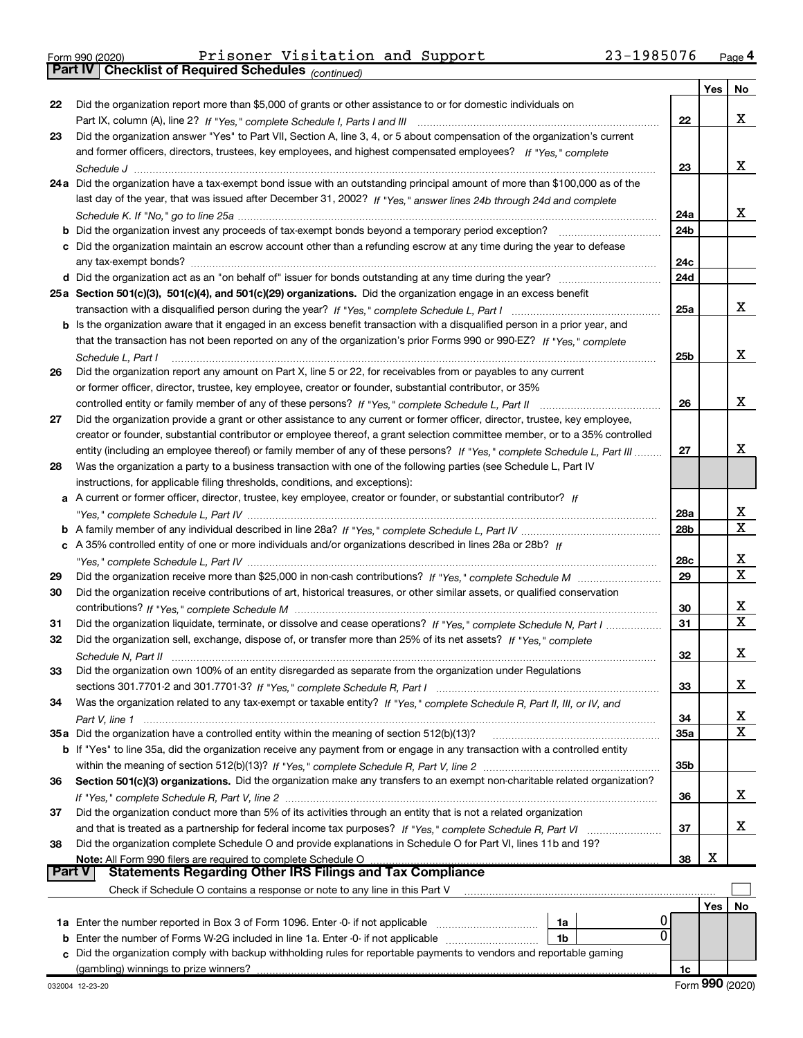Part IV | Checklist of Required Schedules

|               |                                                                                                                                    |                        | Yes | No |
|---------------|------------------------------------------------------------------------------------------------------------------------------------|------------------------|-----|----|
| 22            | Did the organization report more than \$5,000 of grants or other assistance to or for domestic individuals on                      |                        |     |    |
|               |                                                                                                                                    | 22                     |     | x  |
| 23            | Did the organization answer "Yes" to Part VII, Section A, line 3, 4, or 5 about compensation of the organization's current         |                        |     |    |
|               | and former officers, directors, trustees, key employees, and highest compensated employees? If "Yes," complete                     |                        |     |    |
|               |                                                                                                                                    | 23                     |     | x  |
|               | 24a Did the organization have a tax-exempt bond issue with an outstanding principal amount of more than \$100,000 as of the        |                        |     |    |
|               | last day of the year, that was issued after December 31, 2002? If "Yes," answer lines 24b through 24d and complete                 |                        |     |    |
|               |                                                                                                                                    | 24a                    |     | X. |
|               | <b>b</b> Did the organization invest any proceeds of tax-exempt bonds beyond a temporary period exception?                         | 24 <sub>b</sub>        |     |    |
|               | c Did the organization maintain an escrow account other than a refunding escrow at any time during the year to defease             | 24c                    |     |    |
|               |                                                                                                                                    | 24d                    |     |    |
|               | 25a Section 501(c)(3), 501(c)(4), and 501(c)(29) organizations. Did the organization engage in an excess benefit                   |                        |     |    |
|               |                                                                                                                                    | 25a                    |     | x  |
|               | b Is the organization aware that it engaged in an excess benefit transaction with a disqualified person in a prior year, and       |                        |     |    |
|               | that the transaction has not been reported on any of the organization's prior Forms 990 or 990-EZ? If "Yes," complete              |                        |     |    |
|               | Schedule L, Part I                                                                                                                 | 25 <sub>b</sub>        |     | х  |
| 26            | Did the organization report any amount on Part X, line 5 or 22, for receivables from or payables to any current                    |                        |     |    |
|               | or former officer, director, trustee, key employee, creator or founder, substantial contributor, or 35%                            |                        |     |    |
|               | controlled entity or family member of any of these persons? If "Yes," complete Schedule L, Part II                                 | 26                     |     | х  |
| 27            | Did the organization provide a grant or other assistance to any current or former officer, director, trustee, key employee,        |                        |     |    |
|               | creator or founder, substantial contributor or employee thereof, a grant selection committee member, or to a 35% controlled        |                        |     |    |
|               | entity (including an employee thereof) or family member of any of these persons? If "Yes," complete Schedule L, Part III           | 27                     |     | x  |
| 28            | Was the organization a party to a business transaction with one of the following parties (see Schedule L, Part IV                  |                        |     |    |
|               | instructions, for applicable filing thresholds, conditions, and exceptions):                                                       |                        |     |    |
|               | a A current or former officer, director, trustee, key employee, creator or founder, or substantial contributor? If                 |                        |     | х  |
|               |                                                                                                                                    | 28a<br>28 <sub>b</sub> |     | X  |
|               | c A 35% controlled entity of one or more individuals and/or organizations described in lines 28a or 28b? If                        |                        |     |    |
|               |                                                                                                                                    | 28c                    |     | х  |
| 29            |                                                                                                                                    | 29                     |     | X  |
| 30            | Did the organization receive contributions of art, historical treasures, or other similar assets, or qualified conservation        |                        |     |    |
|               |                                                                                                                                    | 30                     |     | X  |
| 31            | Did the organization liquidate, terminate, or dissolve and cease operations? If "Yes," complete Schedule N, Part I                 | 31                     |     | X  |
| 32            | Did the organization sell, exchange, dispose of, or transfer more than 25% of its net assets? If "Yes," complete                   |                        |     |    |
|               |                                                                                                                                    | 32                     |     | x  |
| 33            | Did the organization own 100% of an entity disregarded as separate from the organization under Regulations                         |                        |     |    |
|               |                                                                                                                                    | 33                     |     | x  |
| 34            | Was the organization related to any tax-exempt or taxable entity? If "Yes," complete Schedule R, Part II, III, or IV, and          |                        |     |    |
|               |                                                                                                                                    | 34                     |     | x  |
|               | 35a Did the organization have a controlled entity within the meaning of section 512(b)(13)?                                        | 35a                    |     | x  |
|               | <b>b</b> If "Yes" to line 35a, did the organization receive any payment from or engage in any transaction with a controlled entity |                        |     |    |
|               |                                                                                                                                    | 35 <sub>b</sub>        |     |    |
| 36            | Section 501(c)(3) organizations. Did the organization make any transfers to an exempt non-charitable related organization?         |                        |     |    |
|               |                                                                                                                                    | 36                     |     | x  |
| 37            | Did the organization conduct more than 5% of its activities through an entity that is not a related organization                   |                        |     |    |
|               |                                                                                                                                    | 37                     |     | x  |
| 38            | Did the organization complete Schedule O and provide explanations in Schedule O for Part VI, lines 11b and 19?                     |                        |     |    |
| <b>Part V</b> | Note: All Form 990 filers are required to complete Schedule O<br><b>Statements Regarding Other IRS Filings and Tax Compliance</b>  | 38                     | х   |    |
|               | Check if Schedule O contains a response or note to any line in this Part V                                                         |                        |     |    |
|               |                                                                                                                                    |                        | Yes | No |
|               | 1a                                                                                                                                 |                        |     |    |
| b             | 0<br>Enter the number of Forms W-2G included in line 1a. Enter -0- if not applicable<br>1b                                         |                        |     |    |
| c             | Did the organization comply with backup withholding rules for reportable payments to vendors and reportable gaming                 |                        |     |    |
|               | (gambling) winnings to prize winners?                                                                                              | 1c                     |     |    |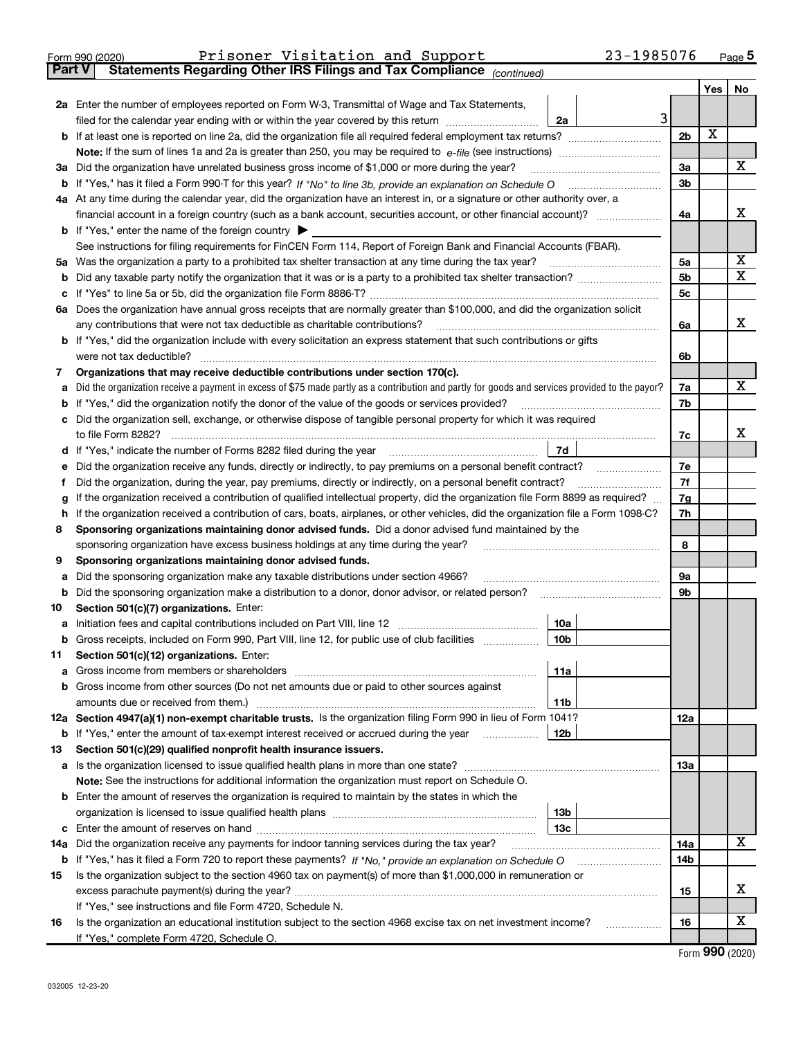| Form 990 (2020) | Prisoner Visitation and Support |  | 23-1985076 | Page |
|-----------------|---------------------------------|--|------------|------|

Part V | Statements Regarding Other IRS Filings and Tax Compliance

(continued)

|        |                                                                                                                                                                                                               |                 |  |                      |     | Yes | No     |  |  |  |
|--------|---------------------------------------------------------------------------------------------------------------------------------------------------------------------------------------------------------------|-----------------|--|----------------------|-----|-----|--------|--|--|--|
|        | 2a Enter the number of employees reported on Form W-3, Transmittal of Wage and Tax Statements,                                                                                                                |                 |  |                      |     |     |        |  |  |  |
|        | filed for the calendar year ending with or within the year covered by this return                                                                                                                             | 2a              |  | 3                    |     |     |        |  |  |  |
|        | <b>b</b> If at least one is reported on line 2a, did the organization file all required federal employment tax returns?                                                                                       |                 |  | 2 <sub>b</sub>       |     | X   |        |  |  |  |
|        |                                                                                                                                                                                                               |                 |  |                      |     |     |        |  |  |  |
| За     | Did the organization have unrelated business gross income of \$1,000 or more during the year?                                                                                                                 |                 |  | За                   |     |     | x      |  |  |  |
|        |                                                                                                                                                                                                               |                 |  | 3b                   |     |     |        |  |  |  |
|        | 4a At any time during the calendar year, did the organization have an interest in, or a signature or other authority over, a                                                                                  |                 |  |                      |     |     |        |  |  |  |
|        |                                                                                                                                                                                                               |                 |  | 4a                   |     |     | x      |  |  |  |
|        | <b>b</b> If "Yes," enter the name of the foreign country                                                                                                                                                      |                 |  |                      |     |     |        |  |  |  |
|        | See instructions for filing requirements for FinCEN Form 114, Report of Foreign Bank and Financial Accounts (FBAR).                                                                                           |                 |  |                      |     |     |        |  |  |  |
| 5a     | Was the organization a party to a prohibited tax shelter transaction at any time during the tax year?                                                                                                         |                 |  | 5a                   |     |     | х<br>x |  |  |  |
| b      |                                                                                                                                                                                                               |                 |  | 5 <sub>b</sub><br>5c |     |     |        |  |  |  |
|        |                                                                                                                                                                                                               |                 |  |                      |     |     |        |  |  |  |
|        | 6a Does the organization have annual gross receipts that are normally greater than \$100,000, and did the organization solicit<br>any contributions that were not tax deductible as charitable contributions? |                 |  | 6a                   |     |     | x      |  |  |  |
|        | b If "Yes," did the organization include with every solicitation an express statement that such contributions or gifts                                                                                        |                 |  |                      |     |     |        |  |  |  |
|        | were not tax deductible?                                                                                                                                                                                      |                 |  | 6b                   |     |     |        |  |  |  |
| 7      | Organizations that may receive deductible contributions under section 170(c).                                                                                                                                 |                 |  |                      |     |     |        |  |  |  |
|        | Did the organization receive a payment in excess of \$75 made partly as a contribution and partly for goods and services provided to the payor?                                                               |                 |  | 7a                   |     |     | х      |  |  |  |
|        | If "Yes," did the organization notify the donor of the value of the goods or services provided?                                                                                                               |                 |  | 7b                   |     |     |        |  |  |  |
|        | Did the organization sell, exchange, or otherwise dispose of tangible personal property for which it was required                                                                                             |                 |  |                      |     |     |        |  |  |  |
|        | to file Form 8282?                                                                                                                                                                                            |                 |  | 7c                   |     |     | х      |  |  |  |
|        |                                                                                                                                                                                                               | 7d              |  |                      |     |     |        |  |  |  |
|        | Did the organization receive any funds, directly or indirectly, to pay premiums on a personal benefit contract?                                                                                               |                 |  | 7e                   |     |     |        |  |  |  |
|        | Did the organization, during the year, pay premiums, directly or indirectly, on a personal benefit contract?                                                                                                  |                 |  |                      | 7f  |     |        |  |  |  |
| g      | If the organization received a contribution of qualified intellectual property, did the organization file Form 8899 as required?                                                                              |                 |  |                      |     |     |        |  |  |  |
| h      | If the organization received a contribution of cars, boats, airplanes, or other vehicles, did the organization file a Form 1098-C?                                                                            |                 |  | 7h                   |     |     |        |  |  |  |
| 8      | Sponsoring organizations maintaining donor advised funds. Did a donor advised fund maintained by the                                                                                                          |                 |  |                      |     |     |        |  |  |  |
|        | sponsoring organization have excess business holdings at any time during the year?                                                                                                                            |                 |  |                      | 8   |     |        |  |  |  |
| 9      | Sponsoring organizations maintaining donor advised funds.                                                                                                                                                     |                 |  |                      |     |     |        |  |  |  |
| а      | Did the sponsoring organization make any taxable distributions under section 4966?                                                                                                                            |                 |  | <b>9a</b>            |     |     |        |  |  |  |
| b      | Did the sponsoring organization make a distribution to a donor, donor advisor, or related person?                                                                                                             |                 |  | 9b                   |     |     |        |  |  |  |
| 10     | Section 501(c)(7) organizations. Enter:                                                                                                                                                                       | 10a             |  |                      |     |     |        |  |  |  |
| а<br>b | Gross receipts, included on Form 990, Part VIII, line 12, for public use of club facilities                                                                                                                   | 10 <sub>b</sub> |  |                      |     |     |        |  |  |  |
| 11     | Section 501(c)(12) organizations. Enter:                                                                                                                                                                      |                 |  |                      |     |     |        |  |  |  |
|        | Gross income from members or shareholders                                                                                                                                                                     | 11a             |  |                      |     |     |        |  |  |  |
|        | <b>b</b> Gross income from other sources (Do not net amounts due or paid to other sources against                                                                                                             |                 |  |                      |     |     |        |  |  |  |
|        | amounts due or received from them.)                                                                                                                                                                           | 11b             |  |                      |     |     |        |  |  |  |
|        | 12a Section 4947(a)(1) non-exempt charitable trusts. Is the organization filing Form 990 in lieu of Form 1041?                                                                                                |                 |  |                      | 12a |     |        |  |  |  |
|        | <b>b</b> If "Yes," enter the amount of tax-exempt interest received or accrued during the year                                                                                                                | 12b             |  |                      |     |     |        |  |  |  |
| 13     | Section 501(c)(29) qualified nonprofit health insurance issuers.                                                                                                                                              |                 |  |                      |     |     |        |  |  |  |
|        | a Is the organization licensed to issue qualified health plans in more than one state?                                                                                                                        |                 |  |                      | 13a |     |        |  |  |  |
|        | Note: See the instructions for additional information the organization must report on Schedule O.                                                                                                             |                 |  |                      |     |     |        |  |  |  |
|        | <b>b</b> Enter the amount of reserves the organization is required to maintain by the states in which the                                                                                                     |                 |  |                      |     |     |        |  |  |  |
|        |                                                                                                                                                                                                               | 13 <sub>b</sub> |  |                      |     |     |        |  |  |  |
|        |                                                                                                                                                                                                               | 13 <sub>c</sub> |  |                      |     |     |        |  |  |  |
|        | 14a Did the organization receive any payments for indoor tanning services during the tax year?                                                                                                                |                 |  |                      | 14a |     | х      |  |  |  |
|        | <b>b</b> If "Yes," has it filed a Form 720 to report these payments? If "No," provide an explanation on Schedule O                                                                                            |                 |  |                      | 14b |     |        |  |  |  |
| 15     | Is the organization subject to the section 4960 tax on payment(s) of more than \$1,000,000 in remuneration or                                                                                                 |                 |  |                      | 15  |     | х      |  |  |  |
|        | If "Yes," see instructions and file Form 4720, Schedule N.                                                                                                                                                    |                 |  |                      |     |     |        |  |  |  |
| 16     | Is the organization an educational institution subject to the section 4968 excise tax on net investment income?                                                                                               |                 |  |                      | 16  |     | х      |  |  |  |
|        | If "Yes," complete Form 4720, Schedule O.                                                                                                                                                                     |                 |  |                      |     |     |        |  |  |  |
|        |                                                                                                                                                                                                               |                 |  |                      |     |     |        |  |  |  |

Form 990 (2020)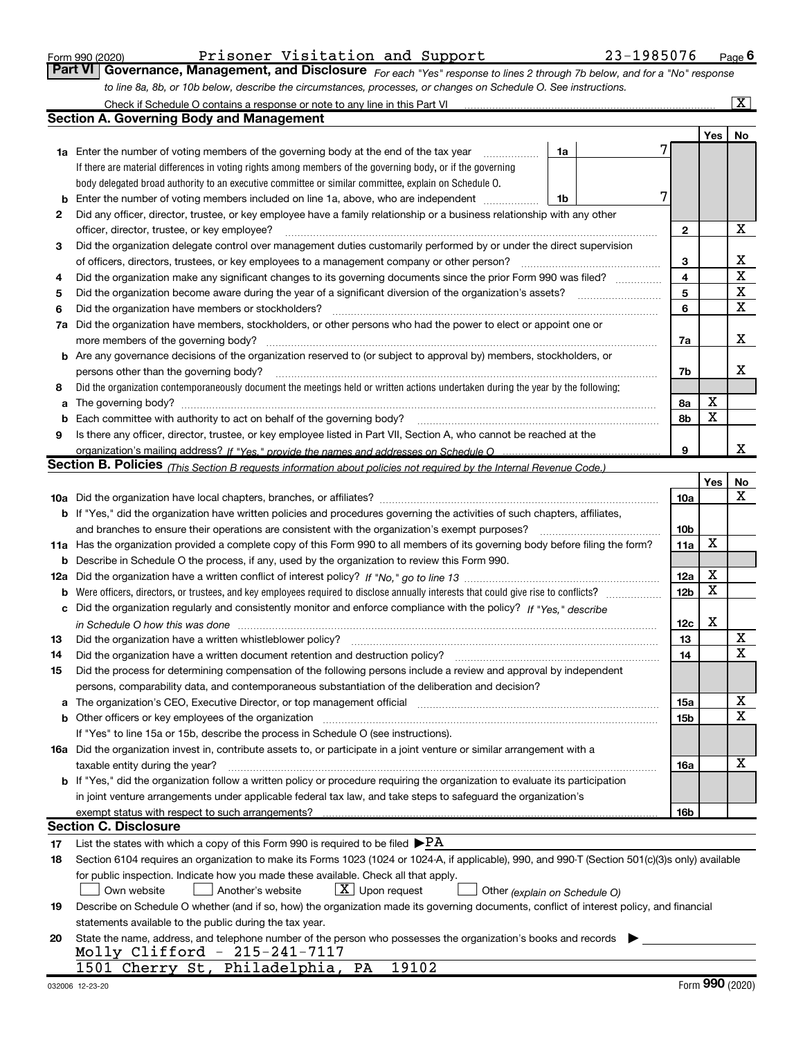|  | Form 990 (2020) |
|--|-----------------|
|  |                 |

#### Form 990 (2020) Prisoner Visitation and Support 23-1985076 Page

| Part VI Governance, Management, and Disclosure For each "Yes" response to lines 2 through 7b below, and for a "No" response |  |
|-----------------------------------------------------------------------------------------------------------------------------|--|
| to line 8a, 8b, or 10b below, describe the circumstances, processes, or changes on Schedule O. See instructions.            |  |
| Check if Schodule $\Omega$ contains a response or note to any line in this Part VI                                          |  |

|                                                                                                                 | Check if Schedule O contains a response or note to any line in this Part VI                                                                                           |    |  |  |                 |            | $\overline{\mathbf{x}}$ |  |  |  |  |
|-----------------------------------------------------------------------------------------------------------------|-----------------------------------------------------------------------------------------------------------------------------------------------------------------------|----|--|--|-----------------|------------|-------------------------|--|--|--|--|
|                                                                                                                 | <b>Section A. Governing Body and Management</b>                                                                                                                       |    |  |  |                 |            |                         |  |  |  |  |
|                                                                                                                 |                                                                                                                                                                       |    |  |  |                 | <b>Yes</b> | No.                     |  |  |  |  |
|                                                                                                                 | 1a Enter the number of voting members of the governing body at the end of the tax year                                                                                | 1a |  |  |                 |            |                         |  |  |  |  |
|                                                                                                                 | If there are material differences in voting rights among members of the governing body, or if the governing                                                           |    |  |  |                 |            |                         |  |  |  |  |
|                                                                                                                 | body delegated broad authority to an executive committee or similar committee, explain on Schedule O.                                                                 |    |  |  |                 |            |                         |  |  |  |  |
| b                                                                                                               | Enter the number of voting members included on line 1a, above, who are independent                                                                                    | 1b |  |  |                 |            |                         |  |  |  |  |
| 2                                                                                                               | Did any officer, director, trustee, or key employee have a family relationship or a business relationship with any other                                              |    |  |  |                 |            |                         |  |  |  |  |
|                                                                                                                 | officer, director, trustee, or key employee?                                                                                                                          |    |  |  | $\mathbf{2}$    |            | X                       |  |  |  |  |
| 3                                                                                                               | Did the organization delegate control over management duties customarily performed by or under the direct supervision                                                 |    |  |  |                 |            |                         |  |  |  |  |
|                                                                                                                 | of officers, directors, trustees, or key employees to a management company or other person?                                                                           |    |  |  | 3               |            | х                       |  |  |  |  |
| 4                                                                                                               | Did the organization make any significant changes to its governing documents since the prior Form 990 was filed?                                                      |    |  |  | 4               |            | X                       |  |  |  |  |
| Did the organization become aware during the year of a significant diversion of the organization's assets?<br>5 |                                                                                                                                                                       |    |  |  |                 |            |                         |  |  |  |  |
| 6                                                                                                               | Did the organization have members or stockholders?                                                                                                                    |    |  |  | 6               |            | X                       |  |  |  |  |
| 7а                                                                                                              | Did the organization have members, stockholders, or other persons who had the power to elect or appoint one or                                                        |    |  |  |                 |            |                         |  |  |  |  |
|                                                                                                                 | more members of the governing body?                                                                                                                                   |    |  |  | 7a              |            | х                       |  |  |  |  |
|                                                                                                                 | <b>b</b> Are any governance decisions of the organization reserved to (or subject to approval by) members, stockholders, or                                           |    |  |  |                 |            |                         |  |  |  |  |
|                                                                                                                 | persons other than the governing body?                                                                                                                                |    |  |  | 7b              |            | х                       |  |  |  |  |
| 8                                                                                                               | Did the organization contemporaneously document the meetings held or written actions undertaken during the year by the following:                                     |    |  |  |                 |            |                         |  |  |  |  |
| а                                                                                                               |                                                                                                                                                                       |    |  |  | 8а              | X          |                         |  |  |  |  |
| b                                                                                                               | Each committee with authority to act on behalf of the governing body?                                                                                                 |    |  |  | 8b              | X          |                         |  |  |  |  |
| 9                                                                                                               | Is there any officer, director, trustee, or key employee listed in Part VII, Section A, who cannot be reached at the                                                  |    |  |  |                 |            |                         |  |  |  |  |
|                                                                                                                 | organization's mailing address? If "Yes." provide the names and addresses on Schedule O                                                                               |    |  |  | 9               |            | x                       |  |  |  |  |
|                                                                                                                 | Section B. Policies <sub>(This Section B requests information about policies not required by the Internal Revenue Code.)</sub>                                        |    |  |  |                 |            |                         |  |  |  |  |
|                                                                                                                 |                                                                                                                                                                       |    |  |  |                 | <b>Yes</b> | No                      |  |  |  |  |
|                                                                                                                 |                                                                                                                                                                       |    |  |  | <b>10a</b>      |            | x                       |  |  |  |  |
|                                                                                                                 | <b>b</b> If "Yes," did the organization have written policies and procedures governing the activities of such chapters, affiliates,                                   |    |  |  |                 |            |                         |  |  |  |  |
|                                                                                                                 | and branches to ensure their operations are consistent with the organization's exempt purposes?                                                                       |    |  |  | 10 <sub>b</sub> |            |                         |  |  |  |  |
|                                                                                                                 | 11a Has the organization provided a complete copy of this Form 990 to all members of its governing body before filing the form?                                       |    |  |  | 11a             | X          |                         |  |  |  |  |
| b                                                                                                               | Describe in Schedule O the process, if any, used by the organization to review this Form 990.                                                                         |    |  |  |                 |            |                         |  |  |  |  |
| 12a                                                                                                             |                                                                                                                                                                       |    |  |  | 12a             | X          |                         |  |  |  |  |
| b                                                                                                               | Were officers, directors, or trustees, and key employees required to disclose annually interests that could give rise to conflicts?                                   |    |  |  | 12 <sub>b</sub> | X          |                         |  |  |  |  |
| с                                                                                                               | Did the organization regularly and consistently monitor and enforce compliance with the policy? If "Yes." describe                                                    |    |  |  |                 |            |                         |  |  |  |  |
|                                                                                                                 | in Schedule O how this was done measured and the control of the control of the state of the control of the cont                                                       |    |  |  | 12c             | X          |                         |  |  |  |  |
| 13                                                                                                              | Did the organization have a written whistleblower policy?                                                                                                             |    |  |  | 13              |            | X                       |  |  |  |  |
| 14                                                                                                              | Did the organization have a written document retention and destruction policy?                                                                                        |    |  |  | 14              |            | $\mathbf X$             |  |  |  |  |
| 15                                                                                                              | Did the process for determining compensation of the following persons include a review and approval by independent                                                    |    |  |  |                 |            |                         |  |  |  |  |
|                                                                                                                 | persons, comparability data, and contemporaneous substantiation of the deliberation and decision?                                                                     |    |  |  |                 |            |                         |  |  |  |  |
| a                                                                                                               | The organization's CEO, Executive Director, or top management official manufactured content of the organization's CEO, Executive Director, or top management official |    |  |  | <b>15a</b>      |            | X                       |  |  |  |  |
|                                                                                                                 |                                                                                                                                                                       |    |  |  | 15b             |            | х                       |  |  |  |  |
|                                                                                                                 | If "Yes" to line 15a or 15b, describe the process in Schedule O (see instructions).                                                                                   |    |  |  |                 |            |                         |  |  |  |  |
|                                                                                                                 | 16a Did the organization invest in, contribute assets to, or participate in a joint venture or similar arrangement with a                                             |    |  |  |                 |            |                         |  |  |  |  |
|                                                                                                                 | taxable entity during the year?                                                                                                                                       |    |  |  | 16a             |            | X                       |  |  |  |  |
|                                                                                                                 | b If "Yes," did the organization follow a written policy or procedure requiring the organization to evaluate its participation                                        |    |  |  |                 |            |                         |  |  |  |  |
|                                                                                                                 | in joint venture arrangements under applicable federal tax law, and take steps to safeguard the organization's                                                        |    |  |  |                 |            |                         |  |  |  |  |
|                                                                                                                 | exempt status with respect to such arrangements?                                                                                                                      |    |  |  | 16 <sub>b</sub> |            |                         |  |  |  |  |
|                                                                                                                 | <b>Section C. Disclosure</b>                                                                                                                                          |    |  |  |                 |            |                         |  |  |  |  |
| 17                                                                                                              | List the states with which a copy of this Form 990 is required to be filed $\blacktriangleright$ PA                                                                   |    |  |  |                 |            |                         |  |  |  |  |
| 18                                                                                                              | Section 6104 requires an organization to make its Forms 1023 (1024 or 1024-A, if applicable), 990, and 990-T (Section 501(c)(3)s only) available                      |    |  |  |                 |            |                         |  |  |  |  |
|                                                                                                                 | for public inspection. Indicate how you made these available. Check all that apply.                                                                                   |    |  |  |                 |            |                         |  |  |  |  |
|                                                                                                                 | $\lfloor x \rfloor$ Upon request<br>Another's website<br>Own website<br>Other (explain on Schedule O)                                                                 |    |  |  |                 |            |                         |  |  |  |  |
| 19                                                                                                              | Describe on Schedule O whether (and if so, how) the organization made its governing documents, conflict of interest policy, and financial                             |    |  |  |                 |            |                         |  |  |  |  |
|                                                                                                                 | statements available to the public during the tax year.                                                                                                               |    |  |  |                 |            |                         |  |  |  |  |
| 20                                                                                                              | State the name, address, and telephone number of the person who possesses the organization's books and records                                                        |    |  |  |                 |            |                         |  |  |  |  |
|                                                                                                                 | Molly Clifford - 215-241-7117                                                                                                                                         |    |  |  |                 |            |                         |  |  |  |  |
|                                                                                                                 | 1501 Cherry St, Philadelphia, PA<br>19102                                                                                                                             |    |  |  |                 |            |                         |  |  |  |  |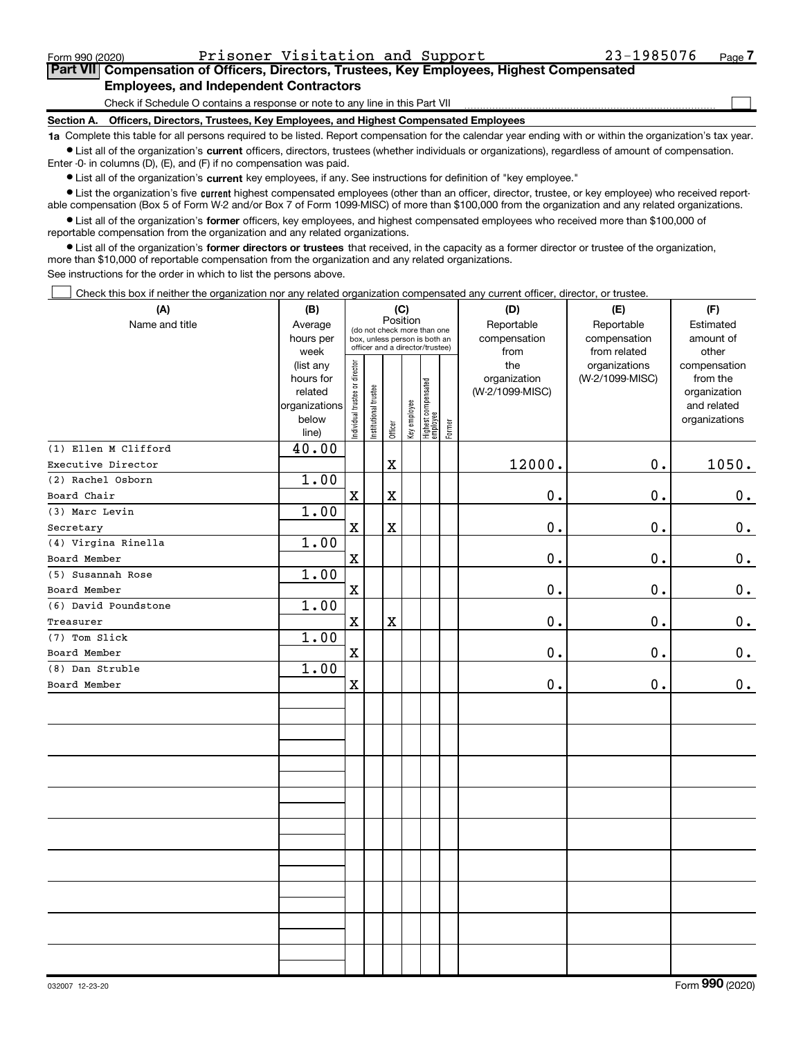$\Box$ 

#### Part VII Compensation of Officers, Directors, Trustees, Key Employees, Highest Compensated Employees, and Independent Contractors

Check if Schedule O contains a response or note to any line in this Part VII

Section A. Officers, Directors, Trustees, Key Employees, and Highest Compensated Employees

1a Complete this table for all persons required to be listed. Report compensation for the calendar year ending with or within the organization's tax year. Ist all of the organization's current officers, directors, trustees (whether individuals or organizations), regardless of amount of compensation.

Enter -0- in columns (D), (E), and (F) if no compensation was paid.

**•** List all of the organization's current key employees, if any. See instructions for definition of "key employee."

● List the organization's five current highest compensated employees (other than an officer, director, trustee, or key employee) who received reportable compensation (Box 5 of Form W-2 and/or Box 7 of Form 1099-MISC) of more than \$100,000 from the organization and any related organizations.

List all of the organization's former officers, key employees, and highest compensated employees who received more than \$100,000 of reportable compensation from the organization and any related organizations.

• List all of the organization's former directors or trustees that received, in the capacity as a former director or trustee of the organization, more than \$10,000 of reportable compensation from the organization and any related organizations.

See instructions for the order in which to list the persons above.

Check this box if neither the organization nor any related organization compensated any current officer, director, or trustee.  $\Box$ 

| (A)                  | (B)               | (C)                            |                       |             |              |                                                                  |        | (D)                  | (E)                          | (F)                |
|----------------------|-------------------|--------------------------------|-----------------------|-------------|--------------|------------------------------------------------------------------|--------|----------------------|------------------------------|--------------------|
| Name and title       | Average           |                                |                       | Position    |              | (do not check more than one                                      |        | Reportable           | Reportable                   | Estimated          |
|                      | hours per<br>week |                                |                       |             |              | box, unless person is both an<br>officer and a director/trustee) |        | compensation<br>from | compensation<br>from related | amount of<br>other |
|                      | (list any         |                                |                       |             |              |                                                                  |        | the                  | organizations                | compensation       |
|                      | hours for         |                                |                       |             |              |                                                                  |        | organization         | (W-2/1099-MISC)              | from the           |
|                      | related           |                                |                       |             |              |                                                                  |        | (W-2/1099-MISC)      |                              | organization       |
|                      | organizations     |                                |                       |             |              |                                                                  |        |                      |                              | and related        |
|                      | below<br>line)    | Individual trustee or director | Institutional trustee | Officer     | Key employee | Highest compensated<br>employee                                  | Former |                      |                              | organizations      |
| (1) Ellen M Clifford | 40.00             |                                |                       |             |              |                                                                  |        |                      |                              |                    |
| Executive Director   |                   |                                |                       | $\mathbf X$ |              |                                                                  |        | 12000.               | 0.                           | 1050.              |
| (2) Rachel Osborn    | 1.00              |                                |                       |             |              |                                                                  |        |                      |                              |                    |
| Board Chair          |                   | $\mathbf X$                    |                       | $\mathbf X$ |              |                                                                  |        | $\mathbf 0$ .        | 0.                           | 0.                 |
| (3) Marc Levin       | 1.00              |                                |                       |             |              |                                                                  |        |                      |                              |                    |
| Secretary            |                   | $\mathbf X$                    |                       | $\mathbf X$ |              |                                                                  |        | 0.                   | $\mathbf 0$ .                | $0_{.}$            |
| (4) Virgina Rinella  | 1.00              |                                |                       |             |              |                                                                  |        |                      |                              |                    |
| Board Member         |                   | $\mathbf X$                    |                       |             |              |                                                                  |        | $0$ .                | 0.                           | $\mathbf 0$ .      |
| (5) Susannah Rose    | 1.00              |                                |                       |             |              |                                                                  |        |                      |                              |                    |
| Board Member         |                   | $\mathbf X$                    |                       |             |              |                                                                  |        | 0.                   | $\mathbf 0$ .                | $0_{.}$            |
| (6) David Poundstone | 1.00              |                                |                       |             |              |                                                                  |        |                      |                              |                    |
| Treasurer            |                   | $\mathbf X$                    |                       | $\mathbf X$ |              |                                                                  |        | 0.                   | $\mathbf 0$ .                | $\mathbf 0$ .      |
| (7) Tom Slick        | 1.00              |                                |                       |             |              |                                                                  |        |                      |                              |                    |
| Board Member         |                   | $\mathbf X$                    |                       |             |              |                                                                  |        | 0.                   | $\mathbf 0$ .                | 0.                 |
| (8) Dan Struble      | 1.00              |                                |                       |             |              |                                                                  |        |                      |                              |                    |
| Board Member         |                   | $\mathbf x$                    |                       |             |              |                                                                  |        | 0.                   | $\mathbf 0$ .                | $0$ .              |
|                      |                   |                                |                       |             |              |                                                                  |        |                      |                              |                    |
|                      |                   |                                |                       |             |              |                                                                  |        |                      |                              |                    |
|                      |                   |                                |                       |             |              |                                                                  |        |                      |                              |                    |
|                      |                   |                                |                       |             |              |                                                                  |        |                      |                              |                    |
|                      |                   |                                |                       |             |              |                                                                  |        |                      |                              |                    |
|                      |                   |                                |                       |             |              |                                                                  |        |                      |                              |                    |
|                      |                   |                                |                       |             |              |                                                                  |        |                      |                              |                    |
|                      |                   |                                |                       |             |              |                                                                  |        |                      |                              |                    |
|                      |                   |                                |                       |             |              |                                                                  |        |                      |                              |                    |
|                      |                   |                                |                       |             |              |                                                                  |        |                      |                              |                    |
|                      |                   |                                |                       |             |              |                                                                  |        |                      |                              |                    |
|                      |                   |                                |                       |             |              |                                                                  |        |                      |                              |                    |
|                      |                   |                                |                       |             |              |                                                                  |        |                      |                              |                    |
|                      |                   |                                |                       |             |              |                                                                  |        |                      |                              |                    |
|                      |                   |                                |                       |             |              |                                                                  |        |                      |                              |                    |
|                      |                   |                                |                       |             |              |                                                                  |        |                      |                              |                    |
|                      |                   |                                |                       |             |              |                                                                  |        |                      |                              |                    |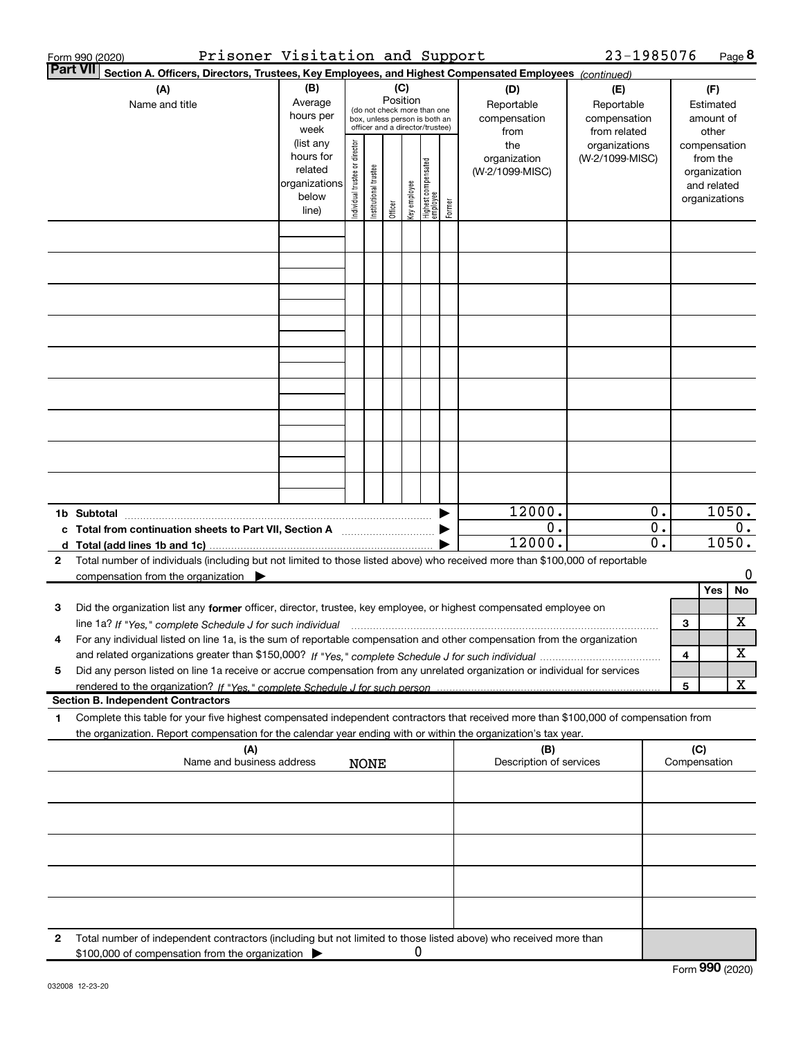| Prisoner Visitation and Support<br>Form 990 (2020)                                                                                                                                                                                                          |                                                                      |                                |                       |                 |              |                                                                                                 |        |                                           | 23-1985076                                        |          |     | Page $8$                                                                 |
|-------------------------------------------------------------------------------------------------------------------------------------------------------------------------------------------------------------------------------------------------------------|----------------------------------------------------------------------|--------------------------------|-----------------------|-----------------|--------------|-------------------------------------------------------------------------------------------------|--------|-------------------------------------------|---------------------------------------------------|----------|-----|--------------------------------------------------------------------------|
| <b>Part VII</b><br>Section A. Officers, Directors, Trustees, Key Employees, and Highest Compensated Employees (continued)                                                                                                                                   |                                                                      |                                |                       |                 |              |                                                                                                 |        |                                           |                                                   |          |     |                                                                          |
| (A)<br>Name and title                                                                                                                                                                                                                                       | (B)<br>Average<br>hours per<br>week                                  |                                |                       | (C)<br>Position |              | (do not check more than one<br>box, unless person is both an<br>officer and a director/trustee) |        | (D)<br>Reportable<br>compensation<br>from | (E)<br>Reportable<br>compensation<br>from related |          |     | (F)<br>Estimated<br>amount of<br>other                                   |
|                                                                                                                                                                                                                                                             | (list any<br>hours for<br>related<br>organizations<br>below<br>line) | Individual trustee or director | Institutional trustee | Officer         | Key employee | Highest compensated<br>employee                                                                 | Former | the<br>organization<br>(W-2/1099-MISC)    | organizations<br>(W-2/1099-MISC)                  |          |     | compensation<br>from the<br>organization<br>and related<br>organizations |
|                                                                                                                                                                                                                                                             |                                                                      |                                |                       |                 |              |                                                                                                 |        |                                           |                                                   |          |     |                                                                          |
|                                                                                                                                                                                                                                                             |                                                                      |                                |                       |                 |              |                                                                                                 |        |                                           |                                                   |          |     |                                                                          |
|                                                                                                                                                                                                                                                             |                                                                      |                                |                       |                 |              |                                                                                                 |        |                                           |                                                   |          |     |                                                                          |
|                                                                                                                                                                                                                                                             |                                                                      |                                |                       |                 |              |                                                                                                 |        |                                           |                                                   |          |     |                                                                          |
|                                                                                                                                                                                                                                                             |                                                                      |                                |                       |                 |              |                                                                                                 |        |                                           |                                                   |          |     |                                                                          |
|                                                                                                                                                                                                                                                             |                                                                      |                                |                       |                 |              |                                                                                                 |        |                                           |                                                   |          |     |                                                                          |
|                                                                                                                                                                                                                                                             |                                                                      |                                |                       |                 |              |                                                                                                 |        |                                           |                                                   |          |     |                                                                          |
|                                                                                                                                                                                                                                                             |                                                                      |                                |                       |                 |              |                                                                                                 |        |                                           |                                                   |          |     |                                                                          |
|                                                                                                                                                                                                                                                             |                                                                      |                                |                       |                 |              |                                                                                                 |        | 12000.                                    |                                                   | 0.       |     | 1050.                                                                    |
| 1b Subtotal<br>c Total from continuation sheets to Part VII, Section A [111] [120] [20]                                                                                                                                                                     |                                                                      |                                |                       |                 |              |                                                                                                 |        | 0.<br>12000.                              |                                                   | 0.<br>0. |     | $0$ .<br>1050.                                                           |
| Total number of individuals (including but not limited to those listed above) who received more than \$100,000 of reportable<br>2<br>compensation from the organization $\blacktriangleright$                                                               |                                                                      |                                |                       |                 |              |                                                                                                 |        |                                           |                                                   |          |     | 0                                                                        |
|                                                                                                                                                                                                                                                             |                                                                      |                                |                       |                 |              |                                                                                                 |        |                                           |                                                   |          |     | Yes<br>No                                                                |
| з<br>Did the organization list any former officer, director, trustee, key employee, or highest compensated employee on                                                                                                                                      |                                                                      |                                |                       |                 |              |                                                                                                 |        |                                           |                                                   |          |     |                                                                          |
|                                                                                                                                                                                                                                                             |                                                                      |                                |                       |                 |              |                                                                                                 |        |                                           |                                                   |          | 3   | Х                                                                        |
| For any individual listed on line 1a, is the sum of reportable compensation and other compensation from the organization<br>4                                                                                                                               |                                                                      |                                |                       |                 |              |                                                                                                 |        |                                           |                                                   |          | 4   | X                                                                        |
| Did any person listed on line 1a receive or accrue compensation from any unrelated organization or individual for services<br>5                                                                                                                             |                                                                      |                                |                       |                 |              |                                                                                                 |        |                                           |                                                   |          |     |                                                                          |
| rendered to the organization? If "Yes." complete Schedule J for such person.                                                                                                                                                                                |                                                                      |                                |                       |                 |              |                                                                                                 |        |                                           |                                                   |          | 5   | X                                                                        |
| <b>Section B. Independent Contractors</b>                                                                                                                                                                                                                   |                                                                      |                                |                       |                 |              |                                                                                                 |        |                                           |                                                   |          |     |                                                                          |
| Complete this table for your five highest compensated independent contractors that received more than \$100,000 of compensation from<br>1<br>the organization. Report compensation for the calendar year ending with or within the organization's tax year. |                                                                      |                                |                       |                 |              |                                                                                                 |        |                                           |                                                   |          |     |                                                                          |
| (A)<br>Name and business address                                                                                                                                                                                                                            |                                                                      |                                | <b>NONE</b>           |                 |              |                                                                                                 |        | (B)<br>Description of services            |                                                   |          | (C) | Compensation                                                             |
|                                                                                                                                                                                                                                                             |                                                                      |                                |                       |                 |              |                                                                                                 |        |                                           |                                                   |          |     |                                                                          |
|                                                                                                                                                                                                                                                             |                                                                      |                                |                       |                 |              |                                                                                                 |        |                                           |                                                   |          |     |                                                                          |
|                                                                                                                                                                                                                                                             |                                                                      |                                |                       |                 |              |                                                                                                 |        |                                           |                                                   |          |     |                                                                          |
|                                                                                                                                                                                                                                                             |                                                                      |                                |                       |                 |              |                                                                                                 |        |                                           |                                                   |          |     |                                                                          |
| Total number of independent contractors (including but not limited to those listed above) who received more than<br>2                                                                                                                                       |                                                                      |                                |                       |                 |              |                                                                                                 |        |                                           |                                                   |          |     |                                                                          |
| \$100,000 of compensation from the organization                                                                                                                                                                                                             |                                                                      |                                |                       |                 | 0            |                                                                                                 |        |                                           |                                                   |          |     |                                                                          |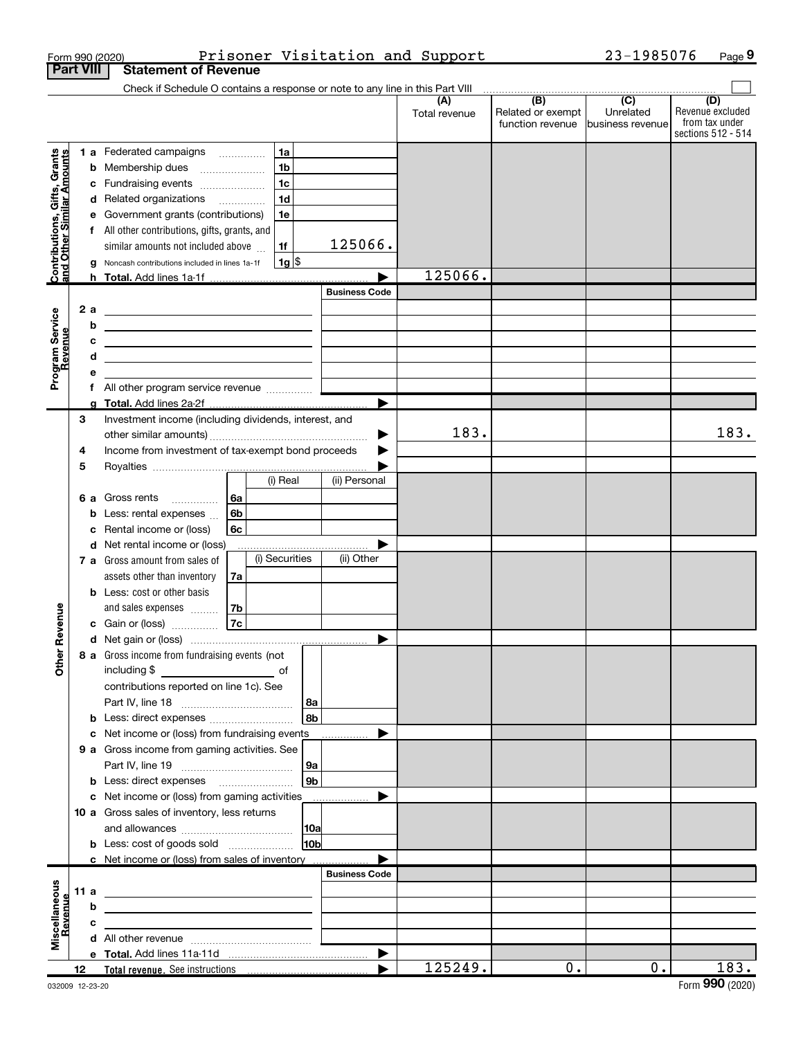|                                                                  | <b>Part VIII</b> |   | Form 990 (2020)<br><b>Statement of Revenue</b>                                                                        |    |                    |                        |                       | Prisoner Visitation and Support |                                              | 23-1985076                                         |                                                                 | Page 9 |
|------------------------------------------------------------------|------------------|---|-----------------------------------------------------------------------------------------------------------------------|----|--------------------|------------------------|-----------------------|---------------------------------|----------------------------------------------|----------------------------------------------------|-----------------------------------------------------------------|--------|
|                                                                  |                  |   | Check if Schedule O contains a response or note to any line in this Part VIII                                         |    |                    |                        |                       |                                 |                                              |                                                    |                                                                 |        |
|                                                                  |                  |   |                                                                                                                       |    |                    |                        |                       | (A)<br>Total revenue            | (B)<br>Related or exempt<br>function revenue | $\overline{(C)}$<br>Unrelated<br>Ibusiness revenue | (D)<br>Revenue excluded<br>from tax under<br>sections 512 - 514 |        |
|                                                                  |                  |   | <b>1 a</b> Federated campaigns                                                                                        |    | 1a                 |                        |                       |                                 |                                              |                                                    |                                                                 |        |
| <b>Contributions, Gifts, Grants</b><br>and Other Similar Amounts |                  |   | <b>b</b> Membership dues                                                                                              |    | 1 <sub>b</sub>     |                        |                       |                                 |                                              |                                                    |                                                                 |        |
|                                                                  |                  |   | c Fundraising events                                                                                                  |    | 1 <sub>c</sub>     |                        |                       |                                 |                                              |                                                    |                                                                 |        |
|                                                                  |                  |   | d Related organizations                                                                                               |    | 1 <sub>d</sub>     |                        |                       |                                 |                                              |                                                    |                                                                 |        |
|                                                                  |                  |   | e Government grants (contributions)                                                                                   |    | 1e                 |                        |                       |                                 |                                              |                                                    |                                                                 |        |
|                                                                  |                  |   | f All other contributions, gifts, grants, and<br>similar amounts not included above                                   |    | 1f                 |                        | 125066.               |                                 |                                              |                                                    |                                                                 |        |
|                                                                  |                  | g | Noncash contributions included in lines 1a-1f                                                                         |    | $1g$ $\frac{1}{3}$ |                        |                       |                                 |                                              |                                                    |                                                                 |        |
|                                                                  |                  |   | h Total. Add lines 1a-1f                                                                                              |    |                    |                        |                       | 125066.                         |                                              |                                                    |                                                                 |        |
|                                                                  |                  |   |                                                                                                                       |    |                    |                        | <b>Business Code</b>  |                                 |                                              |                                                    |                                                                 |        |
|                                                                  | 2a               |   | <u> 1989 - Johann Barbara, martin amerikan basar dan berasal dalam basa dalam basar dalam basar dalam basa dalam</u>  |    |                    |                        |                       |                                 |                                              |                                                    |                                                                 |        |
|                                                                  |                  | b | <u> 1989 - Jan Samuel Barbara, martin da shekara 1980 - An tsa na shekara 1980 - An tsa na shekara 1980 - An tsa</u>  |    |                    |                        |                       |                                 |                                              |                                                    |                                                                 |        |
|                                                                  |                  | c | <u> 1989 - Johann Barbara, martxa alemaniar a</u>                                                                     |    |                    |                        |                       |                                 |                                              |                                                    |                                                                 |        |
|                                                                  |                  | d | <u> 1989 - Johann Barbara, martin amerikan basar dan berasal dalam basa dalam basar dalam basar dalam basar dala</u>  |    |                    |                        |                       |                                 |                                              |                                                    |                                                                 |        |
| Program Service<br>Revenue                                       |                  |   |                                                                                                                       |    |                    |                        |                       |                                 |                                              |                                                    |                                                                 |        |
|                                                                  |                  | f | All other program service revenue                                                                                     |    |                    |                        | $\blacktriangleright$ |                                 |                                              |                                                    |                                                                 |        |
|                                                                  | 3                |   | Investment income (including dividends, interest, and                                                                 |    |                    |                        |                       |                                 |                                              |                                                    |                                                                 |        |
|                                                                  |                  |   |                                                                                                                       |    |                    |                        | ▶                     | 183.                            |                                              |                                                    |                                                                 | 183.   |
|                                                                  | 4                |   | Income from investment of tax-exempt bond proceeds                                                                    |    |                    |                        |                       |                                 |                                              |                                                    |                                                                 |        |
|                                                                  | 5                |   |                                                                                                                       |    |                    |                        |                       |                                 |                                              |                                                    |                                                                 |        |
|                                                                  |                  |   |                                                                                                                       |    | (i) Real           |                        | (ii) Personal         |                                 |                                              |                                                    |                                                                 |        |
|                                                                  | 6а               |   | Gross rents                                                                                                           | 6a |                    |                        |                       |                                 |                                              |                                                    |                                                                 |        |
|                                                                  |                  | b | Less: rental expenses                                                                                                 | 6b |                    |                        |                       |                                 |                                              |                                                    |                                                                 |        |
|                                                                  |                  | c | Rental income or (loss)                                                                                               | 6с |                    |                        |                       |                                 |                                              |                                                    |                                                                 |        |
|                                                                  |                  |   | d Net rental income or (loss)<br>7 a Gross amount from sales of                                                       |    | (i) Securities     |                        | (ii) Other            |                                 |                                              |                                                    |                                                                 |        |
|                                                                  |                  |   | assets other than inventory                                                                                           | 7a |                    |                        |                       |                                 |                                              |                                                    |                                                                 |        |
|                                                                  |                  |   | <b>b</b> Less: cost or other basis                                                                                    |    |                    |                        |                       |                                 |                                              |                                                    |                                                                 |        |
|                                                                  |                  |   | and sales expenses                                                                                                    | 7b |                    |                        |                       |                                 |                                              |                                                    |                                                                 |        |
| venue                                                            |                  |   | c Gain or (loss)                                                                                                      | 7c |                    |                        |                       |                                 |                                              |                                                    |                                                                 |        |
|                                                                  |                  |   |                                                                                                                       |    |                    |                        |                       |                                 |                                              |                                                    |                                                                 |        |
| Other Re                                                         |                  |   | 8 a Gross income from fundraising events (not                                                                         |    |                    |                        |                       |                                 |                                              |                                                    |                                                                 |        |
|                                                                  |                  |   |                                                                                                                       |    |                    |                        |                       |                                 |                                              |                                                    |                                                                 |        |
|                                                                  |                  |   | contributions reported on line 1c). See                                                                               |    |                    |                        |                       |                                 |                                              |                                                    |                                                                 |        |
|                                                                  |                  |   | <b>b</b> Less: direct expenses                                                                                        |    |                    | 8a<br>l 8b             |                       |                                 |                                              |                                                    |                                                                 |        |
|                                                                  |                  |   | c Net income or (loss) from fundraising events                                                                        |    |                    |                        |                       |                                 |                                              |                                                    |                                                                 |        |
|                                                                  |                  |   | 9 a Gross income from gaming activities. See                                                                          |    |                    |                        |                       |                                 |                                              |                                                    |                                                                 |        |
|                                                                  |                  |   |                                                                                                                       |    |                    | 9a                     |                       |                                 |                                              |                                                    |                                                                 |        |
|                                                                  |                  |   | <b>b</b> Less: direct expenses <b>manually</b>                                                                        |    |                    | l 9b                   |                       |                                 |                                              |                                                    |                                                                 |        |
|                                                                  |                  |   | c Net income or (loss) from gaming activities                                                                         |    |                    |                        |                       |                                 |                                              |                                                    |                                                                 |        |
|                                                                  |                  |   | 10 a Gross sales of inventory, less returns                                                                           |    |                    |                        |                       |                                 |                                              |                                                    |                                                                 |        |
|                                                                  |                  |   |                                                                                                                       |    |                    | 10a<br>10 <sub>b</sub> |                       |                                 |                                              |                                                    |                                                                 |        |
|                                                                  |                  |   | <b>b</b> Less: cost of goods sold<br>c Net income or (loss) from sales of inventory.                                  |    |                    |                        |                       |                                 |                                              |                                                    |                                                                 |        |
|                                                                  |                  |   |                                                                                                                       |    |                    |                        | <b>Business Code</b>  |                                 |                                              |                                                    |                                                                 |        |
|                                                                  | 11 a             |   | <u> 1980 - Jan Sterling, mars and de la provincia de la provincia de la provincia de la provincia de la provincia</u> |    |                    |                        |                       |                                 |                                              |                                                    |                                                                 |        |
|                                                                  |                  | b |                                                                                                                       |    |                    |                        |                       |                                 |                                              |                                                    |                                                                 |        |
| Revenue                                                          |                  | c |                                                                                                                       |    |                    |                        |                       |                                 |                                              |                                                    |                                                                 |        |
| Miscellaneous                                                    |                  |   |                                                                                                                       |    |                    |                        |                       |                                 |                                              |                                                    |                                                                 |        |
|                                                                  |                  |   |                                                                                                                       |    |                    |                        |                       |                                 |                                              |                                                    |                                                                 |        |
|                                                                  | 12               |   |                                                                                                                       |    |                    |                        |                       | 125249.                         | 0.                                           | Ο.                                                 |                                                                 | 183.   |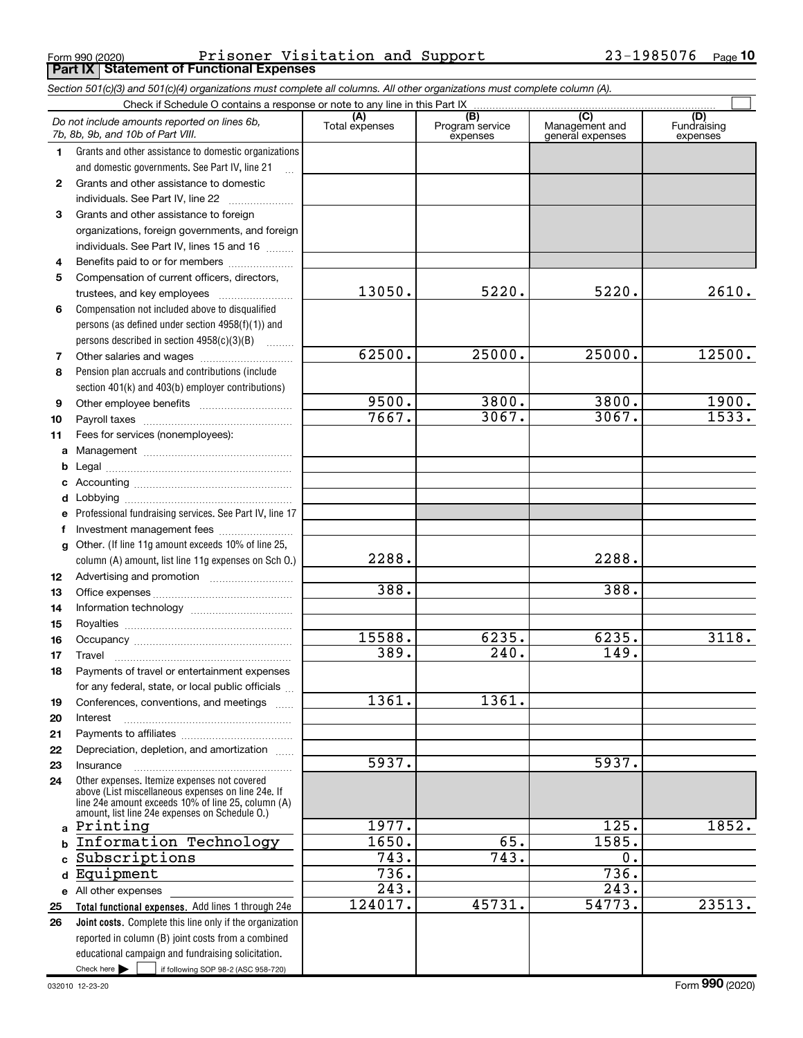Form 990 (2020) Prisoner Visitation and Support 23-1985076 Page <br>| **Part IX | Statement of Functional Expenses** Prisoner Visitation and Support 23-1985076

|                                                                             | Section 501(c)(3) and 501(c)(4) organizations must complete all columns. All other organizations must complete column (A).                                                                                 |                       |                                    |                                           |                                |  |  |  |  |
|-----------------------------------------------------------------------------|------------------------------------------------------------------------------------------------------------------------------------------------------------------------------------------------------------|-----------------------|------------------------------------|-------------------------------------------|--------------------------------|--|--|--|--|
| Check if Schedule O contains a response or note to any line in this Part IX |                                                                                                                                                                                                            |                       |                                    |                                           |                                |  |  |  |  |
|                                                                             | Do not include amounts reported on lines 6b,<br>7b, 8b, 9b, and 10b of Part VIII.                                                                                                                          | (A)<br>Total expenses | (B)<br>Program service<br>expenses | (C)<br>Management and<br>general expenses | (D)<br>Fundraising<br>expenses |  |  |  |  |
| $\mathbf 1$                                                                 | Grants and other assistance to domestic organizations                                                                                                                                                      |                       |                                    |                                           |                                |  |  |  |  |
|                                                                             | and domestic governments. See Part IV, line 21                                                                                                                                                             |                       |                                    |                                           |                                |  |  |  |  |
| $\mathbf{2}$                                                                | Grants and other assistance to domestic                                                                                                                                                                    |                       |                                    |                                           |                                |  |  |  |  |
|                                                                             | individuals. See Part IV, line 22                                                                                                                                                                          |                       |                                    |                                           |                                |  |  |  |  |
| 3                                                                           | Grants and other assistance to foreign                                                                                                                                                                     |                       |                                    |                                           |                                |  |  |  |  |
|                                                                             | organizations, foreign governments, and foreign                                                                                                                                                            |                       |                                    |                                           |                                |  |  |  |  |
|                                                                             | individuals. See Part IV, lines 15 and 16                                                                                                                                                                  |                       |                                    |                                           |                                |  |  |  |  |
| 4                                                                           | Benefits paid to or for members                                                                                                                                                                            |                       |                                    |                                           |                                |  |  |  |  |
| 5                                                                           | Compensation of current officers, directors,                                                                                                                                                               |                       |                                    |                                           |                                |  |  |  |  |
|                                                                             |                                                                                                                                                                                                            | 13050.                | 5220.                              | 5220.                                     | 2610.                          |  |  |  |  |
| 6                                                                           | Compensation not included above to disqualified                                                                                                                                                            |                       |                                    |                                           |                                |  |  |  |  |
|                                                                             | persons (as defined under section 4958(f)(1)) and                                                                                                                                                          |                       |                                    |                                           |                                |  |  |  |  |
|                                                                             | persons described in section 4958(c)(3)(B)                                                                                                                                                                 |                       |                                    |                                           |                                |  |  |  |  |
| 7                                                                           |                                                                                                                                                                                                            | 62500.                | 25000.                             | 25000.                                    | 12500.                         |  |  |  |  |
| 8                                                                           | Pension plan accruals and contributions (include                                                                                                                                                           |                       |                                    |                                           |                                |  |  |  |  |
|                                                                             | section 401(k) and 403(b) employer contributions)                                                                                                                                                          |                       |                                    |                                           |                                |  |  |  |  |
| 9                                                                           |                                                                                                                                                                                                            | 9500.<br>7667.        | 3800.<br>3067.                     | 3800.<br>3067.                            | 1900.<br>1533.                 |  |  |  |  |
| 10                                                                          |                                                                                                                                                                                                            |                       |                                    |                                           |                                |  |  |  |  |
| 11                                                                          | Fees for services (nonemployees):                                                                                                                                                                          |                       |                                    |                                           |                                |  |  |  |  |
|                                                                             |                                                                                                                                                                                                            |                       |                                    |                                           |                                |  |  |  |  |
| b                                                                           |                                                                                                                                                                                                            |                       |                                    |                                           |                                |  |  |  |  |
|                                                                             |                                                                                                                                                                                                            |                       |                                    |                                           |                                |  |  |  |  |
|                                                                             |                                                                                                                                                                                                            |                       |                                    |                                           |                                |  |  |  |  |
|                                                                             | Professional fundraising services. See Part IV, line 17                                                                                                                                                    |                       |                                    |                                           |                                |  |  |  |  |
|                                                                             | Investment management fees<br>g Other. (If line 11g amount exceeds 10% of line 25,                                                                                                                         |                       |                                    |                                           |                                |  |  |  |  |
|                                                                             | column (A) amount, list line 11g expenses on Sch O.)                                                                                                                                                       | 2288.                 |                                    | 2288.                                     |                                |  |  |  |  |
| 12                                                                          |                                                                                                                                                                                                            |                       |                                    |                                           |                                |  |  |  |  |
| 13                                                                          |                                                                                                                                                                                                            | 388.                  |                                    | 388.                                      |                                |  |  |  |  |
| 14                                                                          |                                                                                                                                                                                                            |                       |                                    |                                           |                                |  |  |  |  |
| 15                                                                          |                                                                                                                                                                                                            |                       |                                    |                                           |                                |  |  |  |  |
| 16                                                                          |                                                                                                                                                                                                            | 15588.                | 6235.                              | 6235.                                     | 3118.                          |  |  |  |  |
| 17                                                                          |                                                                                                                                                                                                            | 389.                  | $\overline{240}$ .                 | 149.                                      |                                |  |  |  |  |
| 18                                                                          | Payments of travel or entertainment expenses                                                                                                                                                               |                       |                                    |                                           |                                |  |  |  |  |
|                                                                             | for any federal, state, or local public officials                                                                                                                                                          |                       |                                    |                                           |                                |  |  |  |  |
| 19                                                                          | Conferences, conventions, and meetings                                                                                                                                                                     | 1361.                 | 1361.                              |                                           |                                |  |  |  |  |
| 20                                                                          | Interest                                                                                                                                                                                                   |                       |                                    |                                           |                                |  |  |  |  |
| 21                                                                          |                                                                                                                                                                                                            |                       |                                    |                                           |                                |  |  |  |  |
| 22                                                                          | Depreciation, depletion, and amortization                                                                                                                                                                  |                       |                                    |                                           |                                |  |  |  |  |
| 23                                                                          | Insurance                                                                                                                                                                                                  | 5937.                 |                                    | 5937.                                     |                                |  |  |  |  |
| 24                                                                          | Other expenses. Itemize expenses not covered<br>above (List miscellaneous expenses on line 24e. If<br>line 24e amount exceeds 10% of line 25, column (A)<br>amount, list line 24e expenses on Schedule O.) |                       |                                    |                                           |                                |  |  |  |  |
|                                                                             | a Printing                                                                                                                                                                                                 | 1977.                 |                                    | 125.                                      | 1852.                          |  |  |  |  |
|                                                                             | Information Technology                                                                                                                                                                                     | 1650.                 | 65.                                | 1585.                                     |                                |  |  |  |  |
|                                                                             | Subscriptions                                                                                                                                                                                              | $\overline{743}$ .    | 743.                               | $\overline{0}$ .                          |                                |  |  |  |  |
| d                                                                           | Equipment                                                                                                                                                                                                  | $\overline{736}$ .    |                                    | 736.                                      |                                |  |  |  |  |
|                                                                             | e All other expenses                                                                                                                                                                                       | 243.                  |                                    | 243.                                      |                                |  |  |  |  |
| 25                                                                          | Total functional expenses. Add lines 1 through 24e                                                                                                                                                         | 124017.               | 45731.                             | 54773.                                    | 23513.                         |  |  |  |  |
| 26                                                                          | Joint costs. Complete this line only if the organization                                                                                                                                                   |                       |                                    |                                           |                                |  |  |  |  |
|                                                                             | reported in column (B) joint costs from a combined                                                                                                                                                         |                       |                                    |                                           |                                |  |  |  |  |
|                                                                             | educational campaign and fundraising solicitation.                                                                                                                                                         |                       |                                    |                                           |                                |  |  |  |  |
|                                                                             | Check here $\blacktriangleright$<br>if following SOP 98-2 (ASC 958-720)                                                                                                                                    |                       |                                    |                                           |                                |  |  |  |  |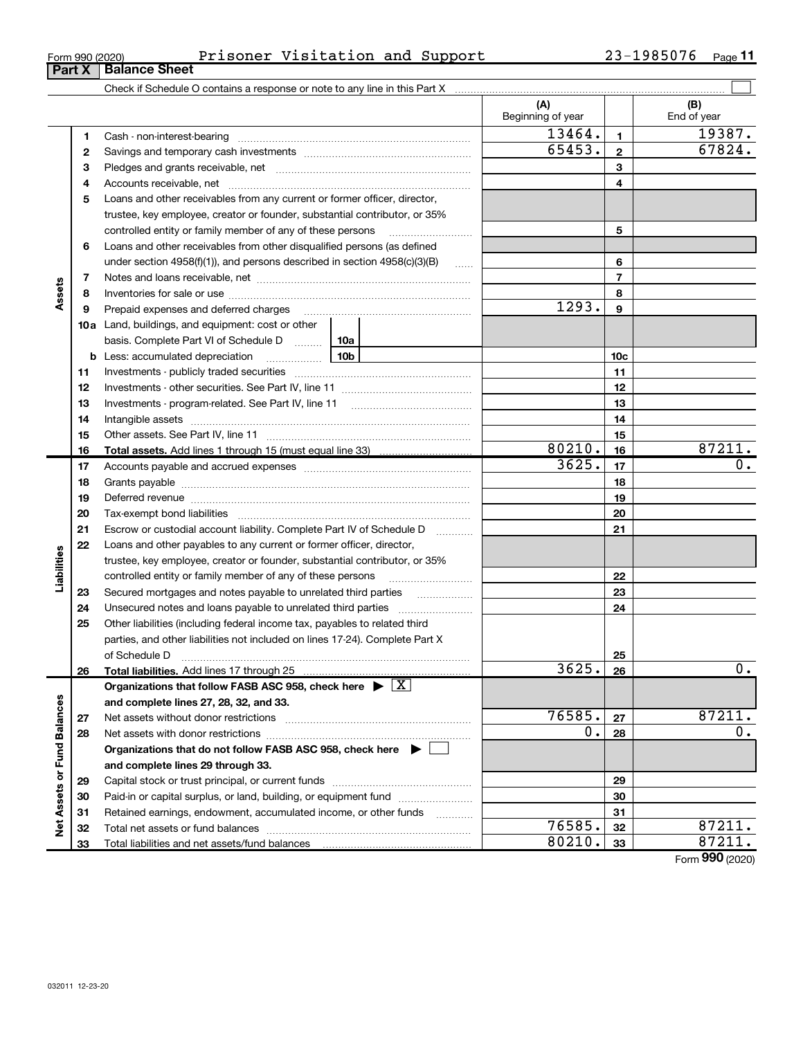33

Total liabilities and net assets/fund balances

| Form 990 (2020) | Prisoner | Visitation and Support |  | 1985076<br>າ ຊ _<br>ر ہے | Page |
|-----------------|----------|------------------------|--|--------------------------|------|
|-----------------|----------|------------------------|--|--------------------------|------|

|                             |              |                                                                                                                                                                                                                                | (A)<br>Beginning of year |                 | (B)<br>End of year |
|-----------------------------|--------------|--------------------------------------------------------------------------------------------------------------------------------------------------------------------------------------------------------------------------------|--------------------------|-----------------|--------------------|
|                             | 1            | Cash - non-interest-bearing                                                                                                                                                                                                    | 13464.                   | 1               | 19387.             |
|                             | $\mathbf{2}$ |                                                                                                                                                                                                                                | 65453.                   | $\mathbf{2}$    | 67824.             |
|                             | з            |                                                                                                                                                                                                                                |                          | 3               |                    |
|                             | 4            |                                                                                                                                                                                                                                |                          | 4               |                    |
|                             | 5            | Loans and other receivables from any current or former officer, director,                                                                                                                                                      |                          |                 |                    |
|                             |              | trustee, key employee, creator or founder, substantial contributor, or 35%                                                                                                                                                     |                          |                 |                    |
|                             |              | controlled entity or family member of any of these persons                                                                                                                                                                     |                          | 5               |                    |
|                             | 6            | Loans and other receivables from other disqualified persons (as defined                                                                                                                                                        |                          |                 |                    |
|                             |              | under section 4958(f)(1)), and persons described in section 4958(c)(3)(B)<br>1.1.1.1.1                                                                                                                                         |                          | 6               |                    |
|                             | 7            |                                                                                                                                                                                                                                |                          | $\overline{7}$  |                    |
| Assets                      | 8            |                                                                                                                                                                                                                                |                          | 8               |                    |
|                             | 9            |                                                                                                                                                                                                                                | 1293.                    | 9               |                    |
|                             | 10a          | Land, buildings, and equipment: cost or other                                                                                                                                                                                  |                          |                 |                    |
|                             |              | basis. Complete Part VI of Schedule D  10a                                                                                                                                                                                     |                          |                 |                    |
|                             |              | 10 <sub>b</sub><br><b>b</b> Less: accumulated depreciation<br>$\ldots \ldots \ldots \ldots$                                                                                                                                    |                          | 10 <sub>c</sub> |                    |
|                             | 11           |                                                                                                                                                                                                                                |                          | 11              |                    |
|                             | 12           |                                                                                                                                                                                                                                |                          | 12              |                    |
|                             | 13           | Investments - program-related. See Part IV, line 11                                                                                                                                                                            |                          | 13              |                    |
|                             | 14           |                                                                                                                                                                                                                                |                          | 14              |                    |
|                             | 15           |                                                                                                                                                                                                                                |                          | 15              |                    |
|                             | 16           |                                                                                                                                                                                                                                | 80210.                   | 16              | 87211.             |
|                             | 17           |                                                                                                                                                                                                                                | 3625.                    | 17              | 0.                 |
|                             | 18           |                                                                                                                                                                                                                                |                          | 18              |                    |
|                             | 19           | Deferred revenue manual contracts and contracts are contracted and contract and contract are contracted and contract are contracted and contract are contracted and contract are contracted and contract are contracted and co |                          | 19              |                    |
|                             | 20           |                                                                                                                                                                                                                                |                          | 20              |                    |
|                             | 21           | Escrow or custodial account liability. Complete Part IV of Schedule D<br>$\ldots \ldots \ldots$                                                                                                                                |                          | 21              |                    |
|                             | 22           | Loans and other payables to any current or former officer, director,                                                                                                                                                           |                          |                 |                    |
|                             |              | trustee, key employee, creator or founder, substantial contributor, or 35%                                                                                                                                                     |                          |                 |                    |
| Liabilities                 |              | controlled entity or family member of any of these persons                                                                                                                                                                     |                          | 22              |                    |
|                             | 23           | Secured mortgages and notes payable to unrelated third parties<br>.                                                                                                                                                            |                          | 23              |                    |
|                             | 24           |                                                                                                                                                                                                                                |                          | 24              |                    |
|                             | 25           | Other liabilities (including federal income tax, payables to related third                                                                                                                                                     |                          |                 |                    |
|                             |              | parties, and other liabilities not included on lines 17-24). Complete Part X                                                                                                                                                   |                          |                 |                    |
|                             |              | of Schedule D                                                                                                                                                                                                                  |                          | 25              |                    |
|                             | 26           | Total liabilities. Add lines 17 through 25                                                                                                                                                                                     | <u>3625.</u>             | 26              | 0.                 |
|                             |              | Organizations that follow FASB ASC 958, check here $\blacktriangleright \boxed{X}$                                                                                                                                             |                          |                 |                    |
|                             |              | and complete lines 27, 28, 32, and 33.                                                                                                                                                                                         |                          |                 |                    |
|                             | 27           | Net assets without donor restrictions                                                                                                                                                                                          | 76585.                   | 27              | 87211.             |
|                             | 28           |                                                                                                                                                                                                                                | 0.                       | 28              | 0.                 |
|                             |              | Organizations that do not follow FASB ASC 958, check here $\blacktriangleright$                                                                                                                                                |                          |                 |                    |
| Net Assets or Fund Balances |              | and complete lines 29 through 33.                                                                                                                                                                                              |                          |                 |                    |
|                             | 29           |                                                                                                                                                                                                                                |                          | 29              |                    |
|                             | 30           | Paid-in or capital surplus, or land, building, or equipment fund                                                                                                                                                               |                          | 30              |                    |
|                             | 31           | Retained earnings, endowment, accumulated income, or other funds                                                                                                                                                               |                          | 31              |                    |
|                             | 32           |                                                                                                                                                                                                                                | 76585.                   | 32              | 87211.             |

Form 990 (2020)

80210. 33

# **Part X | Balance Sheet**

| Form 990 (2020 |  |
|----------------|--|
|                |  |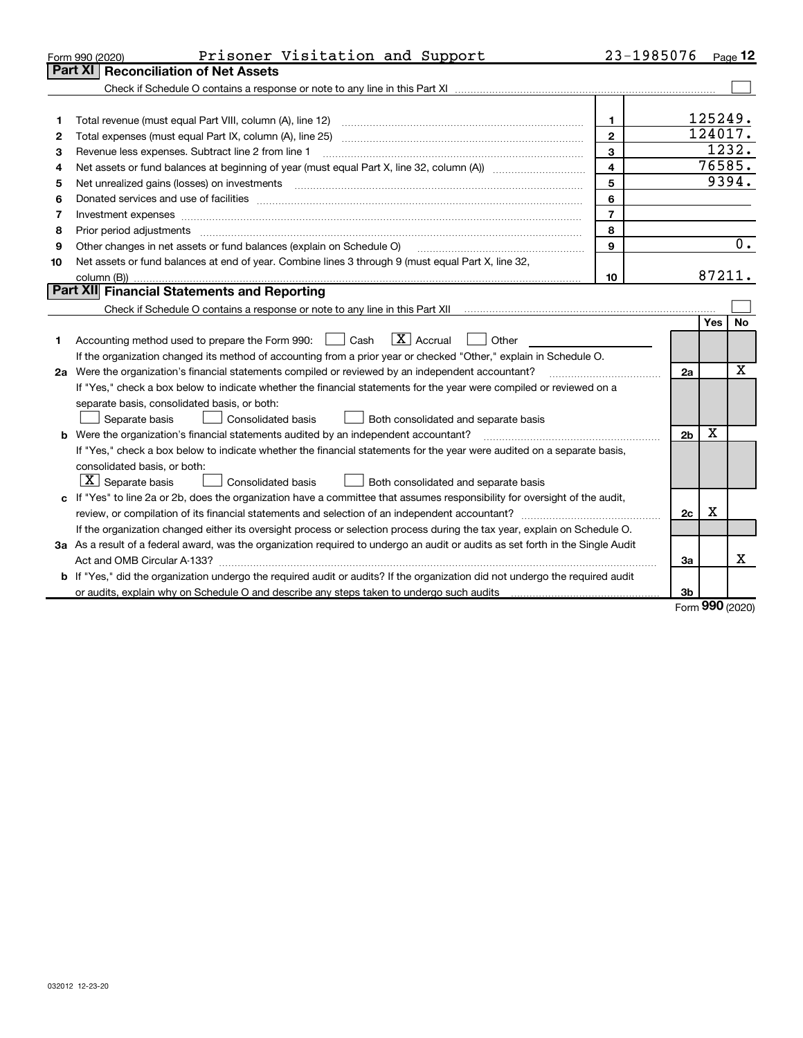| <b>Part XI</b><br><b>Reconciliation of Net Assets</b><br>125249.<br>1<br>1<br>124017.<br>$\mathbf{2}$<br>2<br>1232.<br>$\mathbf{3}$<br>Revenue less expenses. Subtract line 2 from line 1<br>з<br>76585.<br>$\overline{\mathbf{4}}$<br>4<br>9394.<br>5<br>5<br>6<br>6<br>$\overline{7}$<br>Investment expenses www.communication.com/www.communication.com/www.communication.com/www.com<br>7<br>8<br>8<br>9<br>Other changes in net assets or fund balances (explain on Schedule O)<br>9<br>Net assets or fund balances at end of year. Combine lines 3 through 9 (must equal Part X, line 32,<br>10<br>87211.<br>10<br>Part XII Financial Statements and Reporting<br><b>Yes</b><br>$\overline{X}$ Accrual<br>Accounting method used to prepare the Form 990: [139] Cash<br>Other<br>1 | Prisoner Visitation and Support<br>Form 990 (2020)                                                                | 23-1985076 |  |  | $P_{\text{aqe}}$ 12 |  |
|------------------------------------------------------------------------------------------------------------------------------------------------------------------------------------------------------------------------------------------------------------------------------------------------------------------------------------------------------------------------------------------------------------------------------------------------------------------------------------------------------------------------------------------------------------------------------------------------------------------------------------------------------------------------------------------------------------------------------------------------------------------------------------------|-------------------------------------------------------------------------------------------------------------------|------------|--|--|---------------------|--|
|                                                                                                                                                                                                                                                                                                                                                                                                                                                                                                                                                                                                                                                                                                                                                                                          |                                                                                                                   |            |  |  |                     |  |
|                                                                                                                                                                                                                                                                                                                                                                                                                                                                                                                                                                                                                                                                                                                                                                                          |                                                                                                                   |            |  |  |                     |  |
|                                                                                                                                                                                                                                                                                                                                                                                                                                                                                                                                                                                                                                                                                                                                                                                          |                                                                                                                   |            |  |  |                     |  |
|                                                                                                                                                                                                                                                                                                                                                                                                                                                                                                                                                                                                                                                                                                                                                                                          |                                                                                                                   |            |  |  |                     |  |
|                                                                                                                                                                                                                                                                                                                                                                                                                                                                                                                                                                                                                                                                                                                                                                                          |                                                                                                                   |            |  |  |                     |  |
|                                                                                                                                                                                                                                                                                                                                                                                                                                                                                                                                                                                                                                                                                                                                                                                          |                                                                                                                   |            |  |  |                     |  |
|                                                                                                                                                                                                                                                                                                                                                                                                                                                                                                                                                                                                                                                                                                                                                                                          |                                                                                                                   |            |  |  |                     |  |
|                                                                                                                                                                                                                                                                                                                                                                                                                                                                                                                                                                                                                                                                                                                                                                                          |                                                                                                                   |            |  |  |                     |  |
|                                                                                                                                                                                                                                                                                                                                                                                                                                                                                                                                                                                                                                                                                                                                                                                          |                                                                                                                   |            |  |  |                     |  |
|                                                                                                                                                                                                                                                                                                                                                                                                                                                                                                                                                                                                                                                                                                                                                                                          |                                                                                                                   |            |  |  |                     |  |
|                                                                                                                                                                                                                                                                                                                                                                                                                                                                                                                                                                                                                                                                                                                                                                                          |                                                                                                                   |            |  |  |                     |  |
|                                                                                                                                                                                                                                                                                                                                                                                                                                                                                                                                                                                                                                                                                                                                                                                          |                                                                                                                   |            |  |  | 0.                  |  |
|                                                                                                                                                                                                                                                                                                                                                                                                                                                                                                                                                                                                                                                                                                                                                                                          |                                                                                                                   |            |  |  |                     |  |
|                                                                                                                                                                                                                                                                                                                                                                                                                                                                                                                                                                                                                                                                                                                                                                                          |                                                                                                                   |            |  |  |                     |  |
|                                                                                                                                                                                                                                                                                                                                                                                                                                                                                                                                                                                                                                                                                                                                                                                          |                                                                                                                   |            |  |  |                     |  |
|                                                                                                                                                                                                                                                                                                                                                                                                                                                                                                                                                                                                                                                                                                                                                                                          |                                                                                                                   |            |  |  |                     |  |
|                                                                                                                                                                                                                                                                                                                                                                                                                                                                                                                                                                                                                                                                                                                                                                                          |                                                                                                                   |            |  |  | <b>No</b>           |  |
|                                                                                                                                                                                                                                                                                                                                                                                                                                                                                                                                                                                                                                                                                                                                                                                          |                                                                                                                   |            |  |  |                     |  |
|                                                                                                                                                                                                                                                                                                                                                                                                                                                                                                                                                                                                                                                                                                                                                                                          | If the organization changed its method of accounting from a prior year or checked "Other," explain in Schedule O. |            |  |  |                     |  |
| X<br>2a Were the organization's financial statements compiled or reviewed by an independent accountant?<br>2a                                                                                                                                                                                                                                                                                                                                                                                                                                                                                                                                                                                                                                                                            |                                                                                                                   |            |  |  |                     |  |
| If "Yes," check a box below to indicate whether the financial statements for the year were compiled or reviewed on a                                                                                                                                                                                                                                                                                                                                                                                                                                                                                                                                                                                                                                                                     |                                                                                                                   |            |  |  |                     |  |
| separate basis, consolidated basis, or both:                                                                                                                                                                                                                                                                                                                                                                                                                                                                                                                                                                                                                                                                                                                                             |                                                                                                                   |            |  |  |                     |  |
| Separate basis<br>Consolidated basis<br>Both consolidated and separate basis                                                                                                                                                                                                                                                                                                                                                                                                                                                                                                                                                                                                                                                                                                             |                                                                                                                   |            |  |  |                     |  |
| X<br><b>b</b> Were the organization's financial statements audited by an independent accountant?<br>2 <sub>b</sub>                                                                                                                                                                                                                                                                                                                                                                                                                                                                                                                                                                                                                                                                       |                                                                                                                   |            |  |  |                     |  |
| If "Yes," check a box below to indicate whether the financial statements for the year were audited on a separate basis,                                                                                                                                                                                                                                                                                                                                                                                                                                                                                                                                                                                                                                                                  |                                                                                                                   |            |  |  |                     |  |
| consolidated basis, or both:                                                                                                                                                                                                                                                                                                                                                                                                                                                                                                                                                                                                                                                                                                                                                             |                                                                                                                   |            |  |  |                     |  |
| $\lfloor x \rfloor$ Separate basis<br>Consolidated basis<br>Both consolidated and separate basis                                                                                                                                                                                                                                                                                                                                                                                                                                                                                                                                                                                                                                                                                         |                                                                                                                   |            |  |  |                     |  |
| c If "Yes" to line 2a or 2b, does the organization have a committee that assumes responsibility for oversight of the audit,                                                                                                                                                                                                                                                                                                                                                                                                                                                                                                                                                                                                                                                              |                                                                                                                   |            |  |  |                     |  |
| X<br>2c                                                                                                                                                                                                                                                                                                                                                                                                                                                                                                                                                                                                                                                                                                                                                                                  |                                                                                                                   |            |  |  |                     |  |
| If the organization changed either its oversight process or selection process during the tax year, explain on Schedule O.                                                                                                                                                                                                                                                                                                                                                                                                                                                                                                                                                                                                                                                                |                                                                                                                   |            |  |  |                     |  |
| 3a As a result of a federal award, was the organization required to undergo an audit or audits as set forth in the Single Audit                                                                                                                                                                                                                                                                                                                                                                                                                                                                                                                                                                                                                                                          |                                                                                                                   |            |  |  |                     |  |
| За                                                                                                                                                                                                                                                                                                                                                                                                                                                                                                                                                                                                                                                                                                                                                                                       |                                                                                                                   |            |  |  | x                   |  |
| b If "Yes," did the organization undergo the required audit or audits? If the organization did not undergo the required audit                                                                                                                                                                                                                                                                                                                                                                                                                                                                                                                                                                                                                                                            |                                                                                                                   |            |  |  |                     |  |
| or audits, explain why on Schedule O and describe any steps taken to undergo such audits [11] currecommunications of<br>3b<br>$\Omega$                                                                                                                                                                                                                                                                                                                                                                                                                                                                                                                                                                                                                                                   |                                                                                                                   |            |  |  |                     |  |

Form 990 (2020)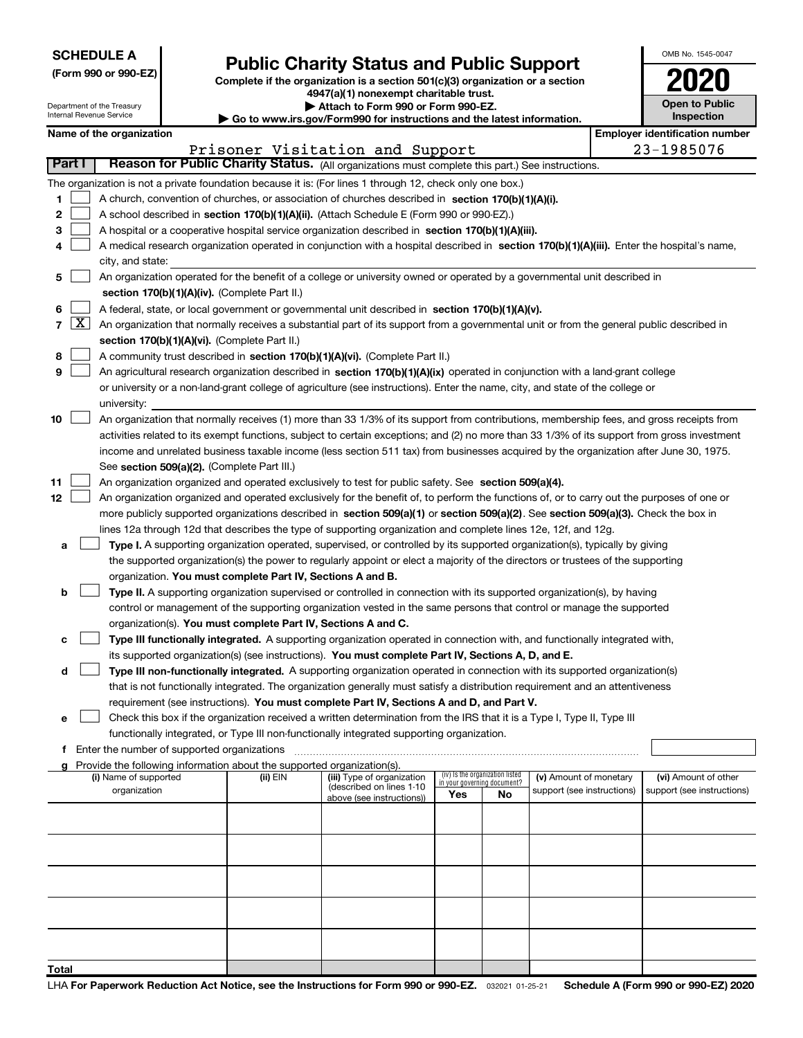|  |  |  | <b>SCHEDULE A</b> |  |  |  |
|--|--|--|-------------------|--|--|--|
|--|--|--|-------------------|--|--|--|

Department of the Treasury Internal Revenue Service

| (Form 990 or 990-EZ) |  |  |  |  |
|----------------------|--|--|--|--|
|----------------------|--|--|--|--|

# Public Charity Status and Public Support

Complete if the organization is a section 501(c)(3) organization or a section 4947(a)(1) nonexempt charitable trust.  $\blacktriangleright$  Attach to Form 990 or Form 990-EZ.

| <b>P</b> Allach to Form you of Form you LE.                              |
|--------------------------------------------------------------------------|
| ▶ Go to www.irs.gov/Form990 for instructions and the latest information. |

| OMB No 1545-0047                    |
|-------------------------------------|
| 2020                                |
| <b>Open to Public</b><br>Inspection |

|  | March 2014, March 2015, and the state |
|--|---------------------------------------|
|  |                                       |
|  |                                       |

|        |                                                                                                                                                                                               | Name of the organization                                                                                                                                                                                                                             |            |                                                        |                             |                                 |                            |  | <b>Employer identification number</b> |  |  |  |
|--------|-----------------------------------------------------------------------------------------------------------------------------------------------------------------------------------------------|------------------------------------------------------------------------------------------------------------------------------------------------------------------------------------------------------------------------------------------------------|------------|--------------------------------------------------------|-----------------------------|---------------------------------|----------------------------|--|---------------------------------------|--|--|--|
| Part I |                                                                                                                                                                                               |                                                                                                                                                                                                                                                      |            | Prisoner Visitation and Support                        |                             |                                 |                            |  | 23-1985076                            |  |  |  |
|        |                                                                                                                                                                                               | Reason for Public Charity Status. (All organizations must complete this part.) See instructions.                                                                                                                                                     |            |                                                        |                             |                                 |                            |  |                                       |  |  |  |
|        |                                                                                                                                                                                               | The organization is not a private foundation because it is: (For lines 1 through 12, check only one box.)                                                                                                                                            |            |                                                        |                             |                                 |                            |  |                                       |  |  |  |
| 1.     |                                                                                                                                                                                               | A church, convention of churches, or association of churches described in section $170(b)(1)(A)(i)$ .                                                                                                                                                |            |                                                        |                             |                                 |                            |  |                                       |  |  |  |
| 2      |                                                                                                                                                                                               | A school described in section 170(b)(1)(A)(ii). (Attach Schedule E (Form 990 or 990-EZ).)                                                                                                                                                            |            |                                                        |                             |                                 |                            |  |                                       |  |  |  |
| з      |                                                                                                                                                                                               | A hospital or a cooperative hospital service organization described in section 170(b)(1)(A)(iii).                                                                                                                                                    |            |                                                        |                             |                                 |                            |  |                                       |  |  |  |
| 4      |                                                                                                                                                                                               | A medical research organization operated in conjunction with a hospital described in section 170(b)(1)(A)(iii). Enter the hospital's name,                                                                                                           |            |                                                        |                             |                                 |                            |  |                                       |  |  |  |
|        |                                                                                                                                                                                               | city, and state:                                                                                                                                                                                                                                     |            |                                                        |                             |                                 |                            |  |                                       |  |  |  |
| 5.     |                                                                                                                                                                                               | An organization operated for the benefit of a college or university owned or operated by a governmental unit described in                                                                                                                            |            |                                                        |                             |                                 |                            |  |                                       |  |  |  |
|        |                                                                                                                                                                                               | section 170(b)(1)(A)(iv). (Complete Part II.)                                                                                                                                                                                                        |            |                                                        |                             |                                 |                            |  |                                       |  |  |  |
| 6      |                                                                                                                                                                                               | A federal, state, or local government or governmental unit described in section 170(b)(1)(A)(v).                                                                                                                                                     |            |                                                        |                             |                                 |                            |  |                                       |  |  |  |
|        | 7 $\lfloor x \rfloor$                                                                                                                                                                         | An organization that normally receives a substantial part of its support from a governmental unit or from the general public described in                                                                                                            |            |                                                        |                             |                                 |                            |  |                                       |  |  |  |
|        |                                                                                                                                                                                               | section 170(b)(1)(A)(vi). (Complete Part II.)                                                                                                                                                                                                        |            |                                                        |                             |                                 |                            |  |                                       |  |  |  |
| 8      |                                                                                                                                                                                               | A community trust described in section 170(b)(1)(A)(vi). (Complete Part II.)                                                                                                                                                                         |            |                                                        |                             |                                 |                            |  |                                       |  |  |  |
| 9      |                                                                                                                                                                                               | An agricultural research organization described in section 170(b)(1)(A)(ix) operated in conjunction with a land-grant college                                                                                                                        |            |                                                        |                             |                                 |                            |  |                                       |  |  |  |
|        |                                                                                                                                                                                               | or university or a non-land-grant college of agriculture (see instructions). Enter the name, city, and state of the college or                                                                                                                       |            |                                                        |                             |                                 |                            |  |                                       |  |  |  |
|        |                                                                                                                                                                                               | university:                                                                                                                                                                                                                                          |            |                                                        |                             |                                 |                            |  |                                       |  |  |  |
| 10     |                                                                                                                                                                                               | An organization that normally receives (1) more than 33 1/3% of its support from contributions, membership fees, and gross receipts from                                                                                                             |            |                                                        |                             |                                 |                            |  |                                       |  |  |  |
|        |                                                                                                                                                                                               | activities related to its exempt functions, subject to certain exceptions; and (2) no more than 33 1/3% of its support from gross investment                                                                                                         |            |                                                        |                             |                                 |                            |  |                                       |  |  |  |
|        |                                                                                                                                                                                               | income and unrelated business taxable income (less section 511 tax) from businesses acquired by the organization after June 30, 1975.                                                                                                                |            |                                                        |                             |                                 |                            |  |                                       |  |  |  |
|        |                                                                                                                                                                                               | See section 509(a)(2). (Complete Part III.)                                                                                                                                                                                                          |            |                                                        |                             |                                 |                            |  |                                       |  |  |  |
| 11     |                                                                                                                                                                                               | An organization organized and operated exclusively to test for public safety. See section 509(a)(4).                                                                                                                                                 |            |                                                        |                             |                                 |                            |  |                                       |  |  |  |
| 12     |                                                                                                                                                                                               | An organization organized and operated exclusively for the benefit of, to perform the functions of, or to carry out the purposes of one or                                                                                                           |            |                                                        |                             |                                 |                            |  |                                       |  |  |  |
|        |                                                                                                                                                                                               | more publicly supported organizations described in section 509(a)(1) or section 509(a)(2). See section 509(a)(3). Check the box in<br>lines 12a through 12d that describes the type of supporting organization and complete lines 12e, 12f, and 12g. |            |                                                        |                             |                                 |                            |  |                                       |  |  |  |
| а      |                                                                                                                                                                                               | Type I. A supporting organization operated, supervised, or controlled by its supported organization(s), typically by giving                                                                                                                          |            |                                                        |                             |                                 |                            |  |                                       |  |  |  |
|        |                                                                                                                                                                                               |                                                                                                                                                                                                                                                      |            |                                                        |                             |                                 |                            |  |                                       |  |  |  |
|        | the supported organization(s) the power to regularly appoint or elect a majority of the directors or trustees of the supporting<br>organization. You must complete Part IV, Sections A and B. |                                                                                                                                                                                                                                                      |            |                                                        |                             |                                 |                            |  |                                       |  |  |  |
| b      |                                                                                                                                                                                               | Type II. A supporting organization supervised or controlled in connection with its supported organization(s), by having                                                                                                                              |            |                                                        |                             |                                 |                            |  |                                       |  |  |  |
|        |                                                                                                                                                                                               | control or management of the supporting organization vested in the same persons that control or manage the supported                                                                                                                                 |            |                                                        |                             |                                 |                            |  |                                       |  |  |  |
|        |                                                                                                                                                                                               | organization(s). You must complete Part IV, Sections A and C.                                                                                                                                                                                        |            |                                                        |                             |                                 |                            |  |                                       |  |  |  |
| с      |                                                                                                                                                                                               | Type III functionally integrated. A supporting organization operated in connection with, and functionally integrated with,                                                                                                                           |            |                                                        |                             |                                 |                            |  |                                       |  |  |  |
|        |                                                                                                                                                                                               | its supported organization(s) (see instructions). You must complete Part IV, Sections A, D, and E.                                                                                                                                                   |            |                                                        |                             |                                 |                            |  |                                       |  |  |  |
| d      |                                                                                                                                                                                               | Type III non-functionally integrated. A supporting organization operated in connection with its supported organization(s)                                                                                                                            |            |                                                        |                             |                                 |                            |  |                                       |  |  |  |
|        |                                                                                                                                                                                               | that is not functionally integrated. The organization generally must satisfy a distribution requirement and an attentiveness                                                                                                                         |            |                                                        |                             |                                 |                            |  |                                       |  |  |  |
|        |                                                                                                                                                                                               | requirement (see instructions). You must complete Part IV, Sections A and D, and Part V.                                                                                                                                                             |            |                                                        |                             |                                 |                            |  |                                       |  |  |  |
|        |                                                                                                                                                                                               | Check this box if the organization received a written determination from the IRS that it is a Type I, Type II, Type III                                                                                                                              |            |                                                        |                             |                                 |                            |  |                                       |  |  |  |
|        |                                                                                                                                                                                               | functionally integrated, or Type III non-functionally integrated supporting organization.                                                                                                                                                            |            |                                                        |                             |                                 |                            |  |                                       |  |  |  |
|        |                                                                                                                                                                                               | f Enter the number of supported organizations                                                                                                                                                                                                        |            |                                                        |                             |                                 |                            |  |                                       |  |  |  |
| a      |                                                                                                                                                                                               | Provide the following information about the supported organization(s).                                                                                                                                                                               |            |                                                        |                             |                                 |                            |  |                                       |  |  |  |
|        |                                                                                                                                                                                               | (i) Name of supported                                                                                                                                                                                                                                | $(ii)$ EIN | (iii) Type of organization<br>(described on lines 1-10 | in your governing document? | (iv) Is the organization listed | (v) Amount of monetary     |  | (vi) Amount of other                  |  |  |  |
|        |                                                                                                                                                                                               | organization                                                                                                                                                                                                                                         |            | above (see instructions))                              | Yes                         | No                              | support (see instructions) |  | support (see instructions)            |  |  |  |
|        |                                                                                                                                                                                               |                                                                                                                                                                                                                                                      |            |                                                        |                             |                                 |                            |  |                                       |  |  |  |
|        |                                                                                                                                                                                               |                                                                                                                                                                                                                                                      |            |                                                        |                             |                                 |                            |  |                                       |  |  |  |
|        |                                                                                                                                                                                               |                                                                                                                                                                                                                                                      |            |                                                        |                             |                                 |                            |  |                                       |  |  |  |
|        |                                                                                                                                                                                               |                                                                                                                                                                                                                                                      |            |                                                        |                             |                                 |                            |  |                                       |  |  |  |
|        |                                                                                                                                                                                               |                                                                                                                                                                                                                                                      |            |                                                        |                             |                                 |                            |  |                                       |  |  |  |
|        |                                                                                                                                                                                               |                                                                                                                                                                                                                                                      |            |                                                        |                             |                                 |                            |  |                                       |  |  |  |
|        |                                                                                                                                                                                               |                                                                                                                                                                                                                                                      |            |                                                        |                             |                                 |                            |  |                                       |  |  |  |
|        |                                                                                                                                                                                               |                                                                                                                                                                                                                                                      |            |                                                        |                             |                                 |                            |  |                                       |  |  |  |
|        |                                                                                                                                                                                               |                                                                                                                                                                                                                                                      |            |                                                        |                             |                                 |                            |  |                                       |  |  |  |
| Total  |                                                                                                                                                                                               |                                                                                                                                                                                                                                                      |            |                                                        |                             |                                 |                            |  |                                       |  |  |  |
|        |                                                                                                                                                                                               |                                                                                                                                                                                                                                                      |            |                                                        |                             |                                 |                            |  |                                       |  |  |  |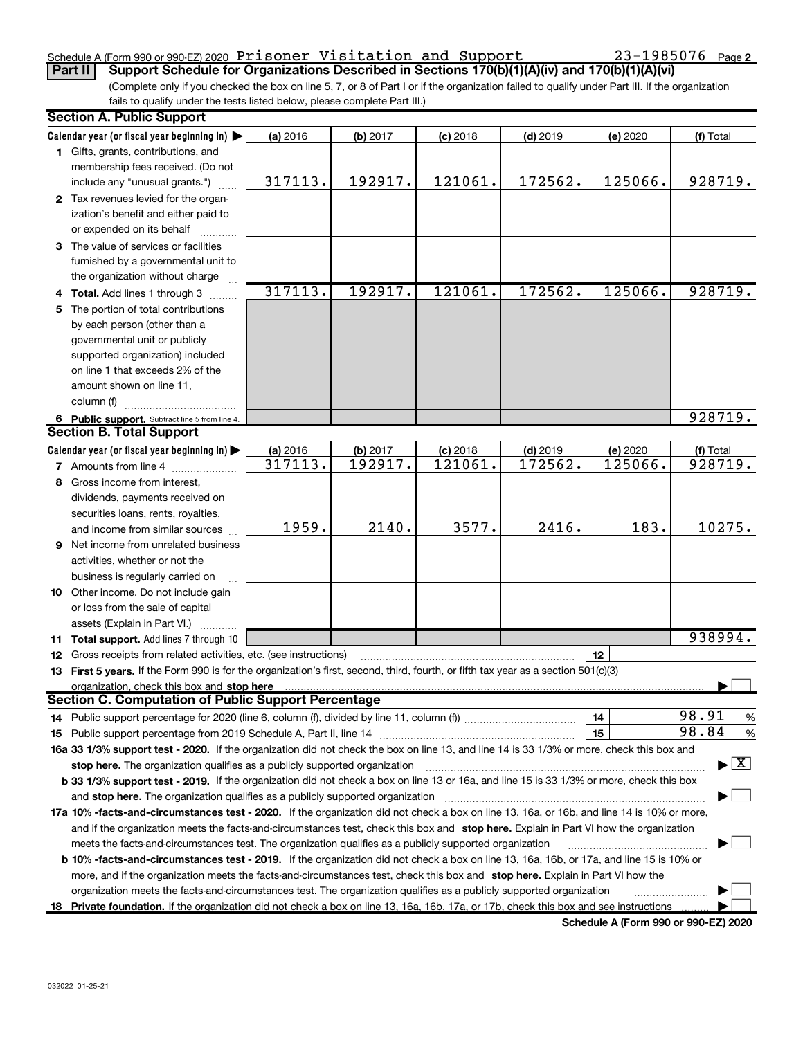#### Schedule A (Form 990 or 990-EZ) 2020 Prisoner Visitation and Support  $23-1985076$  Page

(Complete only if you checked the box on line 5, 7, or 8 of Part I or if the organization failed to qualify under Part III. If the organization Part II Support Schedule for Organizations Described in Sections 170(b)(1)(A)(iv) and 170(b)(1)(A)(vi)

fails to qualify under the tests listed below, please complete Part III.)

|    | <b>Section A. Public Support</b>                                                                                                                                                                                               |          |          |            |            |          |                                          |
|----|--------------------------------------------------------------------------------------------------------------------------------------------------------------------------------------------------------------------------------|----------|----------|------------|------------|----------|------------------------------------------|
|    | Calendar year (or fiscal year beginning in) $\blacktriangleright$                                                                                                                                                              | (a) 2016 | (b) 2017 | $(c)$ 2018 | $(d)$ 2019 | (e) 2020 | (f) Total                                |
|    | 1 Gifts, grants, contributions, and                                                                                                                                                                                            |          |          |            |            |          |                                          |
|    | membership fees received. (Do not                                                                                                                                                                                              |          |          |            |            |          |                                          |
|    | include any "unusual grants.")                                                                                                                                                                                                 | 317113.  | 192917.  | 121061.    | 172562.    | 125066.  | 928719.                                  |
|    | 2 Tax revenues levied for the organ-                                                                                                                                                                                           |          |          |            |            |          |                                          |
|    | ization's benefit and either paid to                                                                                                                                                                                           |          |          |            |            |          |                                          |
|    | or expended on its behalf                                                                                                                                                                                                      |          |          |            |            |          |                                          |
|    | 3 The value of services or facilities                                                                                                                                                                                          |          |          |            |            |          |                                          |
|    | furnished by a governmental unit to                                                                                                                                                                                            |          |          |            |            |          |                                          |
|    | the organization without charge                                                                                                                                                                                                |          |          |            |            |          |                                          |
| 4  | Total. Add lines 1 through 3                                                                                                                                                                                                   | 317113.  | 192917.  | 121061.    | 172562.    | 125066.  | 928719.                                  |
| 5  | The portion of total contributions                                                                                                                                                                                             |          |          |            |            |          |                                          |
|    | by each person (other than a                                                                                                                                                                                                   |          |          |            |            |          |                                          |
|    | governmental unit or publicly                                                                                                                                                                                                  |          |          |            |            |          |                                          |
|    | supported organization) included                                                                                                                                                                                               |          |          |            |            |          |                                          |
|    | on line 1 that exceeds 2% of the                                                                                                                                                                                               |          |          |            |            |          |                                          |
|    | amount shown on line 11,                                                                                                                                                                                                       |          |          |            |            |          |                                          |
|    | column (f)                                                                                                                                                                                                                     |          |          |            |            |          |                                          |
|    | 6 Public support. Subtract line 5 from line 4.                                                                                                                                                                                 |          |          |            |            |          | 928719.                                  |
|    | <b>Section B. Total Support</b>                                                                                                                                                                                                |          |          |            |            |          |                                          |
|    | Calendar year (or fiscal year beginning in) $\blacktriangleright$                                                                                                                                                              | (a) 2016 | (b) 2017 | $(c)$ 2018 | $(d)$ 2019 | (e) 2020 | (f) Total                                |
|    | <b>7</b> Amounts from line 4                                                                                                                                                                                                   | 317113.  | 192917.  | 121061.    | 172562.    | 125066.  | 928719.                                  |
| 8  | Gross income from interest,                                                                                                                                                                                                    |          |          |            |            |          |                                          |
|    | dividends, payments received on                                                                                                                                                                                                |          |          |            |            |          |                                          |
|    | securities loans, rents, royalties,                                                                                                                                                                                            |          |          |            |            |          |                                          |
|    | and income from similar sources                                                                                                                                                                                                | 1959.    | 2140.    | 3577.      | 2416.      | 183.     | 10275.                                   |
| 9  | Net income from unrelated business                                                                                                                                                                                             |          |          |            |            |          |                                          |
|    | activities, whether or not the                                                                                                                                                                                                 |          |          |            |            |          |                                          |
|    | business is regularly carried on                                                                                                                                                                                               |          |          |            |            |          |                                          |
|    | 10 Other income. Do not include gain                                                                                                                                                                                           |          |          |            |            |          |                                          |
|    | or loss from the sale of capital                                                                                                                                                                                               |          |          |            |            |          |                                          |
|    | assets (Explain in Part VI.)                                                                                                                                                                                                   |          |          |            |            |          |                                          |
|    | 11 Total support. Add lines 7 through 10                                                                                                                                                                                       |          |          |            |            |          | 938994.                                  |
| 12 | Gross receipts from related activities, etc. (see instructions)                                                                                                                                                                |          |          |            |            | 12       |                                          |
|    | 13 First 5 years. If the Form 990 is for the organization's first, second, third, fourth, or fifth tax year as a section 501(c)(3)                                                                                             |          |          |            |            |          |                                          |
|    | organization, check this box and stop here manufactured and and the content of the content of the content of the content of the content of the content of the content of the content of the content of the content of the cont |          |          |            |            |          |                                          |
|    | <b>Section C. Computation of Public Support Percentage</b>                                                                                                                                                                     |          |          |            |            |          |                                          |
|    |                                                                                                                                                                                                                                |          |          |            |            | 14       | 98.91<br>$\frac{9}{6}$                   |
|    |                                                                                                                                                                                                                                |          |          |            |            | 15       | 98.84<br>$\frac{9}{6}$                   |
|    | 16a 33 1/3% support test - 2020. If the organization did not check the box on line 13, and line 14 is 33 1/3% or more, check this box and                                                                                      |          |          |            |            |          |                                          |
|    | stop here. The organization qualifies as a publicly supported organization                                                                                                                                                     |          |          |            |            |          | $\blacktriangleright$ $\boxed{\text{X}}$ |
|    | b 33 1/3% support test - 2019. If the organization did not check a box on line 13 or 16a, and line 15 is 33 1/3% or more, check this box                                                                                       |          |          |            |            |          |                                          |
|    | and stop here. The organization qualifies as a publicly supported organization                                                                                                                                                 |          |          |            |            |          |                                          |
|    | 17a 10% -facts-and-circumstances test - 2020. If the organization did not check a box on line 13, 16a, or 16b, and line 14 is 10% or more,                                                                                     |          |          |            |            |          |                                          |
|    | and if the organization meets the facts-and-circumstances test, check this box and stop here. Explain in Part VI how the organization                                                                                          |          |          |            |            |          |                                          |
|    | meets the facts-and-circumstances test. The organization qualifies as a publicly supported organization                                                                                                                        |          |          |            |            |          |                                          |
|    | b 10% -facts-and-circumstances test - 2019. If the organization did not check a box on line 13, 16a, 16b, or 17a, and line 15 is 10% or                                                                                        |          |          |            |            |          |                                          |
|    | more, and if the organization meets the facts-and-circumstances test, check this box and stop here. Explain in Part VI how the                                                                                                 |          |          |            |            |          |                                          |
|    | organization meets the facts and circumstances test. The organization qualifies as a publicly supported organization                                                                                                           |          |          |            |            |          |                                          |
| 18 | Private foundation. If the organization did not check a box on line 13, 16a, 16b, 17a, or 17b, check this box and see instructions                                                                                             |          |          |            |            |          |                                          |
|    |                                                                                                                                                                                                                                |          |          |            |            |          |                                          |

Schedule A (Form 990 or 990-EZ) 2020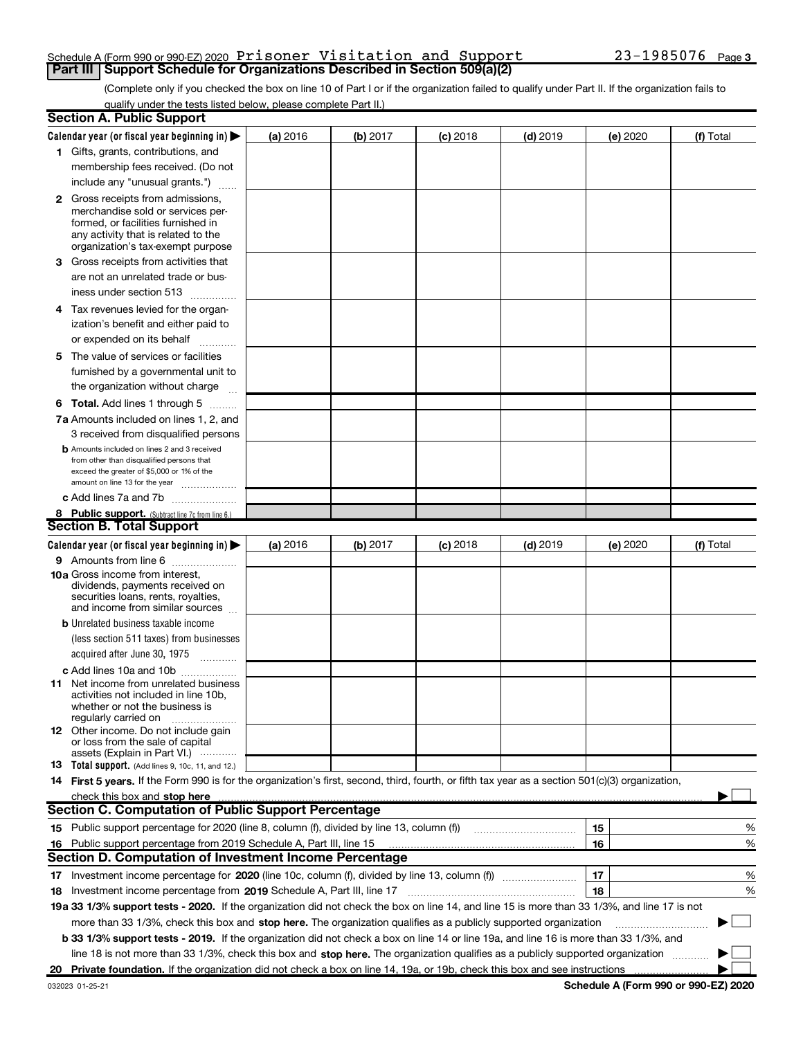#### Schedule A (Form 990 or 990-EZ) 2020 Prisoner Visitation and Support  $23-1985076$  Page **Part III | Support Schedule for Organizations Described in Section 509(a)(2)**

(Complete only if you checked the box on line 10 of Part I or if the organization failed to qualify under Part II. If the organization fails to qualify under the tests listed below, please complete Part II.)

| <b>Section A. Public Support</b>                                                                                                                                                                                                                          |          |          |            |            |          |           |
|-----------------------------------------------------------------------------------------------------------------------------------------------------------------------------------------------------------------------------------------------------------|----------|----------|------------|------------|----------|-----------|
| Calendar year (or fiscal year beginning in) $\blacktriangleright$                                                                                                                                                                                         | (a) 2016 | (b) 2017 | $(c)$ 2018 | $(d)$ 2019 | (e) 2020 | (f) Total |
| 1 Gifts, grants, contributions, and                                                                                                                                                                                                                       |          |          |            |            |          |           |
| membership fees received. (Do not                                                                                                                                                                                                                         |          |          |            |            |          |           |
| include any "unusual grants.")                                                                                                                                                                                                                            |          |          |            |            |          |           |
| 2 Gross receipts from admissions,<br>merchandise sold or services per-<br>formed, or facilities furnished in<br>any activity that is related to the                                                                                                       |          |          |            |            |          |           |
| organization's tax-exempt purpose                                                                                                                                                                                                                         |          |          |            |            |          |           |
| 3 Gross receipts from activities that<br>are not an unrelated trade or bus-                                                                                                                                                                               |          |          |            |            |          |           |
| iness under section 513                                                                                                                                                                                                                                   |          |          |            |            |          |           |
| 4 Tax revenues levied for the organ-<br>ization's benefit and either paid to                                                                                                                                                                              |          |          |            |            |          |           |
| or expended on its behalf                                                                                                                                                                                                                                 |          |          |            |            |          |           |
| 5 The value of services or facilities                                                                                                                                                                                                                     |          |          |            |            |          |           |
| furnished by a governmental unit to<br>the organization without charge                                                                                                                                                                                    |          |          |            |            |          |           |
| <b>6 Total.</b> Add lines 1 through 5 $\dots$                                                                                                                                                                                                             |          |          |            |            |          |           |
| 7a Amounts included on lines 1, 2, and                                                                                                                                                                                                                    |          |          |            |            |          |           |
| 3 received from disqualified persons<br><b>b</b> Amounts included on lines 2 and 3 received                                                                                                                                                               |          |          |            |            |          |           |
| from other than disqualified persons that<br>exceed the greater of \$5,000 or 1% of the<br>amount on line 13 for the year                                                                                                                                 |          |          |            |            |          |           |
| c Add lines 7a and 7b                                                                                                                                                                                                                                     |          |          |            |            |          |           |
| 8 Public support. (Subtract line 7c from line 6.)                                                                                                                                                                                                         |          |          |            |            |          |           |
| <b>Section B. Total Support</b>                                                                                                                                                                                                                           |          |          |            |            |          |           |
| Calendar year (or fiscal year beginning in) $\blacktriangleright$                                                                                                                                                                                         | (a) 2016 | (b) 2017 | $(c)$ 2018 | $(d)$ 2019 | (e) 2020 | (f) Total |
| 9 Amounts from line 6                                                                                                                                                                                                                                     |          |          |            |            |          |           |
| 10a Gross income from interest,<br>dividends, payments received on<br>securities loans, rents, royalties,<br>and income from similar sources                                                                                                              |          |          |            |            |          |           |
| <b>b</b> Unrelated business taxable income                                                                                                                                                                                                                |          |          |            |            |          |           |
| (less section 511 taxes) from businesses                                                                                                                                                                                                                  |          |          |            |            |          |           |
| acquired after June 30, 1975                                                                                                                                                                                                                              |          |          |            |            |          |           |
| c Add lines 10a and 10b                                                                                                                                                                                                                                   |          |          |            |            |          |           |
| <b>11</b> Net income from unrelated business<br>activities not included in line 10b.<br>whether or not the business is<br>regularly carried on                                                                                                            |          |          |            |            |          |           |
| <b>12</b> Other income. Do not include gain<br>or loss from the sale of capital<br>assets (Explain in Part VI.)                                                                                                                                           |          |          |            |            |          |           |
| <b>13</b> Total support. (Add lines 9, 10c, 11, and 12.)                                                                                                                                                                                                  |          |          |            |            |          |           |
| 14 First 5 years. If the Form 990 is for the organization's first, second, third, fourth, or fifth tax year as a section 501(c)(3) organization,                                                                                                          |          |          |            |            |          |           |
| check this box and stop here                                                                                                                                                                                                                              |          |          |            |            |          |           |
| <b>Section C. Computation of Public Support Percentage</b>                                                                                                                                                                                                |          |          |            |            |          |           |
| 15 Public support percentage for 2020 (line 8, column (f), divided by line 13, column (f))                                                                                                                                                                |          |          |            |            | 15       | %         |
| 16 Public support percentage from 2019 Schedule A, Part III, line 15                                                                                                                                                                                      |          |          |            |            | 16       | %         |
| <b>Section D. Computation of Investment Income Percentage</b>                                                                                                                                                                                             |          |          |            |            |          |           |
|                                                                                                                                                                                                                                                           |          |          |            |            | 17       | %         |
| 18 Investment income percentage from 2019 Schedule A, Part III, line 17                                                                                                                                                                                   |          |          |            |            | 18       | %         |
| 19a 33 1/3% support tests - 2020. If the organization did not check the box on line 14, and line 15 is more than 33 1/3%, and line 17 is not                                                                                                              |          |          |            |            |          |           |
| more than 33 1/3%, check this box and stop here. The organization qualifies as a publicly supported organization<br>b 33 1/3% support tests - 2019. If the organization did not check a box on line 14 or line 19a, and line 16 is more than 33 1/3%, and |          |          |            |            |          |           |
| line 18 is not more than 33 1/3%, check this box and stop here. The organization qualifies as a publicly supported organization                                                                                                                           |          |          |            |            |          |           |
| 20 Private foundation. If the organization did not check a box on line 14, 19a, or 19b, check this box and see instructions                                                                                                                               |          |          |            |            |          |           |
|                                                                                                                                                                                                                                                           |          |          |            |            |          |           |

Schedule A (Form 990 or 990-EZ) 2020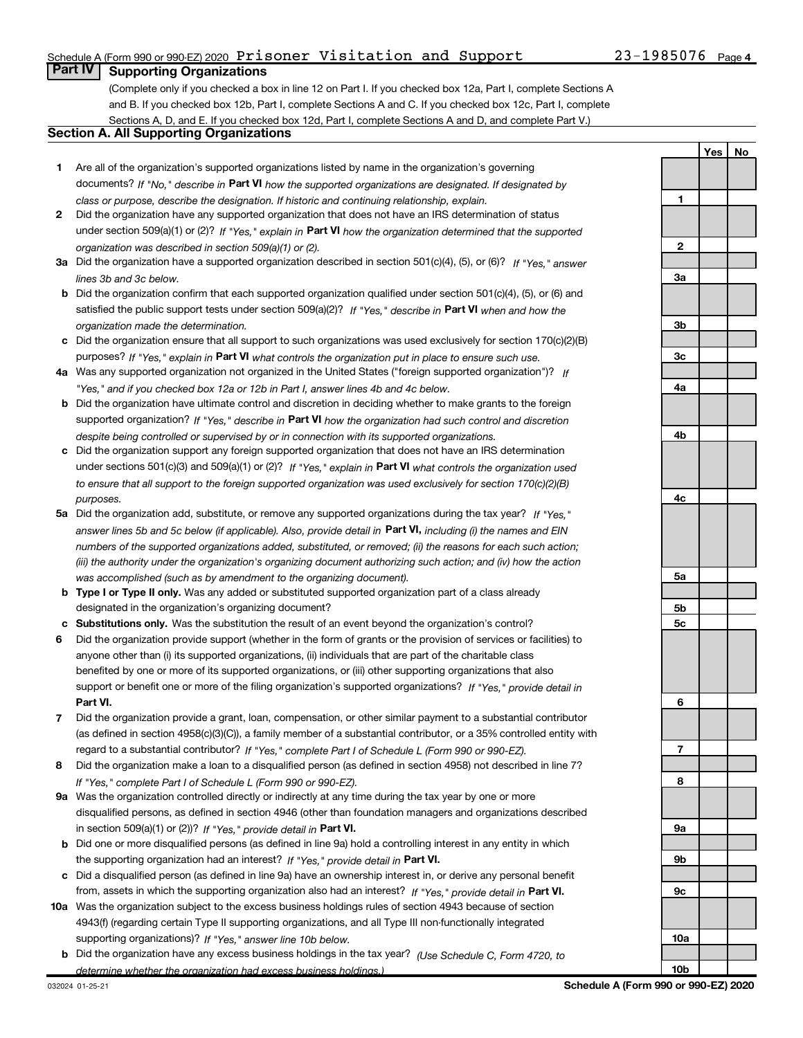### Schedule A (Form 990 or 990-EZ) 2020 Prisoner Visitation and Support  $23-1985076$  Page

### **Part IV | Supporting Organizations**

(Complete only if you checked a box in line 12 on Part I. If you checked box 12a, Part I, complete Sections A and B. If you checked box 12b, Part I, complete Sections A and C. If you checked box 12c, Part I, complete Sections A, D, and E. If you checked box 12d, Part I, complete Sections A and D, and complete Part V.)

#### Section A. All Supporting Organizations

- 1 Are all of the organization's supported organizations listed by name in the organization's governing documents? If "No," describe in Part VI how the supported organizations are designated. If designated by class or purpose, describe the designation. If historic and continuing relationship, explain.
- 2 Did the organization have any supported organization that does not have an IRS determination of status under section 509(a)(1) or (2)? If "Yes," explain in Part VI how the organization determined that the supported organization was described in section 509(a)(1) or (2).
- 3a Did the organization have a supported organization described in section 501(c)(4), (5), or (6)? If "Yes," answer lines 3b and 3c below.
- b Did the organization confirm that each supported organization qualified under section 501(c)(4), (5), or (6) and satisfied the public support tests under section 509(a)(2)? If "Yes," describe in Part VI when and how the organization made the determination.
- c Did the organization ensure that all support to such organizations was used exclusively for section 170(c)(2)(B) purposes? If "Yes," explain in Part VI what controls the organization put in place to ensure such use.
- 4a Was any supported organization not organized in the United States ("foreign supported organization")? If "Yes," and if you checked box 12a or 12b in Part I, answer lines 4b and 4c below.
- b Did the organization have ultimate control and discretion in deciding whether to make grants to the foreign supported organization? If "Yes," describe in Part VI how the organization had such control and discretion despite being controlled or supervised by or in connection with its supported organizations.
- c Did the organization support any foreign supported organization that does not have an IRS determination under sections 501(c)(3) and 509(a)(1) or (2)? If "Yes," explain in Part VI what controls the organization used to ensure that all support to the foreign supported organization was used exclusively for section 170(c)(2)(B) purposes.
- 5a Did the organization add, substitute, or remove any supported organizations during the tax year? If "Yes," answer lines 5b and 5c below (if applicable). Also, provide detail in **Part VI,** including (i) the names and EIN numbers of the supported organizations added, substituted, or removed; (ii) the reasons for each such action; (iii) the authority under the organization's organizing document authorizing such action; and (iv) how the action was accomplished (such as by amendment to the organizing document).
- **b Type I or Type II only.** Was any added or substituted supported organization part of a class already designated in the organization's organizing document?
- c Substitutions only. Was the substitution the result of an event beyond the organization's control?
- 6 Did the organization provide support (whether in the form of grants or the provision of services or facilities) to Part VI. support or benefit one or more of the filing organization's supported organizations? If "Yes," provide detail in anyone other than (i) its supported organizations, (ii) individuals that are part of the charitable class benefited by one or more of its supported organizations, or (iii) other supporting organizations that also
- 7 Did the organization provide a grant, loan, compensation, or other similar payment to a substantial contributor regard to a substantial contributor? If "Yes," complete Part I of Schedule L (Form 990 or 990-EZ). (as defined in section 4958(c)(3)(C)), a family member of a substantial contributor, or a 35% controlled entity with
- 8 Did the organization make a loan to a disqualified person (as defined in section 4958) not described in line 7? If "Yes," complete Part I of Schedule L (Form 990 or 990-EZ).
- **9a** Was the organization controlled directly or indirectly at any time during the tax year by one or more in section 509(a)(1) or (2))? If "Yes," provide detail in Part VI. disqualified persons, as defined in section 4946 (other than foundation managers and organizations described
- b Did one or more disqualified persons (as defined in line 9a) hold a controlling interest in any entity in which the supporting organization had an interest? If "Yes," provide detail in Part VI.
- c Did a disqualified person (as defined in line 9a) have an ownership interest in, or derive any personal benefit from, assets in which the supporting organization also had an interest? If "Yes," provide detail in Part VI.
- 10a Was the organization subject to the excess business holdings rules of section 4943 because of section supporting organizations)? If "Yes," answer line 10b below. 4943(f) (regarding certain Type II supporting organizations, and all Type III non-functionally integrated
	- **b** Did the organization have any excess business holdings in the tax year? (Use Schedule C, Form 4720, to determine whether the organization had excess business holdings.)

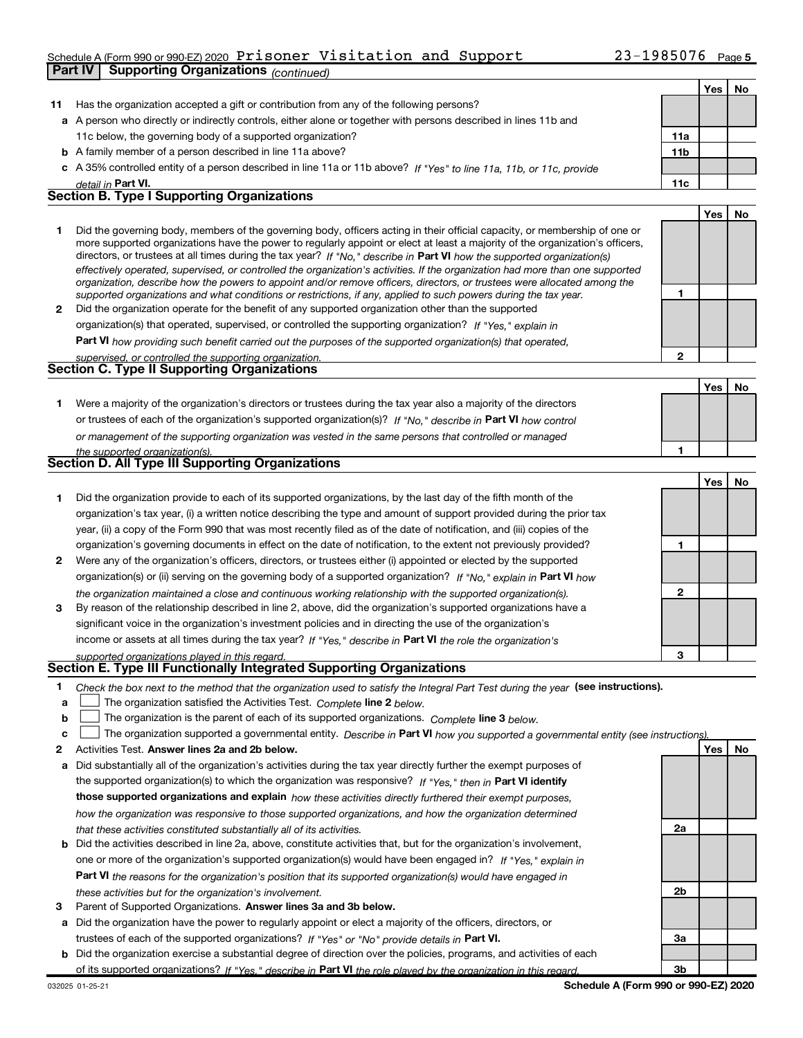### Schedule A (Form 990 or 990-EZ) 2020 Prisoner Visitation and Support  $23-1985076$  Page

|              | <b>Supporting Organizations (continued)</b><br>Part IV                                                                                                                                                                                                      |                 |     |    |
|--------------|-------------------------------------------------------------------------------------------------------------------------------------------------------------------------------------------------------------------------------------------------------------|-----------------|-----|----|
|              |                                                                                                                                                                                                                                                             |                 | Yes | No |
| 11           | Has the organization accepted a gift or contribution from any of the following persons?                                                                                                                                                                     |                 |     |    |
|              | a A person who directly or indirectly controls, either alone or together with persons described in lines 11b and                                                                                                                                            |                 |     |    |
|              | 11c below, the governing body of a supported organization?                                                                                                                                                                                                  | 11a             |     |    |
|              | <b>b</b> A family member of a person described in line 11a above?                                                                                                                                                                                           | 11 <sub>b</sub> |     |    |
|              | c A 35% controlled entity of a person described in line 11a or 11b above? If "Yes" to line 11a, 11b, or 11c, provide                                                                                                                                        |                 |     |    |
|              | detail in Part VI.                                                                                                                                                                                                                                          | 11c             |     |    |
|              | <b>Section B. Type I Supporting Organizations</b>                                                                                                                                                                                                           |                 |     |    |
|              |                                                                                                                                                                                                                                                             |                 | Yes | No |
| 1            | Did the governing body, members of the governing body, officers acting in their official capacity, or membership of one or<br>more supported organizations have the power to regularly appoint or elect at least a majority of the organization's officers, |                 |     |    |
|              | directors, or trustees at all times during the tax year? If "No," describe in Part VI how the supported organization(s)                                                                                                                                     |                 |     |    |
|              | effectively operated, supervised, or controlled the organization's activities. If the organization had more than one supported<br>organization, describe how the powers to appoint and/or remove officers, directors, or trustees were allocated among the  |                 |     |    |
| $\mathbf{2}$ | supported organizations and what conditions or restrictions, if any, applied to such powers during the tax year.<br>Did the organization operate for the benefit of any supported organization other than the supported                                     | 1               |     |    |
|              | organization(s) that operated, supervised, or controlled the supporting organization? If "Yes," explain in                                                                                                                                                  |                 |     |    |
|              | Part VI how providing such benefit carried out the purposes of the supported organization(s) that operated,                                                                                                                                                 |                 |     |    |
|              | supervised, or controlled the supporting organization.                                                                                                                                                                                                      | $\overline{2}$  |     |    |
|              | Section C. Type II Supporting Organizations                                                                                                                                                                                                                 |                 |     |    |
|              |                                                                                                                                                                                                                                                             |                 | Yes | No |
| 1            | Were a majority of the organization's directors or trustees during the tax year also a majority of the directors                                                                                                                                            |                 |     |    |
|              | or trustees of each of the organization's supported organization(s)? If "No," describe in Part VI how control                                                                                                                                               |                 |     |    |
|              | or management of the supporting organization was vested in the same persons that controlled or managed                                                                                                                                                      |                 |     |    |
|              | the supported organization(s).                                                                                                                                                                                                                              | 1               |     |    |
|              | <b>Section D. All Type III Supporting Organizations</b>                                                                                                                                                                                                     |                 |     |    |
|              |                                                                                                                                                                                                                                                             |                 | Yes | No |
| 1            | Did the organization provide to each of its supported organizations, by the last day of the fifth month of the                                                                                                                                              |                 |     |    |
|              | organization's tax year, (i) a written notice describing the type and amount of support provided during the prior tax                                                                                                                                       |                 |     |    |
|              | year, (ii) a copy of the Form 990 that was most recently filed as of the date of notification, and (iii) copies of the                                                                                                                                      |                 |     |    |
|              | organization's governing documents in effect on the date of notification, to the extent not previously provided?                                                                                                                                            | 1               |     |    |
| 2            | Were any of the organization's officers, directors, or trustees either (i) appointed or elected by the supported                                                                                                                                            |                 |     |    |
|              | organization(s) or (ii) serving on the governing body of a supported organization? If "No," explain in Part VI how                                                                                                                                          |                 |     |    |
|              | the organization maintained a close and continuous working relationship with the supported organization(s).                                                                                                                                                 | $\mathbf{2}$    |     |    |
| 3            | By reason of the relationship described in line 2, above, did the organization's supported organizations have a                                                                                                                                             |                 |     |    |
|              | significant voice in the organization's investment policies and in directing the use of the organization's                                                                                                                                                  |                 |     |    |
|              | income or assets at all times during the tax year? If "Yes," describe in Part VI the role the organization's                                                                                                                                                |                 |     |    |
|              | supported organizations played in this regard.<br>Section E. Type III Functionally Integrated Supporting Organizations                                                                                                                                      | 3               |     |    |
| 1            | Check the box next to the method that the organization used to satisfy the Integral Part Test during the year (see instructions).                                                                                                                           |                 |     |    |
| a            | The organization satisfied the Activities Test. Complete line 2 below.                                                                                                                                                                                      |                 |     |    |
| b            | The organization is the parent of each of its supported organizations. Complete line 3 below.                                                                                                                                                               |                 |     |    |
| c            | The organization supported a governmental entity. Describe in Part VI how you supported a governmental entity (see instructions).                                                                                                                           |                 |     |    |
| 2            | Activities Test. Answer lines 2a and 2b below.                                                                                                                                                                                                              |                 | Yes | No |
| а            | Did substantially all of the organization's activities during the tax year directly further the exempt purposes of                                                                                                                                          |                 |     |    |
|              | the supported organization(s) to which the organization was responsive? If "Yes," then in Part VI identify                                                                                                                                                  |                 |     |    |
|              | those supported organizations and explain how these activities directly furthered their exempt purposes,                                                                                                                                                    |                 |     |    |
|              | how the organization was responsive to those supported organizations, and how the organization determined                                                                                                                                                   |                 |     |    |
|              | that these activities constituted substantially all of its activities.                                                                                                                                                                                      | 2a              |     |    |

- b Did the activities described in line 2a, above, constitute activities that, but for the organization's involvement, Part VI the reasons for the organization's position that its supported organization(s) would have engaged in one or more of the organization's supported organization(s) would have been engaged in? If "Yes," explain in these activities but for the organization's involvement.
- 3 Parent of Supported Organizations. Answer lines 3a and 3b below.

a Did the organization have the power to regularly appoint or elect a majority of the officers, directors, or trustees of each of the supported organizations? If "Yes" or "No" provide details in Part VI.

b Did the organization exercise a substantial degree of direction over the policies, programs, and activities of each of its supported organizations? If "Yes," describe in Part VI the role played by the organization in this regard.

2b

3a

3b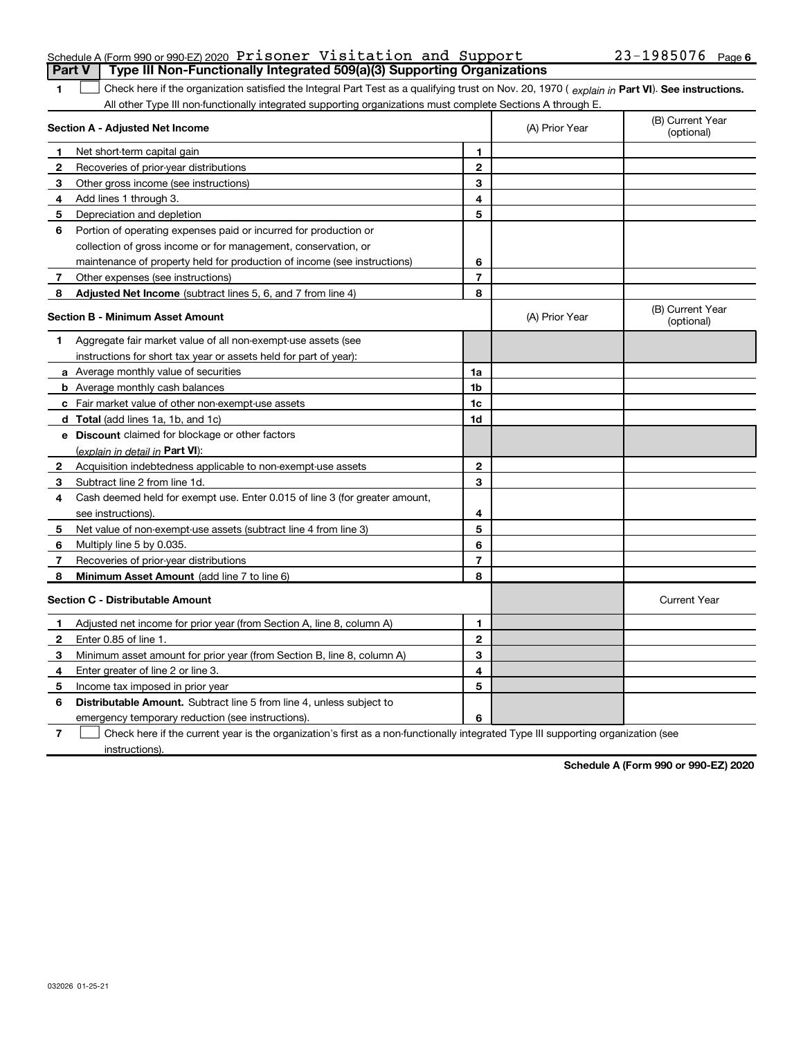| <b>Part V</b> Type III Non-Functionally Integrated 509(a)(3) Supporting Organizations |  |  |                       |  |
|---------------------------------------------------------------------------------------|--|--|-----------------------|--|
| Schedule A (Form 990 or 990-EZ) 2020 Prisoner Visitation and Support                  |  |  | $23 - 1985076$ Page 6 |  |

The Check here if the organization satisfied the Integral Part Test as a qualifying trust on Nov. 20, 1970 ( explain in Part VI). See instructions. All other Type III non-functionally integrated supporting organizations must complete Sections A through E.

|    | Section A - Adjusted Net Income                                             |                | (A) Prior Year | (B) Current Year<br>(optional) |
|----|-----------------------------------------------------------------------------|----------------|----------------|--------------------------------|
| 1. | Net short term capital gain                                                 | 1              |                |                                |
| 2  | Recoveries of prior-year distributions                                      | $\mathbf{2}$   |                |                                |
| 3  | Other gross income (see instructions)                                       | 3              |                |                                |
| 4  | Add lines 1 through 3.                                                      | 4              |                |                                |
| 5  | Depreciation and depletion                                                  | 5              |                |                                |
| 6  | Portion of operating expenses paid or incurred for production or            |                |                |                                |
|    | collection of gross income or for management, conservation, or              |                |                |                                |
|    | maintenance of property held for production of income (see instructions)    | 6              |                |                                |
| 7  | Other expenses (see instructions)                                           | $\overline{7}$ |                |                                |
| 8  | <b>Adjusted Net Income</b> (subtract lines 5, 6, and 7 from line 4)         | 8              |                |                                |
|    | <b>Section B - Minimum Asset Amount</b>                                     |                | (A) Prior Year | (B) Current Year<br>(optional) |
| 1  | Aggregate fair market value of all non-exempt-use assets (see               |                |                |                                |
|    | instructions for short tax year or assets held for part of year):           |                |                |                                |
|    | a Average monthly value of securities                                       | 1a             |                |                                |
|    | <b>b</b> Average monthly cash balances                                      | 1 <sub>b</sub> |                |                                |
|    | c Fair market value of other non-exempt-use assets                          | 1c             |                |                                |
|    | <b>d</b> Total (add lines 1a, 1b, and 1c)                                   | 1d             |                |                                |
|    | e Discount claimed for blockage or other factors                            |                |                |                                |
|    | (explain in detail in Part VI):                                             |                |                |                                |
| 2  | Acquisition indebtedness applicable to non-exempt-use assets                | $\mathbf{2}$   |                |                                |
| 3  | Subtract line 2 from line 1d.                                               | 3              |                |                                |
| 4  | Cash deemed held for exempt use. Enter 0.015 of line 3 (for greater amount, |                |                |                                |
|    | see instructions).                                                          | 4              |                |                                |
| 5  | Net value of non-exempt-use assets (subtract line 4 from line 3)            | 5              |                |                                |
| 6  | Multiply line 5 by 0.035.                                                   | 6              |                |                                |
| 7  | Recoveries of prior-year distributions                                      | $\overline{7}$ |                |                                |
| 8  | Minimum Asset Amount (add line 7 to line 6)                                 | 8              |                |                                |
|    | <b>Section C - Distributable Amount</b>                                     |                |                | <b>Current Year</b>            |
| 1  | Adjusted net income for prior year (from Section A, line 8, column A)       | 1              |                |                                |
| 2  | Enter 0.85 of line 1.                                                       | $\mathbf{2}$   |                |                                |
| 3  | Minimum asset amount for prior year (from Section B, line 8, column A)      | 3              |                |                                |
| 4  | Enter greater of line 2 or line 3.                                          | 4              |                |                                |
| 5  | Income tax imposed in prior year                                            | 5              |                |                                |
| 6  | Distributable Amount. Subtract line 5 from line 4, unless subject to        |                |                |                                |
|    | emergency temporary reduction (see instructions).                           | 6              |                |                                |
|    |                                                                             |                |                |                                |

7 Check here if the current year is the organization's first as a non-functionally integrated Type III supporting organization (see instructions).

Schedule A (Form 990 or 990-EZ) 2020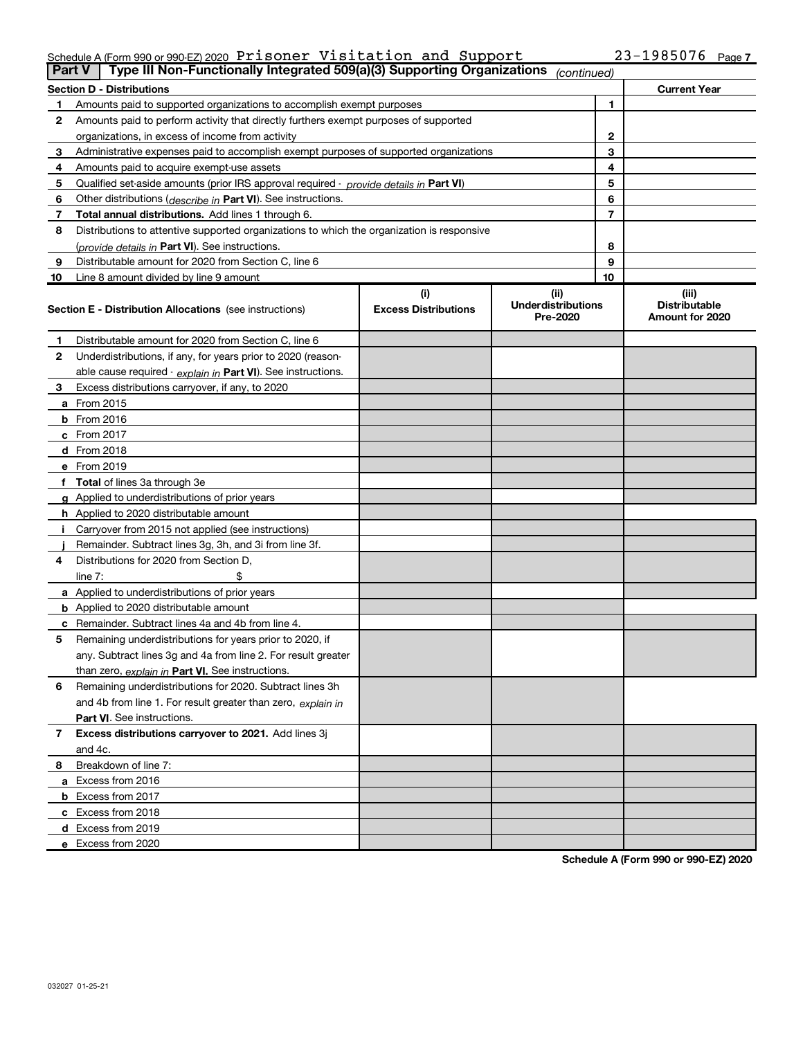#### Schedule A (Form 990 or 990-EZ) 2020 Prisoner Visitation and Support  $23-1985076$  Page

| <b>Part V</b> | Type III Non-Functionally Integrated 509(a)(3) Supporting Organizations                    |                             | (continued)                           |    |                                         |
|---------------|--------------------------------------------------------------------------------------------|-----------------------------|---------------------------------------|----|-----------------------------------------|
|               | <b>Section D - Distributions</b>                                                           |                             |                                       |    | <b>Current Year</b>                     |
|               | Amounts paid to supported organizations to accomplish exempt purposes                      |                             |                                       | 1  |                                         |
| 2             | Amounts paid to perform activity that directly furthers exempt purposes of supported       |                             |                                       |    |                                         |
|               | organizations, in excess of income from activity                                           |                             |                                       | 2  |                                         |
| з             | Administrative expenses paid to accomplish exempt purposes of supported organizations      |                             |                                       | 3  |                                         |
| 4             | Amounts paid to acquire exempt-use assets                                                  |                             |                                       | 4  |                                         |
| 5             | Qualified set-aside amounts (prior IRS approval required - provide details in Part VI)     |                             |                                       | 5  |                                         |
| 6             | Other distributions ( <i>describe in</i> Part VI). See instructions.                       |                             |                                       | 6  |                                         |
| 7             | <b>Total annual distributions.</b> Add lines 1 through 6.                                  |                             |                                       | 7  |                                         |
| 8             | Distributions to attentive supported organizations to which the organization is responsive |                             |                                       |    |                                         |
|               | (provide details in Part VI). See instructions.                                            |                             |                                       | 8  |                                         |
| 9             | Distributable amount for 2020 from Section C, line 6                                       |                             |                                       | 9  |                                         |
| 10            | Line 8 amount divided by line 9 amount                                                     |                             |                                       | 10 |                                         |
|               |                                                                                            | (i)                         | (ii)                                  |    | (iii)                                   |
|               | <b>Section E - Distribution Allocations</b> (see instructions)                             | <b>Excess Distributions</b> | <b>Underdistributions</b><br>Pre-2020 |    | <b>Distributable</b><br>Amount for 2020 |
| 1             | Distributable amount for 2020 from Section C, line 6                                       |                             |                                       |    |                                         |
| 2             | Underdistributions, if any, for years prior to 2020 (reason-                               |                             |                                       |    |                                         |
|               | able cause required - explain in Part VI). See instructions.                               |                             |                                       |    |                                         |
| З             | Excess distributions carryover, if any, to 2020                                            |                             |                                       |    |                                         |
|               | <b>a</b> From 2015                                                                         |                             |                                       |    |                                         |
|               | <b>b</b> From 2016                                                                         |                             |                                       |    |                                         |
|               | $c$ From 2017                                                                              |                             |                                       |    |                                         |
|               | d From 2018                                                                                |                             |                                       |    |                                         |
|               | e From 2019                                                                                |                             |                                       |    |                                         |
|               | f Total of lines 3a through 3e                                                             |                             |                                       |    |                                         |
|               | <b>g</b> Applied to underdistributions of prior years                                      |                             |                                       |    |                                         |
|               | <b>h</b> Applied to 2020 distributable amount                                              |                             |                                       |    |                                         |
|               | Carryover from 2015 not applied (see instructions)                                         |                             |                                       |    |                                         |
|               | Remainder. Subtract lines 3g, 3h, and 3i from line 3f.                                     |                             |                                       |    |                                         |
| 4             | Distributions for 2020 from Section D,                                                     |                             |                                       |    |                                         |
|               | line $7:$                                                                                  |                             |                                       |    |                                         |
|               | a Applied to underdistributions of prior years                                             |                             |                                       |    |                                         |
|               | <b>b</b> Applied to 2020 distributable amount                                              |                             |                                       |    |                                         |
|               | c Remainder. Subtract lines 4a and 4b from line 4.                                         |                             |                                       |    |                                         |
| 5             | Remaining underdistributions for years prior to 2020, if                                   |                             |                                       |    |                                         |
|               | any. Subtract lines 3g and 4a from line 2. For result greater                              |                             |                                       |    |                                         |
|               | than zero, explain in Part VI. See instructions.                                           |                             |                                       |    |                                         |
| 6             | Remaining underdistributions for 2020. Subtract lines 3h                                   |                             |                                       |    |                                         |
|               | and 4b from line 1. For result greater than zero, explain in                               |                             |                                       |    |                                         |
|               | Part VI. See instructions.                                                                 |                             |                                       |    |                                         |
| 7             | Excess distributions carryover to 2021. Add lines 3j                                       |                             |                                       |    |                                         |
|               | and 4c.                                                                                    |                             |                                       |    |                                         |
| 8             | Breakdown of line 7:                                                                       |                             |                                       |    |                                         |
|               | a Excess from 2016                                                                         |                             |                                       |    |                                         |
|               | <b>b</b> Excess from 2017                                                                  |                             |                                       |    |                                         |
|               | c Excess from 2018                                                                         |                             |                                       |    |                                         |
|               | <b>d</b> Excess from 2019                                                                  |                             |                                       |    |                                         |
|               | e Excess from 2020                                                                         |                             |                                       |    |                                         |

Schedule A (Form 990 or 990-EZ) 2020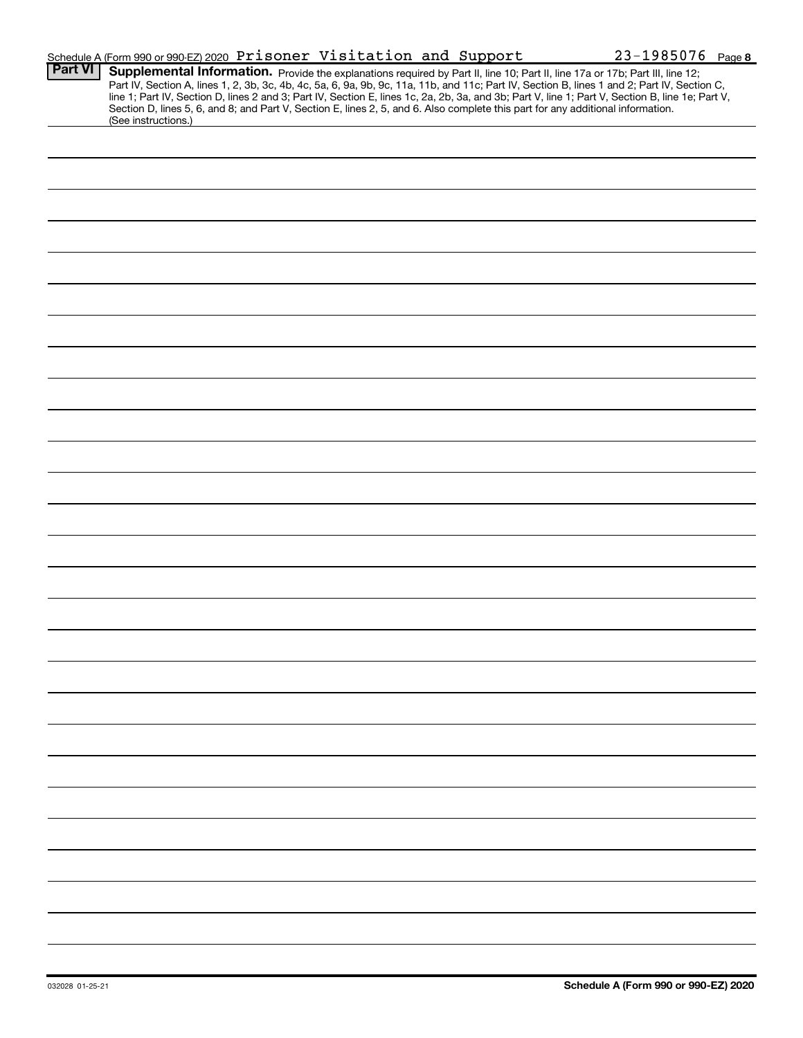|                | Schedule A (Form 990 or 990-EZ) 2020 Prisoner Visitation and Support                                                                                                                                                                                                                                                                                                                                                                                                                                                     | $23 - 1985076$ Page 8 |
|----------------|--------------------------------------------------------------------------------------------------------------------------------------------------------------------------------------------------------------------------------------------------------------------------------------------------------------------------------------------------------------------------------------------------------------------------------------------------------------------------------------------------------------------------|-----------------------|
| <b>Part VI</b> | Supplemental Information. Provide the explanations required by Part II, line 10; Part II, line 17a or 17b; Part III, line 12;<br>Part IV, Section A, lines 1, 2, 3b, 3c, 4b, 4c, 5a, 6, 9a, 9b, 9c, 11a, 11b, and 11c; Part IV, S<br>line 1; Part IV, Section D, lines 2 and 3; Part IV, Section E, lines 1c, 2a, 2b, 3a, and 3b; Part V, line 1; Part V, Section B, line 1e; Part V,<br>Section D, lines 5, 6, and 8; and Part V, Section E, lines 2, 5, and 6. Also complete this part for any additional information. |                       |
|                | (See instructions.)                                                                                                                                                                                                                                                                                                                                                                                                                                                                                                      |                       |
|                |                                                                                                                                                                                                                                                                                                                                                                                                                                                                                                                          |                       |
|                |                                                                                                                                                                                                                                                                                                                                                                                                                                                                                                                          |                       |
|                |                                                                                                                                                                                                                                                                                                                                                                                                                                                                                                                          |                       |
|                |                                                                                                                                                                                                                                                                                                                                                                                                                                                                                                                          |                       |
|                |                                                                                                                                                                                                                                                                                                                                                                                                                                                                                                                          |                       |
|                |                                                                                                                                                                                                                                                                                                                                                                                                                                                                                                                          |                       |
|                |                                                                                                                                                                                                                                                                                                                                                                                                                                                                                                                          |                       |
|                |                                                                                                                                                                                                                                                                                                                                                                                                                                                                                                                          |                       |
|                |                                                                                                                                                                                                                                                                                                                                                                                                                                                                                                                          |                       |
|                |                                                                                                                                                                                                                                                                                                                                                                                                                                                                                                                          |                       |
|                |                                                                                                                                                                                                                                                                                                                                                                                                                                                                                                                          |                       |
|                |                                                                                                                                                                                                                                                                                                                                                                                                                                                                                                                          |                       |
|                |                                                                                                                                                                                                                                                                                                                                                                                                                                                                                                                          |                       |
|                |                                                                                                                                                                                                                                                                                                                                                                                                                                                                                                                          |                       |
|                |                                                                                                                                                                                                                                                                                                                                                                                                                                                                                                                          |                       |
|                |                                                                                                                                                                                                                                                                                                                                                                                                                                                                                                                          |                       |
|                |                                                                                                                                                                                                                                                                                                                                                                                                                                                                                                                          |                       |
|                |                                                                                                                                                                                                                                                                                                                                                                                                                                                                                                                          |                       |
|                |                                                                                                                                                                                                                                                                                                                                                                                                                                                                                                                          |                       |
|                |                                                                                                                                                                                                                                                                                                                                                                                                                                                                                                                          |                       |
|                |                                                                                                                                                                                                                                                                                                                                                                                                                                                                                                                          |                       |
|                |                                                                                                                                                                                                                                                                                                                                                                                                                                                                                                                          |                       |
|                |                                                                                                                                                                                                                                                                                                                                                                                                                                                                                                                          |                       |
|                |                                                                                                                                                                                                                                                                                                                                                                                                                                                                                                                          |                       |
|                |                                                                                                                                                                                                                                                                                                                                                                                                                                                                                                                          |                       |
|                |                                                                                                                                                                                                                                                                                                                                                                                                                                                                                                                          |                       |
|                |                                                                                                                                                                                                                                                                                                                                                                                                                                                                                                                          |                       |
|                |                                                                                                                                                                                                                                                                                                                                                                                                                                                                                                                          |                       |
|                |                                                                                                                                                                                                                                                                                                                                                                                                                                                                                                                          |                       |
|                |                                                                                                                                                                                                                                                                                                                                                                                                                                                                                                                          |                       |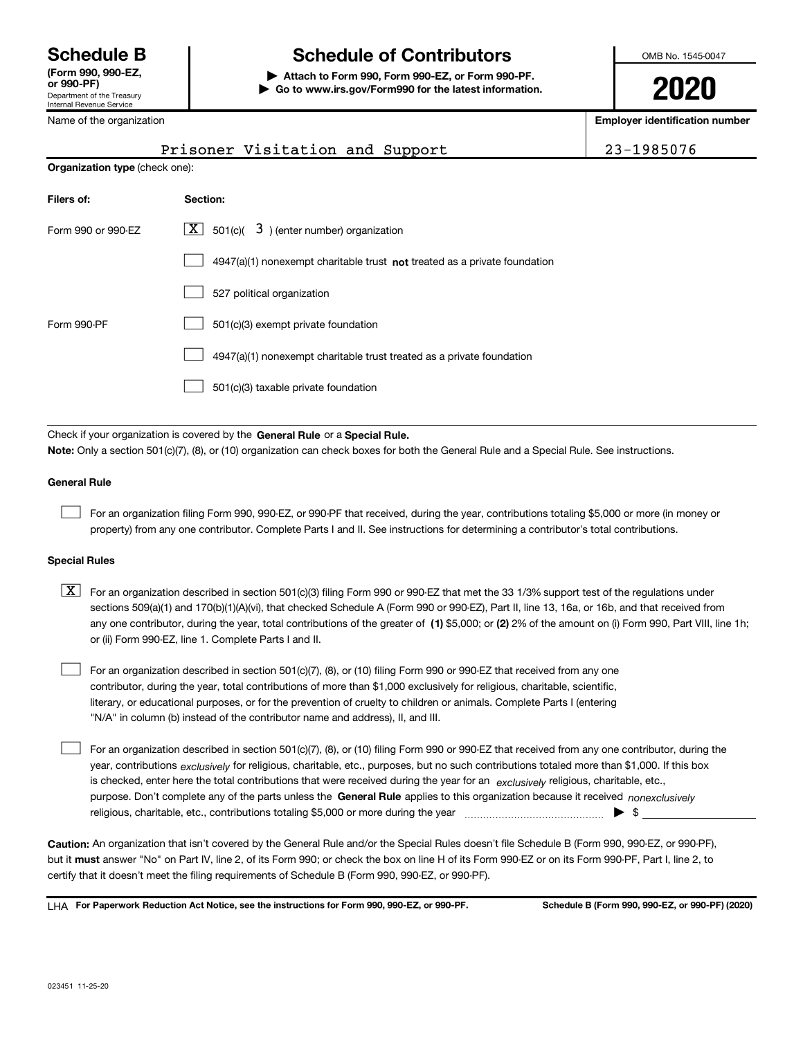Department of the Treasury Internal Revenue Service (Form 990, 990-EZ,

# Schedule B The Schedule of Contributors

Attach to Form 990, Form 990-EZ, or Form 990-PF. | Go to www.irs.gov/Form990 for the latest information. OMB No. 1545-0047

2020

Employer identification number

| Prisoner Visitation and Support |  | $\frac{1}{23-1985076}$ |
|---------------------------------|--|------------------------|
|                                 |  |                        |

| Name of the organization |  |
|--------------------------|--|
| $P = -1$                 |  |

Organization type (check one):

| Filers of:         | Section:                                                                  |
|--------------------|---------------------------------------------------------------------------|
| Form 990 or 990-EZ | $\lfloor x \rfloor$ 501(c)( 3) (enter number) organization                |
|                    | 4947(a)(1) nonexempt charitable trust not treated as a private foundation |
|                    | 527 political organization                                                |
| Form 990-PF        | 501(c)(3) exempt private foundation                                       |
|                    | 4947(a)(1) nonexempt charitable trust treated as a private foundation     |
|                    | 501(c)(3) taxable private foundation                                      |

Check if your organization is covered by the General Rule or a Special Rule. Note: Only a section 501(c)(7), (8), or (10) organization can check boxes for both the General Rule and a Special Rule. See instructions.

#### General Rule

 $\begin{array}{c} \hline \end{array}$ 

For an organization filing Form 990, 990-EZ, or 990-PF that received, during the year, contributions totaling \$5,000 or more (in money or property) from any one contributor. Complete Parts I and II. See instructions for determining a contributor's total contributions.

#### Special Rules

any one contributor, during the year, total contributions of the greater of  $\,$  (1) \$5,000; or (2) 2% of the amount on (i) Form 990, Part VIII, line 1h;  $\boxed{\textbf{X}}$  For an organization described in section 501(c)(3) filing Form 990 or 990-EZ that met the 33 1/3% support test of the regulations under sections 509(a)(1) and 170(b)(1)(A)(vi), that checked Schedule A (Form 990 or 990-EZ), Part II, line 13, 16a, or 16b, and that received from or (ii) Form 990-EZ, line 1. Complete Parts I and II.

For an organization described in section 501(c)(7), (8), or (10) filing Form 990 or 990-EZ that received from any one contributor, during the year, total contributions of more than \$1,000 exclusively for religious, charitable, scientific, literary, or educational purposes, or for the prevention of cruelty to children or animals. Complete Parts I (entering "N/A" in column (b) instead of the contributor name and address), II, and III.  $\begin{array}{c} \hline \end{array}$ 

purpose. Don't complete any of the parts unless the General Rule applies to this organization because it received nonexclusively year, contributions <sub>exclusively</sub> for religious, charitable, etc., purposes, but no such contributions totaled more than \$1,000. If this box is checked, enter here the total contributions that were received during the year for an exclusively religious, charitable, etc., For an organization described in section 501(c)(7), (8), or (10) filing Form 990 or 990-EZ that received from any one contributor, during the religious, charitable, etc., contributions totaling \$5,000 or more during the year  $\Box$ — $\Box$   $\Box$   $\Box$  $\begin{array}{c} \hline \end{array}$ 

Caution: An organization that isn't covered by the General Rule and/or the Special Rules doesn't file Schedule B (Form 990, 990-EZ, or 990-PF), but it **must** answer "No" on Part IV, line 2, of its Form 990; or check the box on line H of its Form 990-EZ or on its Form 990-PF, Part I, line 2, to certify that it doesn't meet the filing requirements of Schedule B (Form 990, 990-EZ, or 990-PF).

LHA For Paperwork Reduction Act Notice, see the instructions for Form 990, 990-EZ, or 990-PF. Schedule B (Form 990, 990-EZ, or 990-PF) (2020)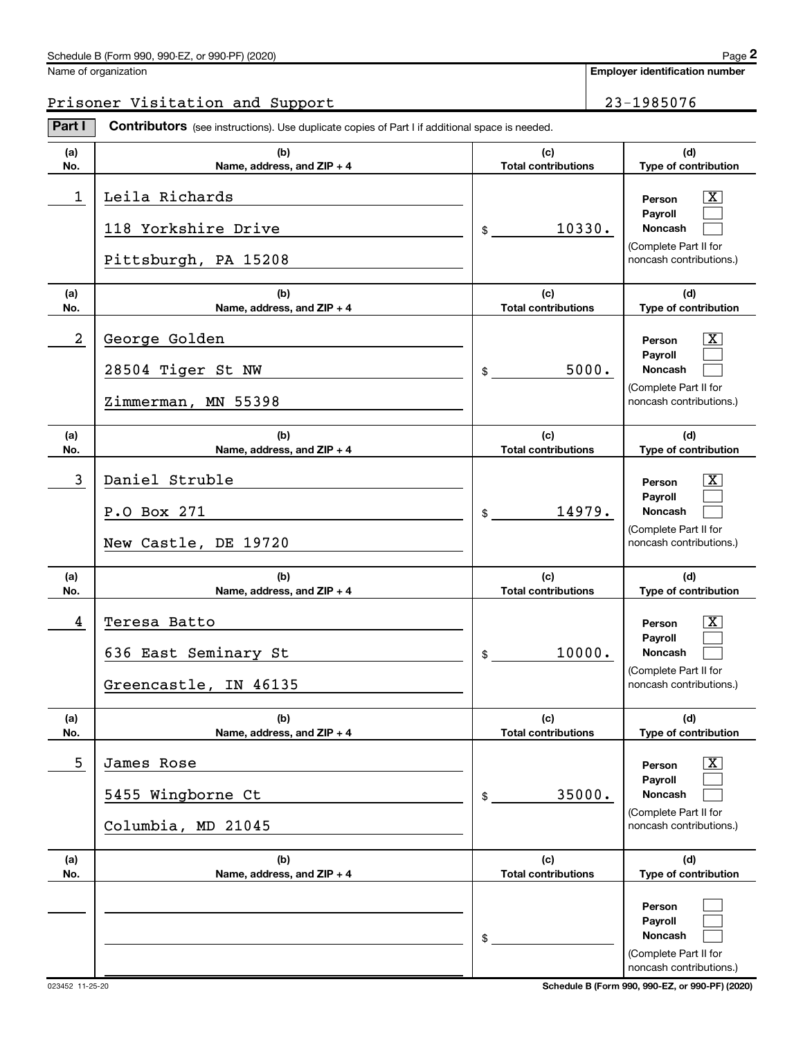#### Schedule B (Form 990, 990-EZ, or 990-PF) (2020)

| Name of organization |
|----------------------|
|                      |

# Prisoner Visitation and Support 23-1985076

Part I Contributors (see instructions). Use duplicate copies of Part I if additional space is needed.

| (a)<br>No. | (b)<br>Name, address, and ZIP + 4                             | (c)<br><b>Total contributions</b> | (d)<br>Type of contribution                                                                                        |
|------------|---------------------------------------------------------------|-----------------------------------|--------------------------------------------------------------------------------------------------------------------|
| 1          | Leila Richards<br>118 Yorkshire Drive<br>Pittsburgh, PA 15208 | 10330.<br>$\frac{1}{2}$           | $\mathbf{X}$<br>Person<br>Pavroll<br><b>Noncash</b><br>(Complete Part II for<br>noncash contributions.)            |
| (a)<br>No. | (b)<br>Name, address, and ZIP + 4                             | (c)<br><b>Total contributions</b> | (d)<br>Type of contribution                                                                                        |
| 2          | George Golden<br>28504 Tiger St NW<br>Zimmerman, MN 55398     | 5000.<br>$\frac{1}{2}$            | $\mathbf{X}$<br>Person<br>Payroll<br><b>Noncash</b><br>(Complete Part II for<br>noncash contributions.)            |
| (a)<br>No. | (b)<br>Name, address, and ZIP + 4                             | (c)<br><b>Total contributions</b> | (d)<br>Type of contribution                                                                                        |
| 3          | Daniel Struble<br>P.O Box 271<br>New Castle, DE 19720         | 14979.<br>$\frac{1}{2}$           | $\mathbf{X}$<br>Person<br>Payroll<br><b>Noncash</b><br>(Complete Part II for<br>noncash contributions.)            |
| (a)<br>No. | (b)<br>Name, address, and ZIP + 4                             | (c)<br><b>Total contributions</b> | (d)<br>Type of contribution                                                                                        |
| 4          | Teresa Batto<br>636 East Seminary St<br>Greencastle, IN 46135 | 10000.<br>$\frac{1}{2}$           | $\mathbf{X}$<br>Person<br>Payroll<br><b>Noncash</b><br>(Complete Part II for<br>noncash contributions.)            |
| (a)<br>No. | (b)<br>Name, address, and ZIP + 4                             | (c)<br><b>Total contributions</b> | (d)<br>Type of contribution                                                                                        |
| 5          | James Rose<br>5455 Wingborne Ct<br>Columbia, MD 21045         | 35000.<br>\$                      | $\overline{\mathbf{X}}$<br>Person<br>Payroll<br><b>Noncash</b><br>(Complete Part II for<br>noncash contributions.) |
| (a)<br>No. | (b)<br>Name, address, and ZIP + 4                             | (c)<br><b>Total contributions</b> | (d)<br>Type of contribution                                                                                        |
|            |                                                               | \$                                | Person<br>Payroll<br>Noncash<br>(Complete Part II for<br>noncash contributions.)                                   |

023452 11-25-20 Schedule B (Form 990, 990-EZ, or 990-PF) (2020)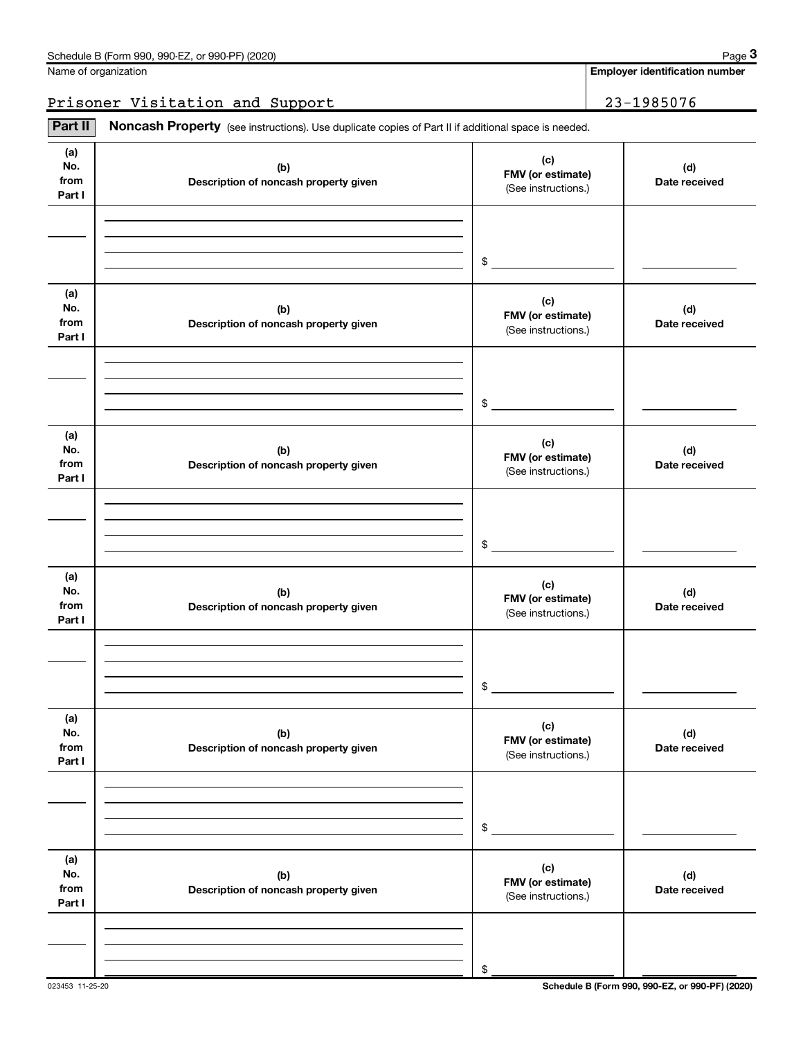|  |  |  |  | Name of organization |
|--|--|--|--|----------------------|
|--|--|--|--|----------------------|

# Prisoner Visitation and Support 23-1985076

Part II | Noncash Property (see instructions). Use duplicate copies of Part II if additional space is needed.

| (a)<br>No.<br>from<br>Part I | (b)<br>Description of noncash property given | (c)<br>FMV (or estimate)<br>(See instructions.) | (d)<br>Date received |
|------------------------------|----------------------------------------------|-------------------------------------------------|----------------------|
|                              |                                              | $\sim$                                          |                      |
| (a)<br>No.<br>from<br>Part I | (b)<br>Description of noncash property given | (c)<br>FMV (or estimate)<br>(See instructions.) | (d)<br>Date received |
|                              |                                              | $$\circ$$                                       |                      |
| (a)<br>No.<br>from<br>Part I | (b)<br>Description of noncash property given | (c)<br>FMV (or estimate)<br>(See instructions.) | (d)<br>Date received |
|                              |                                              | $\sim$                                          |                      |
| (a)<br>No.<br>from<br>Part I | (b)<br>Description of noncash property given | (c)<br>FMV (or estimate)<br>(See instructions.) | (d)<br>Date received |
|                              |                                              | \$                                              |                      |
| (a)<br>No.<br>from<br>Part I | (b)<br>Description of noncash property given | (c)<br>FMV (or estimate)<br>(See instructions.) | (d)<br>Date received |
|                              |                                              | \$                                              |                      |
| (a)<br>No.<br>from<br>Part I | (b)<br>Description of noncash property given | (c)<br>FMV (or estimate)<br>(See instructions.) | (d)<br>Date received |
|                              |                                              | \$                                              |                      |

 $Page$  3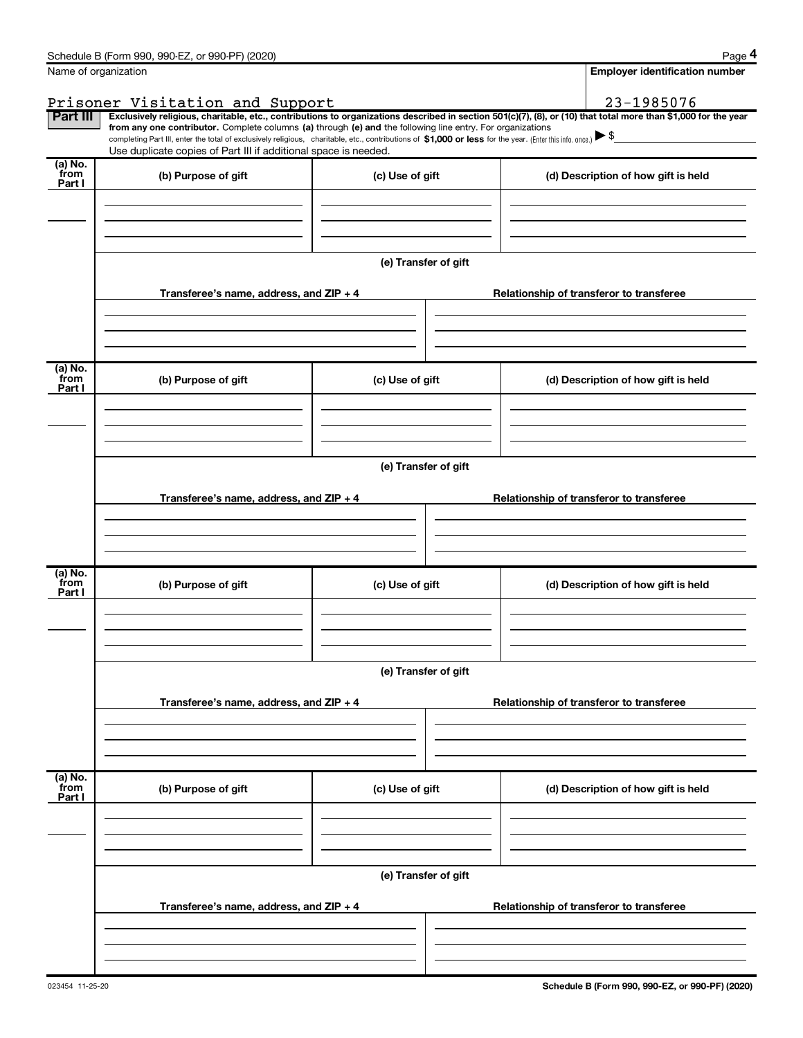|                           | Schedule B (Form 990, 990-EZ, or 990-PF) (2020)                                                            |                      | Page 4                                                                                                                                                                            |
|---------------------------|------------------------------------------------------------------------------------------------------------|----------------------|-----------------------------------------------------------------------------------------------------------------------------------------------------------------------------------|
|                           | Name of organization                                                                                       |                      | <b>Employer identification number</b>                                                                                                                                             |
|                           | Prisoner Visitation and Support                                                                            |                      | 23-1985076                                                                                                                                                                        |
| Part III                  |                                                                                                            |                      | Exclusively religious, charitable, etc., contributions to organizations described in section 501(c)(7), (8), or (10) that total more than \$1,000 for the year                    |
|                           | from any one contributor. Complete columns (a) through (e) and the following line entry. For organizations |                      | completing Part III, enter the total of exclusively religious, charitable, etc., contributions of \$1,000 or less for the year. (Enter this info. once.) $\blacktriangleright$ \$ |
|                           | Use duplicate copies of Part III if additional space is needed.                                            |                      |                                                                                                                                                                                   |
| (a) No.<br>from<br>Part I | (b) Purpose of gift                                                                                        | (c) Use of gift      | (d) Description of how gift is held                                                                                                                                               |
|                           |                                                                                                            |                      |                                                                                                                                                                                   |
|                           |                                                                                                            | (e) Transfer of gift |                                                                                                                                                                                   |
|                           | Transferee's name, address, and ZIP + 4                                                                    |                      | Relationship of transferor to transferee                                                                                                                                          |
| (a) No.                   |                                                                                                            |                      |                                                                                                                                                                                   |
| from<br>Part I            | (b) Purpose of gift                                                                                        | (c) Use of gift      | (d) Description of how gift is held                                                                                                                                               |
|                           |                                                                                                            |                      |                                                                                                                                                                                   |
|                           |                                                                                                            |                      |                                                                                                                                                                                   |
|                           |                                                                                                            | (e) Transfer of gift |                                                                                                                                                                                   |
|                           | Transferee's name, address, and ZIP + 4                                                                    |                      | Relationship of transferor to transferee                                                                                                                                          |
|                           |                                                                                                            |                      |                                                                                                                                                                                   |
|                           |                                                                                                            |                      |                                                                                                                                                                                   |
|                           |                                                                                                            |                      |                                                                                                                                                                                   |
| (a) No.<br>from<br>Part I | (b) Purpose of gift                                                                                        | (c) Use of gift      | (d) Description of how gift is held                                                                                                                                               |
|                           |                                                                                                            |                      |                                                                                                                                                                                   |
|                           |                                                                                                            |                      |                                                                                                                                                                                   |
|                           |                                                                                                            |                      |                                                                                                                                                                                   |
|                           |                                                                                                            | (e) Transfer of gift |                                                                                                                                                                                   |
|                           | Transferee's name, address, and ZIP + 4                                                                    |                      | Relationship of transferor to transferee                                                                                                                                          |
|                           |                                                                                                            |                      |                                                                                                                                                                                   |
|                           |                                                                                                            |                      |                                                                                                                                                                                   |
|                           |                                                                                                            |                      |                                                                                                                                                                                   |
| (a) No.<br>from<br>Part I | (b) Purpose of gift                                                                                        | (c) Use of gift      | (d) Description of how gift is held                                                                                                                                               |
|                           |                                                                                                            |                      |                                                                                                                                                                                   |
|                           |                                                                                                            |                      |                                                                                                                                                                                   |
|                           |                                                                                                            |                      |                                                                                                                                                                                   |
|                           |                                                                                                            | (e) Transfer of gift |                                                                                                                                                                                   |
|                           | Transferee's name, address, and ZIP + 4                                                                    |                      | Relationship of transferor to transferee                                                                                                                                          |
|                           |                                                                                                            |                      |                                                                                                                                                                                   |
|                           |                                                                                                            |                      |                                                                                                                                                                                   |
|                           |                                                                                                            |                      |                                                                                                                                                                                   |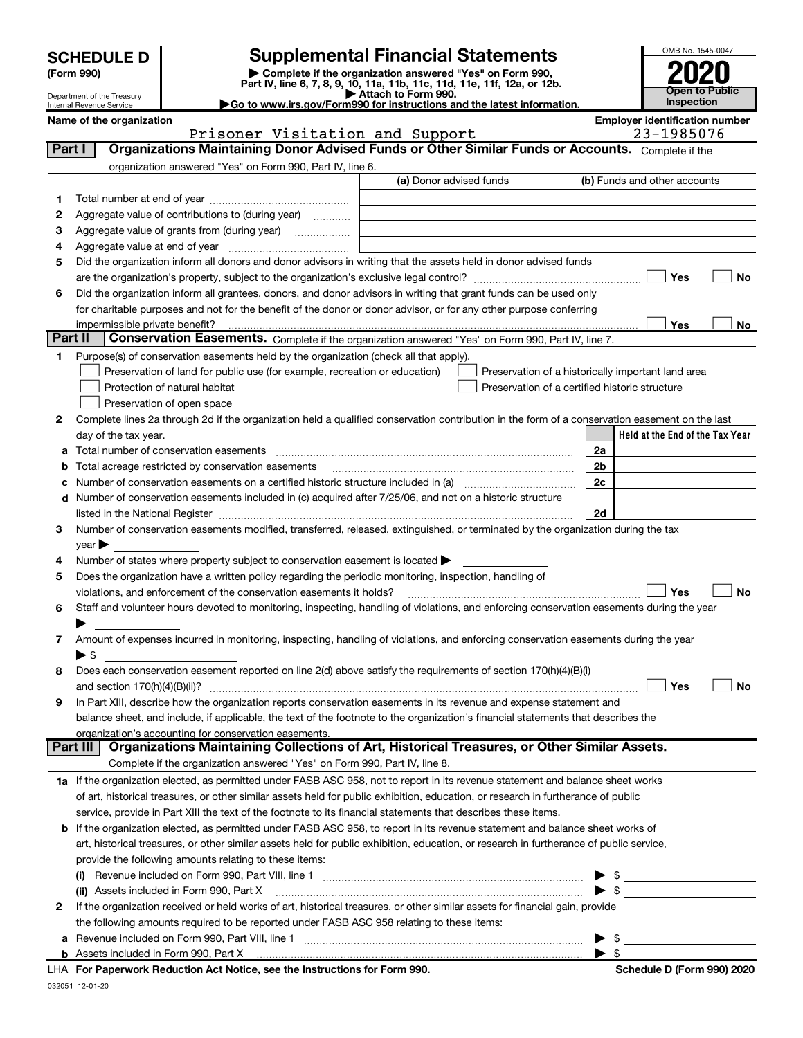|  | <b>SCHEDULE D</b> |
|--|-------------------|
|  |                   |

| (Form 990) |  |
|------------|--|
|------------|--|

(Form 990) | Complete if the organization answered "Yes" on Form 990, Part IV, line 6, 7, 8, 9, 10, 11a, 11b, 11c, 11d, 11e, 11f, 12a, or 12b. **SCHEDULE D** Supplemental Financial Statements<br>
Form 990) **Supplemental Financial Statements**<br>
Part IV, line 6, 7, 8, 9, 10, 11a, 11b, 11c, 11d, 11e, 11f, 12a, or 12b.



Department of the Treasury Internal Revenue Service

▶ Attach to Form 990.<br>► Go to www.irs.gov/Form990 for instructions and the latest information.

|        | Name of the organization<br>Prisoner Visitation and Support                                                                                                         | <b>Employer identification number</b><br>23-1985076 |
|--------|---------------------------------------------------------------------------------------------------------------------------------------------------------------------|-----------------------------------------------------|
| Part I | Organizations Maintaining Donor Advised Funds or Other Similar Funds or Accounts. Complete if the                                                                   |                                                     |
|        | organization answered "Yes" on Form 990, Part IV, line 6.                                                                                                           |                                                     |
|        | (a) Donor advised funds                                                                                                                                             | (b) Funds and other accounts                        |
| 1.     |                                                                                                                                                                     |                                                     |
| 2      | Aggregate value of contributions to (during year)                                                                                                                   |                                                     |
| 3      |                                                                                                                                                                     |                                                     |
| 4      |                                                                                                                                                                     |                                                     |
| 5      | Did the organization inform all donors and donor advisors in writing that the assets held in donor advised funds                                                    |                                                     |
|        |                                                                                                                                                                     | Yes<br>No                                           |
| 6      | Did the organization inform all grantees, donors, and donor advisors in writing that grant funds can be used only                                                   |                                                     |
|        | for charitable purposes and not for the benefit of the donor or donor advisor, or for any other purpose conferring                                                  |                                                     |
|        | impermissible private benefit?                                                                                                                                      | Yes<br>No                                           |
|        | Part II<br>Conservation Easements. Complete if the organization answered "Yes" on Form 990, Part IV, line 7.                                                        |                                                     |
| 1      | Purpose(s) of conservation easements held by the organization (check all that apply).                                                                               |                                                     |
|        | Preservation of land for public use (for example, recreation or education)                                                                                          | Preservation of a historically important land area  |
|        | Protection of natural habitat                                                                                                                                       | Preservation of a certified historic structure      |
|        | Preservation of open space                                                                                                                                          |                                                     |
| 2      | Complete lines 2a through 2d if the organization held a qualified conservation contribution in the form of a conservation easement on the last                      |                                                     |
|        | day of the tax year.                                                                                                                                                | Held at the End of the Tax Year                     |
| a      | Total number of conservation easements                                                                                                                              | 2a                                                  |
| b      | Total acreage restricted by conservation easements                                                                                                                  | 2 <sub>b</sub>                                      |
| с      | Number of conservation easements on a certified historic structure included in (a) manufacture included in (a)                                                      | 2c                                                  |
|        | d Number of conservation easements included in (c) acquired after 7/25/06, and not on a historic structure                                                          |                                                     |
|        |                                                                                                                                                                     | 2d                                                  |
| 3      | Number of conservation easements modified, transferred, released, extinguished, or terminated by the organization during the tax                                    |                                                     |
|        | year                                                                                                                                                                |                                                     |
| 4      | Number of states where property subject to conservation easement is located >                                                                                       |                                                     |
| 5      | Does the organization have a written policy regarding the periodic monitoring, inspection, handling of                                                              |                                                     |
|        | violations, and enforcement of the conservation easements it holds?                                                                                                 | Yes<br>No                                           |
| 6      | Staff and volunteer hours devoted to monitoring, inspecting, handling of violations, and enforcing conservation easements during the year                           |                                                     |
|        |                                                                                                                                                                     |                                                     |
| 7      | Amount of expenses incurred in monitoring, inspecting, handling of violations, and enforcing conservation easements during the year                                 |                                                     |
|        | ▶ \$                                                                                                                                                                |                                                     |
| 8      | Does each conservation easement reported on line 2(d) above satisfy the requirements of section 170(h)(4)(B)(i)                                                     |                                                     |
|        |                                                                                                                                                                     | Yes<br>No                                           |
|        | In Part XIII, describe how the organization reports conservation easements in its revenue and expense statement and                                                 |                                                     |
|        | balance sheet, and include, if applicable, the text of the footnote to the organization's financial statements that describes the                                   |                                                     |
|        | organization's accounting for conservation easements.<br>Organizations Maintaining Collections of Art, Historical Treasures, or Other Similar Assets.<br>Part III I |                                                     |
|        | Complete if the organization answered "Yes" on Form 990, Part IV, line 8.                                                                                           |                                                     |
|        | 1a If the organization elected, as permitted under FASB ASC 958, not to report in its revenue statement and balance sheet works                                     |                                                     |
|        | of art, historical treasures, or other similar assets held for public exhibition, education, or research in furtherance of public                                   |                                                     |
|        | service, provide in Part XIII the text of the footnote to its financial statements that describes these items.                                                      |                                                     |
|        | b If the organization elected, as permitted under FASB ASC 958, to report in its revenue statement and balance sheet works of                                       |                                                     |
|        | art, historical treasures, or other similar assets held for public exhibition, education, or research in furtherance of public service,                             |                                                     |
|        | provide the following amounts relating to these items:                                                                                                              |                                                     |
|        |                                                                                                                                                                     |                                                     |
|        | (ii) Assets included in Form 990, Part X                                                                                                                            | $\blacktriangleright$ \$                            |
| 2      | If the organization received or held works of art, historical treasures, or other similar assets for financial gain, provide                                        |                                                     |
|        | the following amounts required to be reported under FASB ASC 958 relating to these items:                                                                           |                                                     |
| а      |                                                                                                                                                                     | -\$<br>▶                                            |
|        |                                                                                                                                                                     | $\blacktriangleright$ \$                            |
|        | LHA For Paperwork Reduction Act Notice, see the Instructions for Form 990.                                                                                          | Schedule D (Form 990) 2020                          |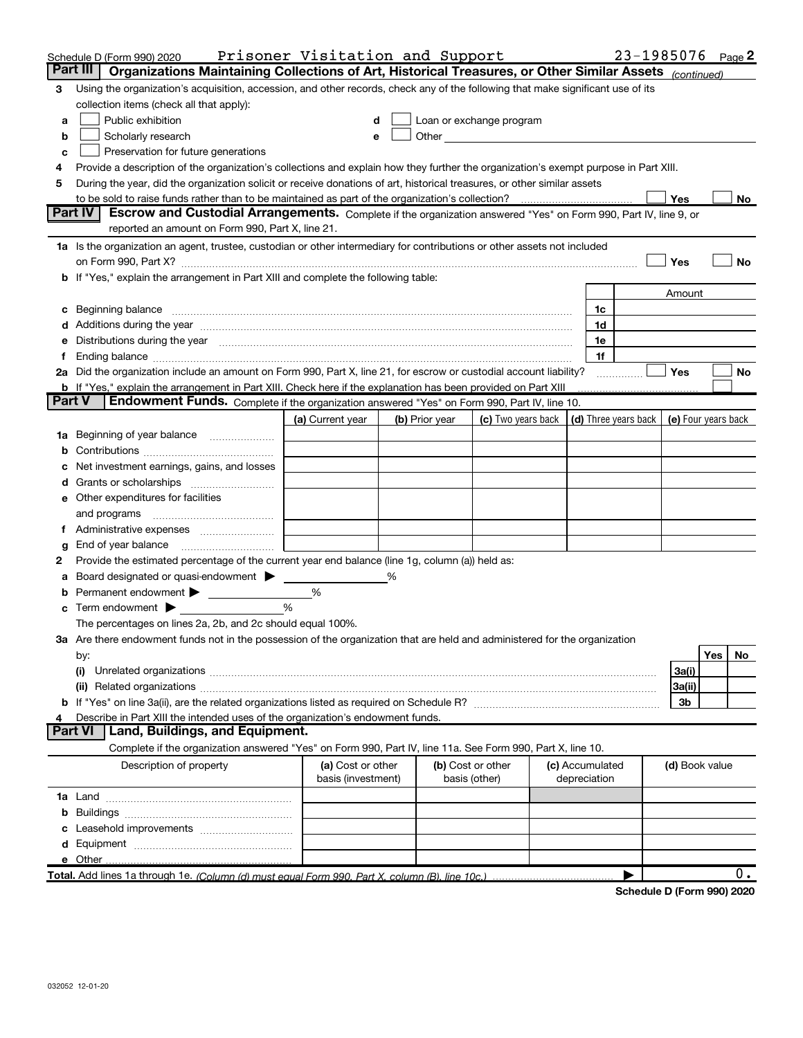|          | Schedule D (Form 990) 2020                                                                                                                                                                                                     | Prisoner Visitation and Support |   |                |                          |                 | 23-1985076 Page 2          |                     |     |           |
|----------|--------------------------------------------------------------------------------------------------------------------------------------------------------------------------------------------------------------------------------|---------------------------------|---|----------------|--------------------------|-----------------|----------------------------|---------------------|-----|-----------|
| Part III | Organizations Maintaining Collections of Art, Historical Treasures, or Other Similar Assets (continued)                                                                                                                        |                                 |   |                |                          |                 |                            |                     |     |           |
| 3        | Using the organization's acquisition, accession, and other records, check any of the following that make significant use of its                                                                                                |                                 |   |                |                          |                 |                            |                     |     |           |
|          | collection items (check all that apply):                                                                                                                                                                                       |                                 |   |                |                          |                 |                            |                     |     |           |
| a        | Public exhibition                                                                                                                                                                                                              |                                 |   |                | Loan or exchange program |                 |                            |                     |     |           |
| b        | Scholarly research                                                                                                                                                                                                             |                                 |   |                |                          |                 |                            |                     |     |           |
| c        | Preservation for future generations                                                                                                                                                                                            |                                 |   |                |                          |                 |                            |                     |     |           |
| 4        | Provide a description of the organization's collections and explain how they further the organization's exempt purpose in Part XIII.                                                                                           |                                 |   |                |                          |                 |                            |                     |     |           |
| 5        | During the year, did the organization solicit or receive donations of art, historical treasures, or other similar assets                                                                                                       |                                 |   |                |                          |                 |                            |                     |     |           |
|          | to be sold to raise funds rather than to be maintained as part of the organization's collection?                                                                                                                               |                                 |   |                |                          |                 |                            | Yes                 |     | No        |
|          | Escrow and Custodial Arrangements. Complete if the organization answered "Yes" on Form 990, Part IV, line 9, or<br><b>Part IV</b><br>reported an amount on Form 990, Part X, line 21.                                          |                                 |   |                |                          |                 |                            |                     |     |           |
|          | 1a Is the organization an agent, trustee, custodian or other intermediary for contributions or other assets not included                                                                                                       |                                 |   |                |                          |                 |                            |                     |     |           |
|          | on Form 990, Part X? [11] matter and the contract of the contract of the contract of the contract of the contract of the contract of the contract of the contract of the contract of the contract of the contract of the contr |                                 |   |                |                          |                 |                            | Yes                 |     | No        |
|          | b If "Yes," explain the arrangement in Part XIII and complete the following table:                                                                                                                                             |                                 |   |                |                          |                 |                            |                     |     |           |
|          |                                                                                                                                                                                                                                |                                 |   |                |                          |                 |                            | Amount              |     |           |
|          | c Beginning balance measurements and the contract of the contract of the contract of the contract of the contract of the contract of the contract of the contract of the contract of the contract of the contract of the contr |                                 |   |                |                          | 1c              |                            |                     |     |           |
|          | d Additions during the year measurements are all an according to the year.                                                                                                                                                     |                                 |   |                |                          | 1d              |                            |                     |     |           |
|          | e Distributions during the year manufactured and an according to the year manufactured and the year manufactur                                                                                                                 |                                 |   |                |                          | 1e              |                            |                     |     |           |
|          |                                                                                                                                                                                                                                |                                 |   |                |                          | 1f              |                            |                     |     |           |
|          | 2a Did the organization include an amount on Form 990, Part X, line 21, for escrow or custodial account liability?                                                                                                             |                                 |   |                |                          |                 |                            | Yes                 |     | No        |
|          | <b>b</b> If "Yes," explain the arrangement in Part XIII. Check here if the explanation has been provided on Part XIII                                                                                                          |                                 |   |                |                          |                 |                            |                     |     |           |
| Part V   | Endowment Funds. Complete if the organization answered "Yes" on Form 990, Part IV, line 10.                                                                                                                                    |                                 |   |                |                          |                 |                            |                     |     |           |
|          |                                                                                                                                                                                                                                | (a) Current year                |   | (b) Prior year | (c) Two years back       |                 | (d) Three years back       | (e) Four years back |     |           |
|          | 1a Beginning of year balance                                                                                                                                                                                                   |                                 |   |                |                          |                 |                            |                     |     |           |
|          |                                                                                                                                                                                                                                |                                 |   |                |                          |                 |                            |                     |     |           |
|          | Net investment earnings, gains, and losses                                                                                                                                                                                     |                                 |   |                |                          |                 |                            |                     |     |           |
|          |                                                                                                                                                                                                                                |                                 |   |                |                          |                 |                            |                     |     |           |
|          | e Other expenditures for facilities                                                                                                                                                                                            |                                 |   |                |                          |                 |                            |                     |     |           |
|          |                                                                                                                                                                                                                                |                                 |   |                |                          |                 |                            |                     |     |           |
|          |                                                                                                                                                                                                                                |                                 |   |                |                          |                 |                            |                     |     |           |
| g        |                                                                                                                                                                                                                                |                                 |   |                |                          |                 |                            |                     |     |           |
| 2        | Provide the estimated percentage of the current year end balance (line 1g, column (a)) held as:                                                                                                                                |                                 |   |                |                          |                 |                            |                     |     |           |
|          | Board designated or quasi-endowment                                                                                                                                                                                            |                                 | ℅ |                |                          |                 |                            |                     |     |           |
|          | <b>b</b> Permanent endowment > 1                                                                                                                                                                                               | %                               |   |                |                          |                 |                            |                     |     |           |
|          | $\mathbf c$ Term endowment $\blacktriangleright$                                                                                                                                                                               | %                               |   |                |                          |                 |                            |                     |     |           |
|          | The percentages on lines 2a, 2b, and 2c should equal 100%.                                                                                                                                                                     |                                 |   |                |                          |                 |                            |                     |     |           |
|          | 3a Are there endowment funds not in the possession of the organization that are held and administered for the organization                                                                                                     |                                 |   |                |                          |                 |                            |                     |     |           |
|          | by:                                                                                                                                                                                                                            |                                 |   |                |                          |                 |                            |                     | Yes | <b>No</b> |
|          | (i)                                                                                                                                                                                                                            |                                 |   |                |                          |                 |                            | 3a(i)<br>3a(ii)     |     |           |
|          |                                                                                                                                                                                                                                |                                 |   |                |                          |                 |                            | 3b                  |     |           |
|          | Describe in Part XIII the intended uses of the organization's endowment funds.                                                                                                                                                 |                                 |   |                |                          |                 |                            |                     |     |           |
|          | <b>Part VI</b><br>Land, Buildings, and Equipment.                                                                                                                                                                              |                                 |   |                |                          |                 |                            |                     |     |           |
|          | Complete if the organization answered "Yes" on Form 990, Part IV, line 11a. See Form 990, Part X, line 10.                                                                                                                     |                                 |   |                |                          |                 |                            |                     |     |           |
|          | Description of property                                                                                                                                                                                                        | (a) Cost or other               |   |                | (b) Cost or other        | (c) Accumulated |                            | (d) Book value      |     |           |
|          |                                                                                                                                                                                                                                | basis (investment)              |   |                | basis (other)            | depreciation    |                            |                     |     |           |
|          |                                                                                                                                                                                                                                |                                 |   |                |                          |                 |                            |                     |     |           |
|          |                                                                                                                                                                                                                                |                                 |   |                |                          |                 |                            |                     |     |           |
|          |                                                                                                                                                                                                                                |                                 |   |                |                          |                 |                            |                     |     |           |
|          |                                                                                                                                                                                                                                |                                 |   |                |                          |                 |                            |                     |     |           |
|          | e Other                                                                                                                                                                                                                        |                                 |   |                |                          |                 |                            |                     |     |           |
|          | Total. Add lines 1a through 1e. (Column (d) must equal Form 990. Part X, column (B), line 10c.)                                                                                                                                |                                 |   |                |                          |                 |                            |                     |     | О.        |
|          |                                                                                                                                                                                                                                |                                 |   |                |                          |                 | Schadula D (Form 990) 2020 |                     |     |           |

Schedule D (Form 990) 2020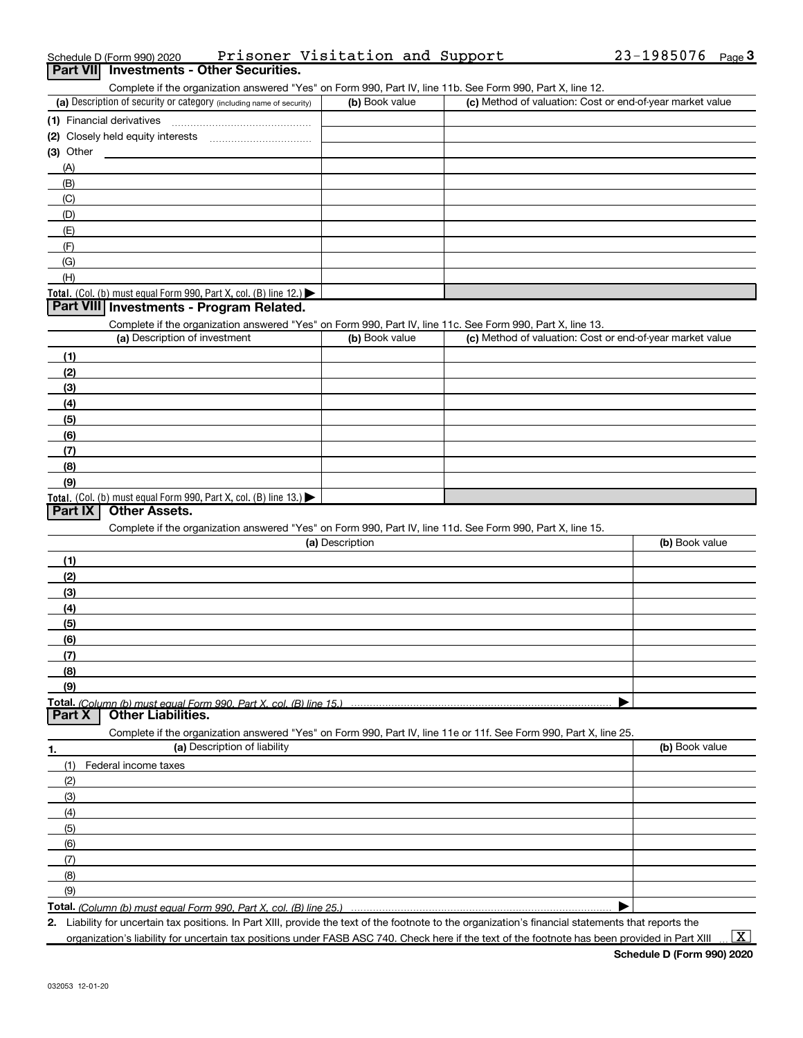|             | Schedule D (Form 990) 2020                                                                                        | Prisoner Visitation and Support | $23 - 1985076$<br>$Page$ <sup>3</sup>                     |
|-------------|-------------------------------------------------------------------------------------------------------------------|---------------------------------|-----------------------------------------------------------|
|             | <b>Part VII</b> Investments - Other Securities.                                                                   |                                 |                                                           |
|             | Complete if the organization answered "Yes" on Form 990, Part IV, line 11b. See Form 990, Part X, line 12.        |                                 |                                                           |
|             | (a) Description of security or category (including name of security)                                              | (b) Book value                  | (c) Method of valuation: Cost or end-of-year market value |
|             | (1) Financial derivatives                                                                                         |                                 |                                                           |
|             |                                                                                                                   |                                 |                                                           |
| $(3)$ Other |                                                                                                                   |                                 |                                                           |
| (A)         |                                                                                                                   |                                 |                                                           |
| (B)         |                                                                                                                   |                                 |                                                           |
| (C)         |                                                                                                                   |                                 |                                                           |
| (D)         |                                                                                                                   |                                 |                                                           |
| (E)         |                                                                                                                   |                                 |                                                           |
| (F)         |                                                                                                                   |                                 |                                                           |
| (G)         |                                                                                                                   |                                 |                                                           |
| (H)         |                                                                                                                   |                                 |                                                           |
|             | Total. (Col. (b) must equal Form 990, Part X, col. (B) line 12.)                                                  |                                 |                                                           |
|             | Part VIII Investments - Program Related.                                                                          |                                 |                                                           |
|             | Complete if the organization answered "Yes" on Form 990, Part IV, line 11c. See Form 990, Part X, line 13.        |                                 |                                                           |
|             | (a) Description of investment                                                                                     | (b) Book value                  | (c) Method of valuation: Cost or end-of-year market value |
| (1)         |                                                                                                                   |                                 |                                                           |
| (2)         |                                                                                                                   |                                 |                                                           |
| (3)         |                                                                                                                   |                                 |                                                           |
| (4)         |                                                                                                                   |                                 |                                                           |
| (5)         |                                                                                                                   |                                 |                                                           |
| (6)         |                                                                                                                   |                                 |                                                           |
| (7)         |                                                                                                                   |                                 |                                                           |
| (8)         |                                                                                                                   |                                 |                                                           |
| (9)         |                                                                                                                   |                                 |                                                           |
|             | Total. (Col. (b) must equal Form 990, Part X, col. (B) line 13.)                                                  |                                 |                                                           |
| Part IX     | <b>Other Assets.</b>                                                                                              |                                 |                                                           |
|             | Complete if the organization answered "Yes" on Form 990, Part IV, line 11d. See Form 990, Part X, line 15.        |                                 |                                                           |
|             |                                                                                                                   | (a) Description                 | (b) Book value                                            |
| (1)         |                                                                                                                   |                                 |                                                           |
| (2)         |                                                                                                                   |                                 |                                                           |
| (3)         |                                                                                                                   |                                 |                                                           |
| (4)         |                                                                                                                   |                                 |                                                           |
| (5)         |                                                                                                                   |                                 |                                                           |
| (6)         |                                                                                                                   |                                 |                                                           |
| (7)         |                                                                                                                   |                                 |                                                           |
| (8)         |                                                                                                                   |                                 |                                                           |
| (9)         |                                                                                                                   |                                 |                                                           |
|             | Total. (Column (b) must equal Form 990, Part X, col. (B) line 15.)                                                |                                 |                                                           |
| Part X      | <b>Other Liabilities.</b>                                                                                         |                                 |                                                           |
|             | Complete if the organization answered "Yes" on Form 990, Part IV, line 11e or 11f. See Form 990, Part X, line 25. |                                 |                                                           |
| 1.          | (a) Description of liability                                                                                      |                                 | (b) Book value                                            |
| (1)         | Federal income taxes                                                                                              |                                 |                                                           |
| (2)         |                                                                                                                   |                                 |                                                           |
| (3)         |                                                                                                                   |                                 |                                                           |
| (4)         |                                                                                                                   |                                 |                                                           |
| (5)         |                                                                                                                   |                                 |                                                           |
| (6)         |                                                                                                                   |                                 |                                                           |
| (7)         |                                                                                                                   |                                 |                                                           |
| (8)         |                                                                                                                   |                                 |                                                           |
| (9)         |                                                                                                                   |                                 |                                                           |
|             |                                                                                                                   |                                 |                                                           |
|             |                                                                                                                   |                                 |                                                           |

(Column (b) must equal Form 990, Part X, col. (B) line 25.)

2. Liability for uncertain tax positions. In Part XIII, provide the text of the footnote to the organization's financial statements that reports the

organization's liability for uncertain tax positions under FASB ASC 740. Check here if the text of the footnote has been provided in Part XIII

 $\boxed{\text{X}}$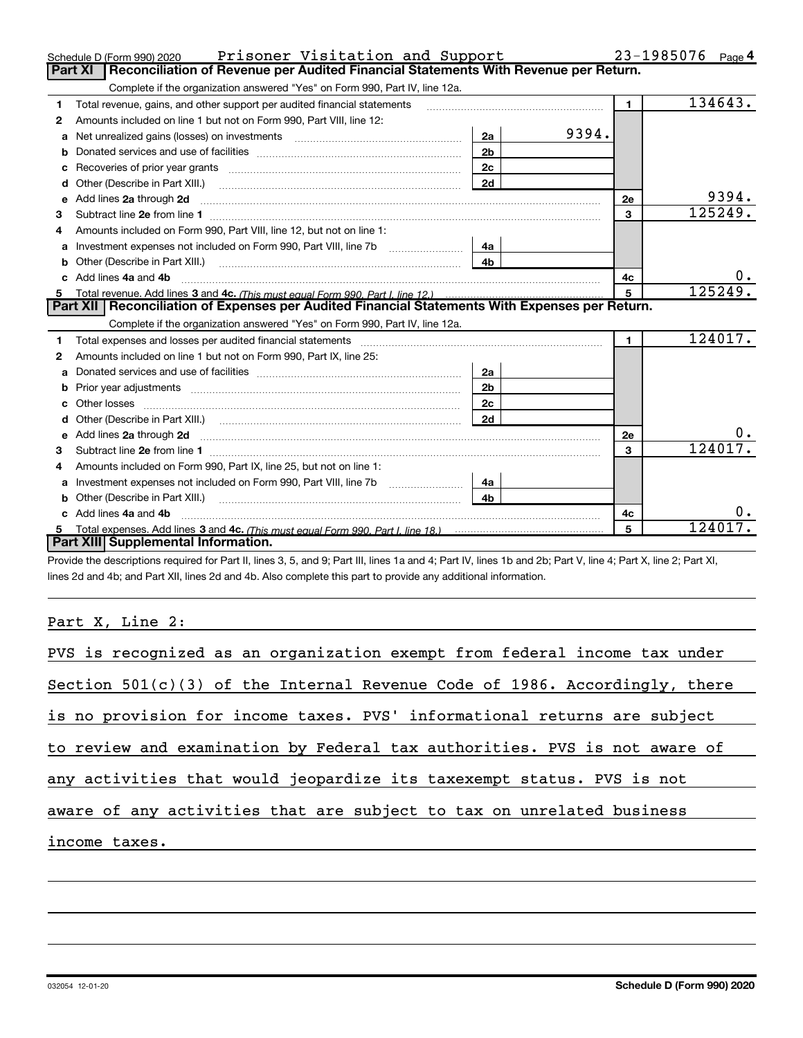|    | Prisoner Visitation and Support<br>Schedule D (Form 990) 2020                                                                                                                                                                                                |                |       |                | 23-1985076<br>Page 4 |
|----|--------------------------------------------------------------------------------------------------------------------------------------------------------------------------------------------------------------------------------------------------------------|----------------|-------|----------------|----------------------|
|    | Reconciliation of Revenue per Audited Financial Statements With Revenue per Return.<br>Part XI                                                                                                                                                               |                |       |                |                      |
|    | Complete if the organization answered "Yes" on Form 990, Part IV, line 12a.                                                                                                                                                                                  |                |       |                |                      |
| 1. | Total revenue, gains, and other support per audited financial statements                                                                                                                                                                                     |                |       | $\mathbf{1}$   | 134643.              |
| 2  | Amounts included on line 1 but not on Form 990, Part VIII, line 12:                                                                                                                                                                                          |                |       |                |                      |
| a  |                                                                                                                                                                                                                                                              | 2a             | 9394. |                |                      |
|    |                                                                                                                                                                                                                                                              | 2 <sub>b</sub> |       |                |                      |
| c  |                                                                                                                                                                                                                                                              | 2c             |       |                |                      |
| d  |                                                                                                                                                                                                                                                              |                |       |                |                      |
| e  | Add lines 2a through 2d <b>contained a contained a contained a contained a</b> contained a contained a contact the set                                                                                                                                       |                |       | 2e             | 9394.                |
| 3  |                                                                                                                                                                                                                                                              |                |       | 3              | 125249.              |
| 4  | Amounts included on Form 990, Part VIII, line 12, but not on line 1:                                                                                                                                                                                         |                |       |                |                      |
| a  | Investment expenses not included on Form 990, Part VIII, line 7b   4a                                                                                                                                                                                        |                |       |                |                      |
|    |                                                                                                                                                                                                                                                              | 4 <sub>b</sub> |       |                |                      |
|    |                                                                                                                                                                                                                                                              |                |       | 4c             | 0.                   |
|    | Add lines 4a and 4b                                                                                                                                                                                                                                          |                |       |                |                      |
| 5  | Total revenue. Add lines 3 and 4c. (This must equal Form 990, Part I, line 12.)                                                                                                                                                                              |                |       | 5              | 125249.              |
|    | Part XII   Reconciliation of Expenses per Audited Financial Statements With Expenses per Return.                                                                                                                                                             |                |       |                |                      |
|    | Complete if the organization answered "Yes" on Form 990, Part IV, line 12a.                                                                                                                                                                                  |                |       |                |                      |
| 1  | Total expenses and losses per audited financial statements [11] [12] manuscription control expenses and losses per audited financial statements [12] [12] manuscription of the statements [12] manuscription of the statements                               |                |       | $\blacksquare$ | 124017.              |
| 2  | Amounts included on line 1 but not on Form 990, Part IX, line 25:                                                                                                                                                                                            |                |       |                |                      |
| a  |                                                                                                                                                                                                                                                              | 2a             |       |                |                      |
| b  |                                                                                                                                                                                                                                                              | 2b             |       |                |                      |
| c. |                                                                                                                                                                                                                                                              | 2c             |       |                |                      |
|    |                                                                                                                                                                                                                                                              |                |       |                |                      |
| e  |                                                                                                                                                                                                                                                              |                |       | 2e             |                      |
| 3  | Add lines 2a through 2d <b>contained a contained a contained a contained a</b> contained a contained a contact the set                                                                                                                                       |                |       | 3              | 124017               |
| 4  | Amounts included on Form 990, Part IX, line 25, but not on line 1:                                                                                                                                                                                           |                |       |                |                      |
| a  |                                                                                                                                                                                                                                                              | 4a             |       |                |                      |
|    |                                                                                                                                                                                                                                                              |                |       |                |                      |
|    | Other (Describe in Part XIII.) <b>Construction</b> and the set of the set of the set of the set of the set of the set of the set of the set of the set of the set of the set of the set of the set of the set of the set of the set<br>c Add lines 4a and 4b |                |       | 4c             |                      |
|    | Part XIII Supplemental Information.                                                                                                                                                                                                                          |                |       | 5              | 124017.              |

Provide the descriptions required for Part II, lines 3, 5, and 9; Part III, lines 1a and 4; Part IV, lines 1b and 2b; Part V, line 4; Part X, line 2; Part XI, lines 2d and 4b; and Part XII, lines 2d and 4b. Also complete this part to provide any additional information.

# Part X, Line 2:

| PVS is recognized as an organization exempt from federal income tax under    |
|------------------------------------------------------------------------------|
| Section $501(c)(3)$ of the Internal Revenue Code of 1986. Accordingly, there |
| is no provision for income taxes. PVS' informational returns are subject     |
| to review and examination by Federal tax authorities. PVS is not aware of    |
| any activities that would jeopardize its taxexempt status. PVS is not        |
| aware of any activities that are subject to tax on unrelated business        |
| income taxes.                                                                |
|                                                                              |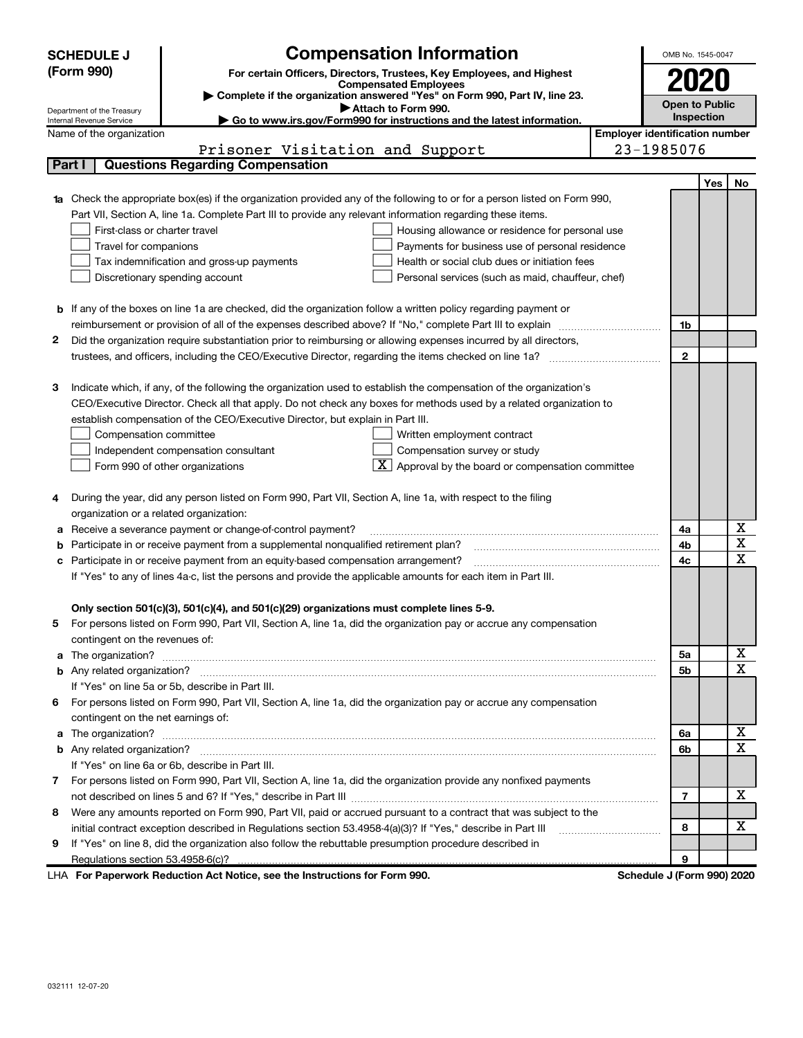|              | <b>Compensation Information</b><br><b>SCHEDULE J</b>                                                                                                                                                                  | OMB No. 1545-0047                     |                   |                              |
|--------------|-----------------------------------------------------------------------------------------------------------------------------------------------------------------------------------------------------------------------|---------------------------------------|-------------------|------------------------------|
|              | (Form 990)<br>For certain Officers, Directors, Trustees, Key Employees, and Highest                                                                                                                                   |                                       |                   |                              |
|              | <b>Compensated Employees</b>                                                                                                                                                                                          |                                       |                   |                              |
|              | Complete if the organization answered "Yes" on Form 990, Part IV, line 23.<br>Attach to Form 990.<br>Department of the Treasury                                                                                       | <b>Open to Public</b>                 |                   |                              |
|              | Go to www.irs.gov/Form990 for instructions and the latest information.<br>Internal Revenue Service                                                                                                                    |                                       | <b>Inspection</b> |                              |
|              | Name of the organization                                                                                                                                                                                              | <b>Employer identification number</b> |                   |                              |
|              | Prisoner Visitation and Support                                                                                                                                                                                       | 23-1985076                            |                   |                              |
|              | <b>Questions Regarding Compensation</b><br>Part I                                                                                                                                                                     |                                       |                   |                              |
|              |                                                                                                                                                                                                                       |                                       | <b>Yes</b>        | No                           |
|              | <b>1a</b> Check the appropriate box(es) if the organization provided any of the following to or for a person listed on Form 990,                                                                                      |                                       |                   |                              |
|              | Part VII, Section A, line 1a. Complete Part III to provide any relevant information regarding these items.                                                                                                            |                                       |                   |                              |
|              | First-class or charter travel<br>Housing allowance or residence for personal use                                                                                                                                      |                                       |                   |                              |
|              | Travel for companions<br>Payments for business use of personal residence                                                                                                                                              |                                       |                   |                              |
|              | Tax indemnification and gross-up payments<br>Health or social club dues or initiation fees                                                                                                                            |                                       |                   |                              |
|              | Discretionary spending account<br>Personal services (such as maid, chauffeur, chef)                                                                                                                                   |                                       |                   |                              |
|              |                                                                                                                                                                                                                       |                                       |                   |                              |
| b            | If any of the boxes on line 1a are checked, did the organization follow a written policy regarding payment or                                                                                                         |                                       |                   |                              |
|              | reimbursement or provision of all of the expenses described above? If "No," complete Part III to explain                                                                                                              | 1b                                    |                   |                              |
| 2            | Did the organization require substantiation prior to reimbursing or allowing expenses incurred by all directors,                                                                                                      | $\mathbf{2}$                          |                   |                              |
|              |                                                                                                                                                                                                                       |                                       |                   |                              |
| 3            | Indicate which, if any, of the following the organization used to establish the compensation of the organization's                                                                                                    |                                       |                   |                              |
|              | CEO/Executive Director. Check all that apply. Do not check any boxes for methods used by a related organization to                                                                                                    |                                       |                   |                              |
|              | establish compensation of the CEO/Executive Director, but explain in Part III.                                                                                                                                        |                                       |                   |                              |
|              | Compensation committee<br>Written employment contract                                                                                                                                                                 |                                       |                   |                              |
|              | Compensation survey or study<br>Independent compensation consultant                                                                                                                                                   |                                       |                   |                              |
|              | $\boxed{\textbf{X}}$ Approval by the board or compensation committee<br>Form 990 of other organizations                                                                                                               |                                       |                   |                              |
|              |                                                                                                                                                                                                                       |                                       |                   |                              |
|              | During the year, did any person listed on Form 990, Part VII, Section A, line 1a, with respect to the filing                                                                                                          |                                       |                   |                              |
|              | organization or a related organization:                                                                                                                                                                               |                                       |                   |                              |
| а            | Receive a severance payment or change-of-control payment?                                                                                                                                                             | 4a                                    |                   | х                            |
| b            | Participate in or receive payment from a supplemental nonqualified retirement plan?                                                                                                                                   | 4b                                    |                   | $\overline{\mathbf{x}}$      |
| с            | Participate in or receive payment from an equity-based compensation arrangement?                                                                                                                                      | 4c                                    |                   | $\overline{\mathbf{x}}$      |
|              | If "Yes" to any of lines 4a-c, list the persons and provide the applicable amounts for each item in Part III.                                                                                                         |                                       |                   |                              |
|              |                                                                                                                                                                                                                       |                                       |                   |                              |
|              | Only section 501(c)(3), 501(c)(4), and 501(c)(29) organizations must complete lines 5-9.                                                                                                                              |                                       |                   |                              |
|              | For persons listed on Form 990, Part VII, Section A, line 1a, did the organization pay or accrue any compensation                                                                                                     |                                       |                   |                              |
|              | contingent on the revenues of:                                                                                                                                                                                        |                                       |                   |                              |
| a            |                                                                                                                                                                                                                       | 5a                                    |                   | X<br>$\overline{\mathbf{x}}$ |
|              |                                                                                                                                                                                                                       | 5b                                    |                   |                              |
|              | If "Yes" on line 5a or 5b, describe in Part III.                                                                                                                                                                      |                                       |                   |                              |
| 6            | For persons listed on Form 990, Part VII, Section A, line 1a, did the organization pay or accrue any compensation                                                                                                     |                                       |                   |                              |
|              | contingent on the net earnings of:                                                                                                                                                                                    |                                       |                   | х                            |
| a            |                                                                                                                                                                                                                       | 6a                                    |                   | $\mathbf x$                  |
| b            |                                                                                                                                                                                                                       | 6b                                    |                   |                              |
|              | If "Yes" on line 6a or 6b, describe in Part III.                                                                                                                                                                      |                                       |                   |                              |
| $\mathbf{7}$ | For persons listed on Form 990, Part VII, Section A, line 1a, did the organization provide any nonfixed payments                                                                                                      | $\overline{7}$                        |                   | х                            |
|              | Were any amounts reported on Form 990, Part VII, paid or accrued pursuant to a contract that was subject to the                                                                                                       |                                       |                   |                              |
| 8            |                                                                                                                                                                                                                       | 8                                     |                   | х                            |
| 9            | initial contract exception described in Regulations section 53.4958-4(a)(3)? If "Yes," describe in Part III<br>If "Yes" on line 8, did the organization also follow the rebuttable presumption procedure described in |                                       |                   |                              |
|              |                                                                                                                                                                                                                       | 9                                     |                   |                              |
|              | Regulations section 53.4958-6(c)?                                                                                                                                                                                     |                                       |                   |                              |

LHA For Paperwork Reduction Act Notice, see the Instructions for Form 990. Schedule J (Form 990) 2020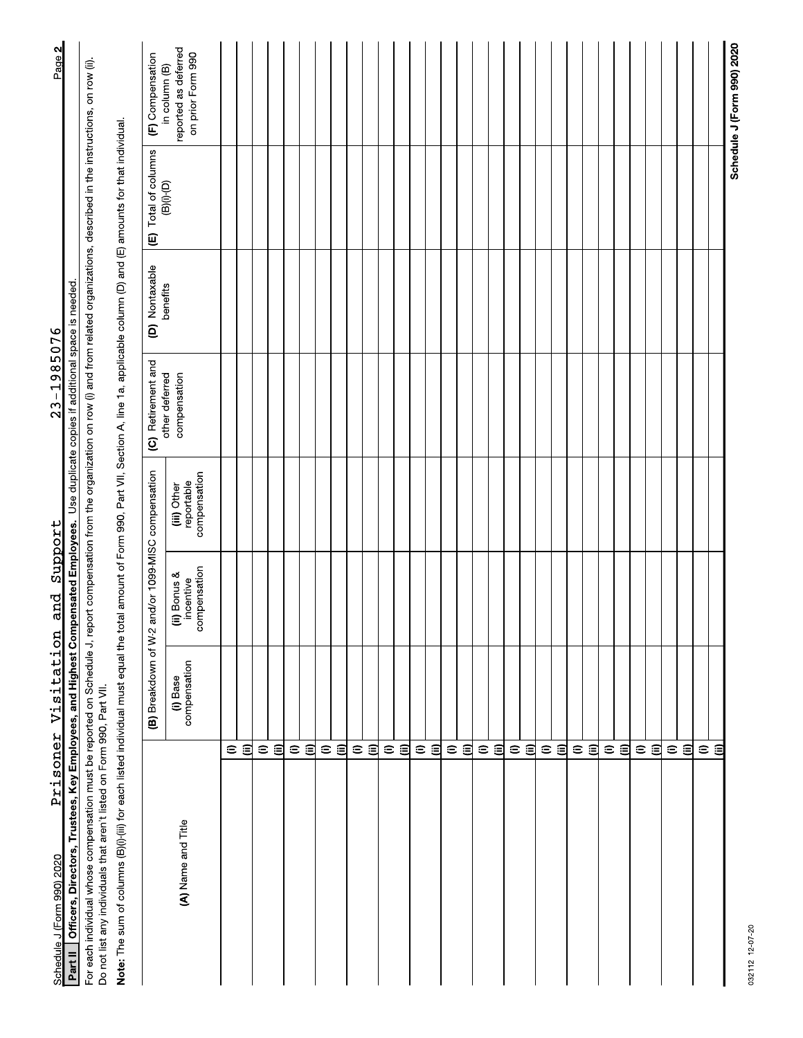| Schedule J (Form 990) 2020                                                                                                                                                                                                                                                       | Prisoner Visitation      | and                                      | Support                                   | $23 - 1985076$                                     |                |                             | Page 2                                                     |
|----------------------------------------------------------------------------------------------------------------------------------------------------------------------------------------------------------------------------------------------------------------------------------|--------------------------|------------------------------------------|-------------------------------------------|----------------------------------------------------|----------------|-----------------------------|------------------------------------------------------------|
| Officers, Directors, Trustees, Key Employees, and Highest Compensated Employees.<br>Part II                                                                                                                                                                                      |                          |                                          |                                           | Use duplicate copies if additional space is needed |                |                             |                                                            |
| For each individual whose compensation must be reported on Schedule J, report compensation from the organization on row (i) and from related organizations, described in the instructions, on row (ii).<br>Do not list any individuals that aren't listed on Form 990, Part VII. |                          |                                          |                                           |                                                    |                |                             |                                                            |
| Note: The sum of columns (B)(i)-(iii) for each listed individual must equal the total amount of Form 990, Part VII, Section A, line 1a, applicable column (D) and (E) amounts for that individual.                                                                               |                          |                                          |                                           |                                                    |                |                             |                                                            |
|                                                                                                                                                                                                                                                                                  | (B) Breakdown of W-2     |                                          | and/or 1099-MISC compensation             | (C) Retirement and                                 | (D) Nontaxable | (E) Total of columns        | (F) Compensation                                           |
| (A) Name and Title                                                                                                                                                                                                                                                               | compensation<br>(i) Base | compensation<br>ii) Bonus &<br>incentive | compensation<br>reportable<br>(iii) Other | other deferred<br>compensation                     | benefits       | $(B)(i)$ <sup>-</sup> $(D)$ | reported as deferred<br>on prior Form 990<br>in column (B) |
| $\mathrel{\widehat{=}}$                                                                                                                                                                                                                                                          |                          |                                          |                                           |                                                    |                |                             |                                                            |
| €                                                                                                                                                                                                                                                                                |                          |                                          |                                           |                                                    |                |                             |                                                            |
| $\widehat{=}$                                                                                                                                                                                                                                                                    |                          |                                          |                                           |                                                    |                |                             |                                                            |
| €                                                                                                                                                                                                                                                                                |                          |                                          |                                           |                                                    |                |                             |                                                            |
| $\mathrel{\widehat{=}}$<br>$\widehat{=}$                                                                                                                                                                                                                                         |                          |                                          |                                           |                                                    |                |                             |                                                            |
| $\mathrel{\widehat{=}}$                                                                                                                                                                                                                                                          |                          |                                          |                                           |                                                    |                |                             |                                                            |
|                                                                                                                                                                                                                                                                                  | $\widehat{\Xi}$          |                                          |                                           |                                                    |                |                             |                                                            |
| $\mathrel{\widehat{=}}$                                                                                                                                                                                                                                                          |                          |                                          |                                           |                                                    |                |                             |                                                            |
| 目                                                                                                                                                                                                                                                                                |                          |                                          |                                           |                                                    |                |                             |                                                            |
| $\mathrel{\widehat{=}}$<br>€                                                                                                                                                                                                                                                     |                          |                                          |                                           |                                                    |                |                             |                                                            |
| $\widehat{=}$                                                                                                                                                                                                                                                                    |                          |                                          |                                           |                                                    |                |                             |                                                            |
| $\widehat{\epsilon}$                                                                                                                                                                                                                                                             |                          |                                          |                                           |                                                    |                |                             |                                                            |
| $\mathrel{\widehat{=}}$                                                                                                                                                                                                                                                          |                          |                                          |                                           |                                                    |                |                             |                                                            |
| $\widehat{\Xi}$                                                                                                                                                                                                                                                                  |                          |                                          |                                           |                                                    |                |                             |                                                            |
| $\mathrel{\widehat{=}}$                                                                                                                                                                                                                                                          |                          |                                          |                                           |                                                    |                |                             |                                                            |
|                                                                                                                                                                                                                                                                                  | 回                        |                                          |                                           |                                                    |                |                             |                                                            |
| $\oplus$                                                                                                                                                                                                                                                                         |                          |                                          |                                           |                                                    |                |                             |                                                            |
| €                                                                                                                                                                                                                                                                                |                          |                                          |                                           |                                                    |                |                             |                                                            |
| $\widehat{=}$<br>$\widehat{\epsilon}$                                                                                                                                                                                                                                            |                          |                                          |                                           |                                                    |                |                             |                                                            |
| $\mathrel{\mathop{\oplus}}$                                                                                                                                                                                                                                                      |                          |                                          |                                           |                                                    |                |                             |                                                            |
| $\widehat{=}$                                                                                                                                                                                                                                                                    |                          |                                          |                                           |                                                    |                |                             |                                                            |
| $\widehat{=}$                                                                                                                                                                                                                                                                    |                          |                                          |                                           |                                                    |                |                             |                                                            |
| 闾                                                                                                                                                                                                                                                                                |                          |                                          |                                           |                                                    |                |                             |                                                            |
| $\widehat{=}$                                                                                                                                                                                                                                                                    |                          |                                          |                                           |                                                    |                |                             |                                                            |
|                                                                                                                                                                                                                                                                                  | ิฮ                       |                                          |                                           |                                                    |                |                             |                                                            |
| $\mathrel{\widehat{=}}$                                                                                                                                                                                                                                                          |                          |                                          |                                           |                                                    |                |                             |                                                            |
| $\widehat{=}$                                                                                                                                                                                                                                                                    |                          |                                          |                                           |                                                    |                |                             |                                                            |
| $\widehat{=}$                                                                                                                                                                                                                                                                    |                          |                                          |                                           |                                                    |                |                             |                                                            |
| €                                                                                                                                                                                                                                                                                |                          |                                          |                                           |                                                    |                |                             |                                                            |
|                                                                                                                                                                                                                                                                                  |                          |                                          |                                           |                                                    |                |                             | Schedule J (Form 990) 2020                                 |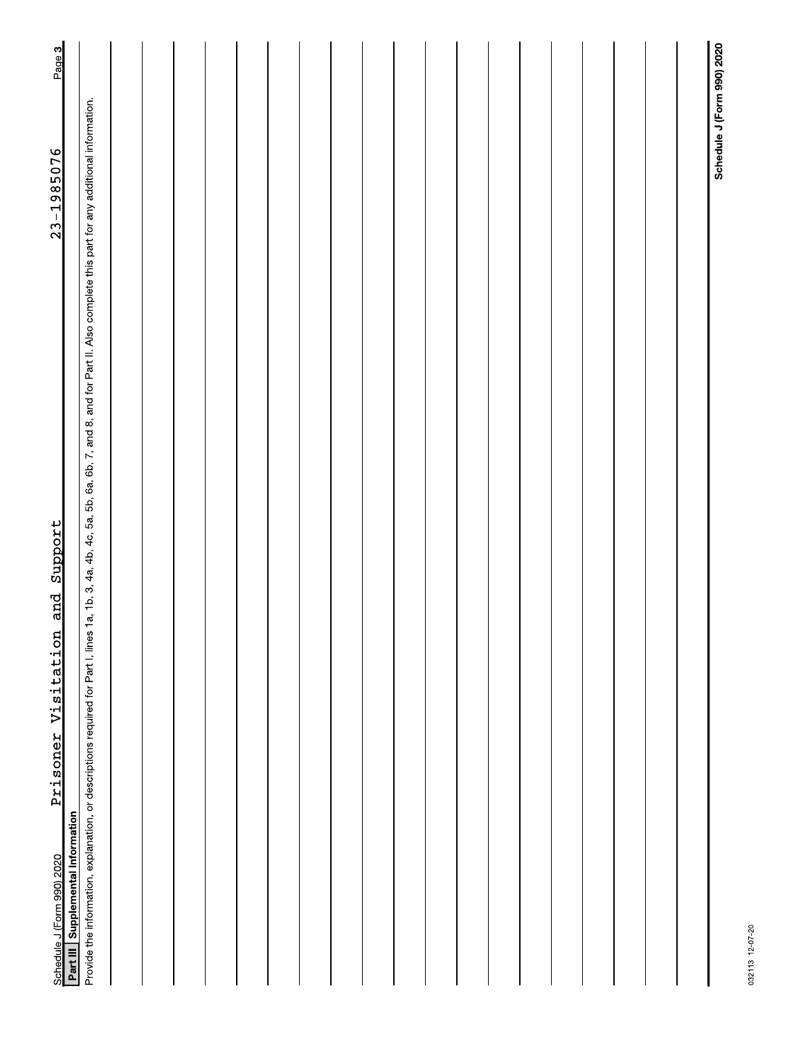| Support<br>and<br>Prisoner Visitation<br>Schedule J (Form 990) 2020                                                                                                                                           | $23 - 1985076$             | Page 3 |
|---------------------------------------------------------------------------------------------------------------------------------------------------------------------------------------------------------------|----------------------------|--------|
| Part III Supplemental Information                                                                                                                                                                             |                            |        |
| 1a, 1b, 3, 4a, 4b, 4c, 5a, 5b, 6a, 6b, 7, and 8, and for Part II. Also complete this part for any additional information.<br>Provide the information, explanation, or descriptions required for Part I, lines |                            |        |
|                                                                                                                                                                                                               |                            |        |
|                                                                                                                                                                                                               |                            |        |
|                                                                                                                                                                                                               |                            |        |
|                                                                                                                                                                                                               |                            |        |
|                                                                                                                                                                                                               |                            |        |
|                                                                                                                                                                                                               |                            |        |
|                                                                                                                                                                                                               |                            |        |
|                                                                                                                                                                                                               |                            |        |
|                                                                                                                                                                                                               |                            |        |
|                                                                                                                                                                                                               |                            |        |
|                                                                                                                                                                                                               |                            |        |
|                                                                                                                                                                                                               |                            |        |
|                                                                                                                                                                                                               |                            |        |
|                                                                                                                                                                                                               |                            |        |
|                                                                                                                                                                                                               |                            |        |
|                                                                                                                                                                                                               |                            |        |
|                                                                                                                                                                                                               |                            |        |
|                                                                                                                                                                                                               |                            |        |
|                                                                                                                                                                                                               |                            |        |
|                                                                                                                                                                                                               | Schedule J (Form 990) 2020 |        |